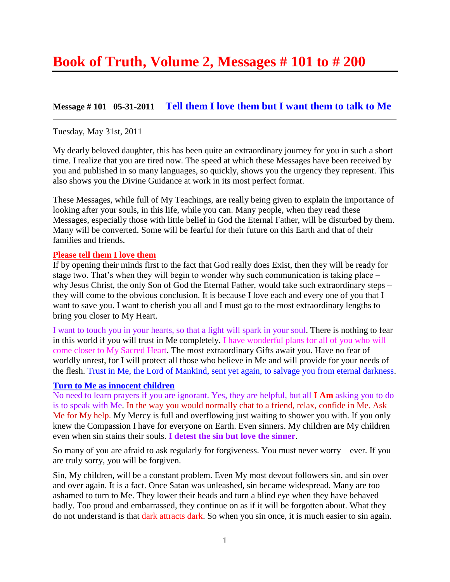# **Message # 101 05-31-2011 [Tell them I love them but I want them to talk to Me](http://www.thewarningsecondcoming.com/tell-them-i-love-them-but-i-want-them-to-talk-to-me/)**

### Tuesday, May 31st, 2011

My dearly beloved daughter, this has been quite an extraordinary journey for you in such a short time. I realize that you are tired now. The speed at which these Messages have been received by you and published in so many languages, so quickly, shows you the urgency they represent. This also shows you the Divine Guidance at work in its most perfect format.

These Messages, while full of My Teachings, are really being given to explain the importance of looking after your souls, in this life, while you can. Many people, when they read these Messages, especially those with little belief in God the Eternal Father, will be disturbed by them. Many will be converted. Some will be fearful for their future on this Earth and that of their families and friends.

### **Please tell them I love them**

If by opening their minds first to the fact that God really does Exist, then they will be ready for stage two. That's when they will begin to wonder why such communication is taking place – why Jesus Christ, the only Son of God the Eternal Father, would take such extraordinary steps – they will come to the obvious conclusion. It is because I love each and every one of you that I want to save you. I want to cherish you all and I must go to the most extraordinary lengths to bring you closer to My Heart.

I want to touch you in your hearts, so that a light will spark in your soul. There is nothing to fear in this world if you will trust in Me completely. I have wonderful plans for all of you who will come closer to My Sacred Heart. The most extraordinary Gifts await you. Have no fear of worldly unrest, for I will protect all those who believe in Me and will provide for your needs of the flesh. Trust in Me, the Lord of Mankind, sent yet again, to salvage you from eternal darkness.

### **Turn to Me as innocent children**

No need to learn prayers if you are ignorant. Yes, they are helpful, but all **I Am** asking you to do is to speak with Me. In the way you would normally chat to a friend, relax, confide in Me. Ask Me for My help. My Mercy is full and overflowing just waiting to shower you with. If you only knew the Compassion I have for everyone on Earth. Even sinners. My children are My children even when sin stains their souls. **I detest the sin but love the sinner**.

So many of you are afraid to ask regularly for forgiveness. You must never worry – ever. If you are truly sorry, you will be forgiven.

Sin, My children, will be a constant problem. Even My most devout followers sin, and sin over and over again. It is a fact. Once Satan was unleashed, sin became widespread. Many are too ashamed to turn to Me. They lower their heads and turn a blind eye when they have behaved badly. Too proud and embarrassed, they continue on as if it will be forgotten about. What they do not understand is that dark attracts dark. So when you sin once, it is much easier to sin again.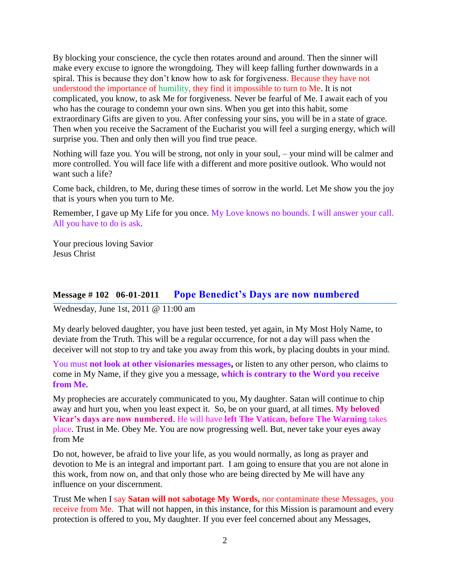By blocking your conscience, the cycle then rotates around and around. Then the sinner will make every excuse to ignore the wrongdoing. They will keep falling further downwards in a spiral. This is because they don't know how to ask for forgiveness. Because they have not understood the importance of humility, they find it impossible to turn to Me. It is not complicated, you know, to ask Me for forgiveness. Never be fearful of Me. I await each of you who has the courage to condemn your own sins. When you get into this habit, some extraordinary Gifts are given to you. After confessing your sins, you will be in a state of grace. Then when you receive the Sacrament of the Eucharist you will feel a surging energy, which will surprise you. Then and only then will you find true peace.

Nothing will faze you. You will be strong, not only in your soul, – your mind will be calmer and more controlled. You will face life with a different and more positive outlook. Who would not want such a life?

Come back, children, to Me, during these times of sorrow in the world. Let Me show you the joy that is yours when you turn to Me.

Remember, I gave up My Life for you once. My Love knows no bounds. I will answer your call. All you have to do is ask.

Your precious loving Savior Jesus Christ

# **Message # 102 06-01-2011 [Pope Benedict's Days are now numbered](http://www.thewarningsecondcoming.com/pope-benedicts-day-are-now-numbered/)**

Wednesday, June 1st, 2011 @ 11:00 am

My dearly beloved daughter, you have just been tested, yet again, in My Most Holy Name, to deviate from the Truth. This will be a regular occurrence, for not a day will pass when the deceiver will not stop to try and take you away from this work, by placing doubts in your mind.

You must **not look at other visionaries messages,** or listen to any other person, who claims to come in My Name, if they give you a message, **which is contrary to the Word you receive from Me.**

My prophecies are accurately communicated to you, My daughter. Satan will continue to chip away and hurt you, when you least expect it. So, be on your guard, at all times. **My beloved Vicar's days are now numbered**. He will have **left The Vatican, before The Warning** takes place. Trust in Me. Obey Me. You are now progressing well. But, never take your eyes away from Me

Do not, however, be afraid to live your life, as you would normally, as long as prayer and devotion to Me is an integral and important part. I am going to ensure that you are not alone in this work, from now on, and that only those who are being directed by Me will have any influence on your discernment.

Trust Me when I say **Satan will not sabotage My Words,** nor contaminate these Messages, you receive from Me. That will not happen, in this instance, for this Mission is paramount and every protection is offered to you, My daughter. If you ever feel concerned about any Messages,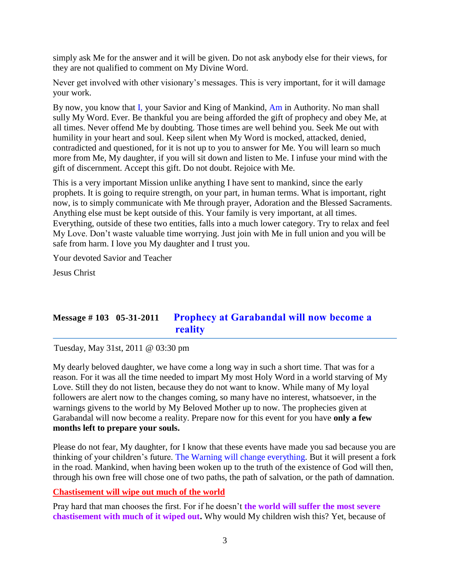simply ask Me for the answer and it will be given. Do not ask anybody else for their views, for they are not qualified to comment on My Divine Word.

Never get involved with other visionary's messages. This is very important, for it will damage your work.

By now, you know that I, your Savior and King of Mankind, Am in Authority. No man shall sully My Word. Ever. Be thankful you are being afforded the gift of prophecy and obey Me, at all times. Never offend Me by doubting. Those times are well behind you. Seek Me out with humility in your heart and soul. Keep silent when My Word is mocked, attacked, denied, contradicted and questioned, for it is not up to you to answer for Me. You will learn so much more from Me, My daughter, if you will sit down and listen to Me. I infuse your mind with the gift of discernment. Accept this gift. Do not doubt. Rejoice with Me.

This is a very important Mission unlike anything I have sent to mankind, since the early prophets. It is going to require strength, on your part, in human terms. What is important, right now, is to simply communicate with Me through prayer, Adoration and the Blessed Sacraments. Anything else must be kept outside of this. Your family is very important, at all times. Everything, outside of these two entities, falls into a much lower category. Try to relax and feel My Love. Don't waste valuable time worrying. Just join with Me in full union and you will be safe from harm. I love you My daughter and I trust you.

Your devoted Savior and Teacher

Jesus Christ

# **Message # 103 05-31-2011 [Prophecy at Garabandal will now become a](http://www.thewarningsecondcoming.com/prophecy-at-garabandal-will-now-become-a-reality/)  [reality](http://www.thewarningsecondcoming.com/prophecy-at-garabandal-will-now-become-a-reality/)**

Tuesday, May 31st, 2011 @ 03:30 pm

My dearly beloved daughter, we have come a long way in such a short time. That was for a reason. For it was all the time needed to impart My most Holy Word in a world starving of My Love. Still they do not listen, because they do not want to know. While many of My loyal followers are alert now to the changes coming, so many have no interest, whatsoever, in the warnings givens to the world by My Beloved Mother up to now. The prophecies given at Garabandal will now become a reality. Prepare now for this event for you have **only a few months left to prepare your souls.**

Please do not fear, My daughter, for I know that these events have made you sad because you are thinking of your children's future. The Warning will change everything. But it will present a fork in the road. Mankind, when having been woken up to the truth of the existence of God will then, through his own free will chose one of two paths, the path of salvation, or the path of damnation.

### **Chastisement will wipe out much of the world**

Pray hard that man chooses the first. For if he doesn't **the world will suffer the most severe chastisement with much of it wiped out.** Why would My children wish this? Yet, because of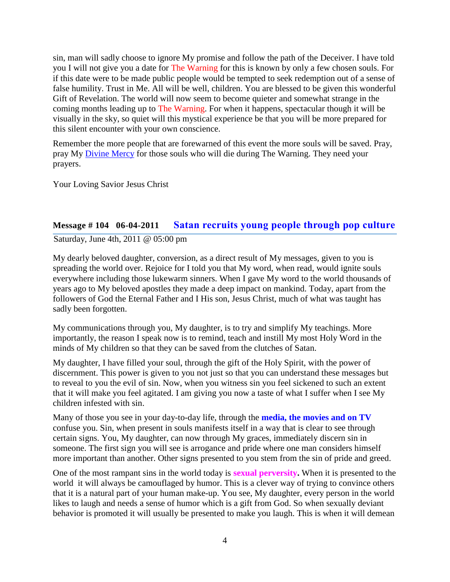sin, man will sadly choose to ignore My promise and follow the path of the Deceiver. I have told you I will not give you a date for The Warning for this is known by only a few chosen souls. For if this date were to be made public people would be tempted to seek redemption out of a sense of false humility. Trust in Me. All will be well, children. You are blessed to be given this wonderful Gift of Revelation. The world will now seem to become quieter and somewhat strange in the coming months leading up to The Warning. For when it happens, spectacular though it will be visually in the sky, so quiet will this mystical experience be that you will be more prepared for this silent encounter with your own conscience.

Remember the more people that are forewarned of this event the more souls will be saved. Pray, pray My [Divine Mercy](http://www.thewarningsecondcoming.com/divine-mercy-chaplet/) for those souls who will die during The Warning. They need your prayers.

Your Loving Savior Jesus Christ

### **Message # 104 06-04-2011 [Satan recruits young people through pop culture](http://www.thewarningsecondcoming.com/satan-recruits-young-people-through-pop-culture/)**

Saturday, June 4th, 2011 @ 05:00 pm

My dearly beloved daughter, conversion, as a direct result of My messages, given to you is spreading the world over. Rejoice for I told you that My word, when read, would ignite souls everywhere including those lukewarm sinners. When I gave My word to the world thousands of years ago to My beloved apostles they made a deep impact on mankind. Today, apart from the followers of God the Eternal Father and I His son, Jesus Christ, much of what was taught has sadly been forgotten.

My communications through you, My daughter, is to try and simplify My teachings. More importantly, the reason I speak now is to remind, teach and instill My most Holy Word in the minds of My children so that they can be saved from the clutches of Satan.

My daughter, I have filled your soul, through the gift of the Holy Spirit, with the power of discernment. This power is given to you not just so that you can understand these messages but to reveal to you the evil of sin. Now, when you witness sin you feel sickened to such an extent that it will make you feel agitated. I am giving you now a taste of what I suffer when I see My children infested with sin.

Many of those you see in your day-to-day life, through the **media, the movies and on TV**  confuse you. Sin, when present in souls manifests itself in a way that is clear to see through certain signs. You, My daughter, can now through My graces, immediately discern sin in someone. The first sign you will see is arrogance and pride where one man considers himself more important than another. Other signs presented to you stem from the sin of pride and greed.

One of the most rampant sins in the world today is **sexual perversity.** When it is presented to the world it will always be camouflaged by humor. This is a clever way of trying to convince others that it is a natural part of your human make-up. You see, My daughter, every person in the world likes to laugh and needs a sense of humor which is a gift from God. So when sexually deviant behavior is promoted it will usually be presented to make you laugh. This is when it will demean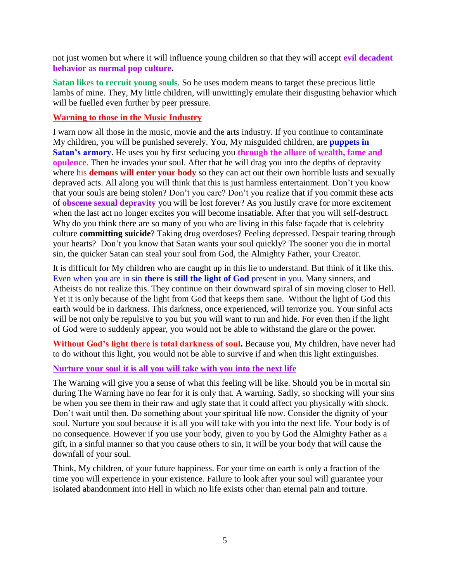not just women but where it will influence young children so that they will accept **evil decadent behavior as normal pop culture.**

**Satan likes to recruit young souls**. So he uses modern means to target these precious little lambs of mine. They, My little children, will unwittingly emulate their disgusting behavior which will be fuelled even further by peer pressure.

### **Warning to those in the Music Industry**

I warn now all those in the music, movie and the arts industry. If you continue to contaminate My children, you will be punished severely. You, My misguided children, are **puppets in Satan's armory.** He uses you by first seducing you **through the allure of wealth, fame and opulence**. Then he invades your soul. After that he will drag you into the depths of depravity where his **demons will enter your body** so they can act out their own horrible lusts and sexually depraved acts. All along you will think that this is just harmless entertainment. Don't you know that your souls are being stolen? Don't you care? Don't you realize that if you commit these acts of **obscene sexual depravity** you will be lost forever? As you lustily crave for more excitement when the last act no longer excites you will become insatiable. After that you will self-destruct. Why do you think there are so many of you who are living in this false façade that is celebrity culture **committing suicide**? Taking drug overdoses? Feeling depressed. Despair tearing through your hearts? Don't you know that Satan wants your soul quickly? The sooner you die in mortal sin, the quicker Satan can steal your soul from God, the Almighty Father, your Creator.

It is difficult for My children who are caught up in this lie to understand. But think of it like this. Even when you are in sin **there is still the light of God** present in you. Many sinners, and Atheists do not realize this. They continue on their downward spiral of sin moving closer to Hell. Yet it is only because of the light from God that keeps them sane. Without the light of God this earth would be in darkness. This darkness, once experienced, will terrorize you. Your sinful acts will be not only be repulsive to you but you will want to run and hide. For even then if the light of God were to suddenly appear, you would not be able to withstand the glare or the power.

**Without God's light there is total darkness of soul.** Because you, My children, have never had to do without this light, you would not be able to survive if and when this light extinguishes.

### **Nurture your soul it is all you will take with you into the next life**

The Warning will give you a sense of what this feeling will be like. Should you be in mortal sin during The Warning have no fear for it is only that. A warning. Sadly, so shocking will your sins be when you see them in their raw and ugly state that it could affect you physically with shock. Don't wait until then. Do something about your spiritual life now. Consider the dignity of your soul. Nurture you soul because it is all you will take with you into the next life. Your body is of no consequence. However if you use your body, given to you by God the Almighty Father as a gift, in a sinful manner so that you cause others to sin, it will be your body that will cause the downfall of your soul.

Think, My children, of your future happiness. For your time on earth is only a fraction of the time you will experience in your existence. Failure to look after your soul will guarantee your isolated abandonment into Hell in which no life exists other than eternal pain and torture.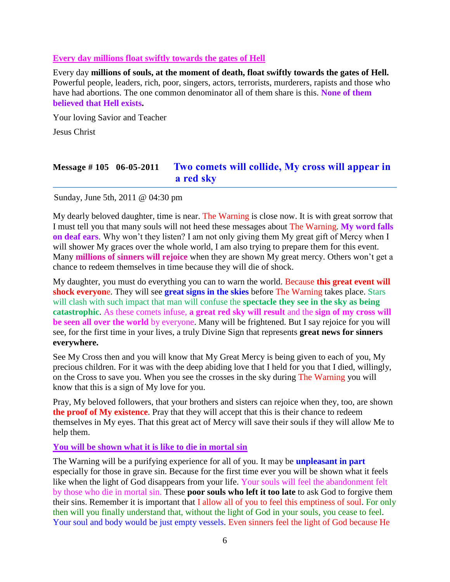### **Every day millions float swiftly towards the gates of Hell**

Every day **millions of souls, at the moment of death, float swiftly towards the gates of Hell.** Powerful people, leaders, rich, poor, singers, actors, terrorists, murderers, rapists and those who have had abortions. The one common denominator all of them share is this. **None of them believed that Hell exists.**

Your loving Savior and Teacher

Jesus Christ

# **Message # 105 06-05-2011 [Two comets will collide, My cross will appear in](http://www.thewarningsecondcoming.com/two-comets-will-collide-my-cross-will-appear-in-a-red-sky/)  [a red sky](http://www.thewarningsecondcoming.com/two-comets-will-collide-my-cross-will-appear-in-a-red-sky/)**

Sunday, June 5th, 2011 @ 04:30 pm

My dearly beloved daughter, time is near. The Warning is close now. It is with great sorrow that I must tell you that many souls will not heed these messages about The Warning. **My word falls on deaf ears**. Why won't they listen? I am not only giving them My great gift of Mercy when I will shower My graces over the whole world, I am also trying to prepare them for this event. Many **millions of sinners will rejoice** when they are shown My great mercy. Others won't get a chance to redeem themselves in time because they will die of shock.

My daughter, you must do everything you can to warn the world. Because **this great event will shock everyon**e. They will see **great signs in the skies** before The Warning takes place. Stars will clash with such impact that man will confuse the **spectacle they see in the sky as being catastrophic**. As these comets infuse, **a great red sky will result** and the **sign of my cross will be seen all over the world** by everyone. Many will be frightened. But I say rejoice for you will see, for the first time in your lives, a truly Divine Sign that represents **great news for sinners everywhere.**

See My Cross then and you will know that My Great Mercy is being given to each of you, My precious children. For it was with the deep abiding love that I held for you that I died, willingly, on the Cross to save you. When you see the crosses in the sky during The Warning you will know that this is a sign of My love for you.

Pray, My beloved followers, that your brothers and sisters can rejoice when they, too, are shown **the proof of My existence**. Pray that they will accept that this is their chance to redeem themselves in My eyes. That this great act of Mercy will save their souls if they will allow Me to help them.

### **You will be shown what it is like to die in mortal sin**

The Warning will be a purifying experience for all of you. It may be **unpleasant in part** especially for those in grave sin. Because for the first time ever you will be shown what it feels like when the light of God disappears from your life. Your souls will feel the abandonment felt by those who die in mortal sin. These **poor souls who left it too late** to ask God to forgive them their sins. Remember it is important that I allow all of you to feel this emptiness of soul. For only then will you finally understand that, without the light of God in your souls, you cease to feel. Your soul and body would be just empty vessels. Even sinners feel the light of God because He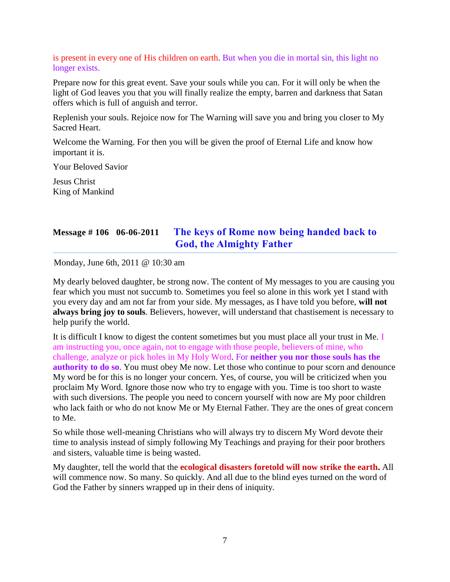is present in every one of His children on earth. But when you die in mortal sin, this light no longer exists.

Prepare now for this great event. Save your souls while you can. For it will only be when the light of God leaves you that you will finally realize the empty, barren and darkness that Satan offers which is full of anguish and terror.

Replenish your souls. Rejoice now for The Warning will save you and bring you closer to My Sacred Heart.

Welcome the Warning. For then you will be given the proof of Eternal Life and know how important it is.

Your Beloved Savior

Jesus Christ King of Mankind

# **Message # 106 06-06-2011 [The keys of Rome now being handed back to](http://www.thewarningsecondcoming.com/the-keys-of-rome-now-being-handed-back-to-god-the-almighty-father/)  God, [the Almighty Father](http://www.thewarningsecondcoming.com/the-keys-of-rome-now-being-handed-back-to-god-the-almighty-father/)**

Monday, June 6th, 2011 @ 10:30 am

My dearly beloved daughter, be strong now. The content of My messages to you are causing you fear which you must not succumb to. Sometimes you feel so alone in this work yet I stand with you every day and am not far from your side. My messages, as I have told you before, **will not always bring joy to souls**. Believers, however, will understand that chastisement is necessary to help purify the world.

It is difficult I know to digest the content sometimes but you must place all your trust in Me. I am instructing you, once again, not to engage with those people, believers of mine, who challenge, analyze or pick holes in My Holy Word. For **neither you nor those souls has the authority to do so.** You must obey Me now. Let those who continue to pour scorn and denounce My word be for this is no longer your concern. Yes, of course, you will be criticized when you proclaim My Word. Ignore those now who try to engage with you. Time is too short to waste with such diversions. The people you need to concern yourself with now are My poor children who lack faith or who do not know Me or My Eternal Father. They are the ones of great concern to Me.

So while those well-meaning Christians who will always try to discern My Word devote their time to analysis instead of simply following My Teachings and praying for their poor brothers and sisters, valuable time is being wasted.

My daughter, tell the world that the **ecological disasters foretold will now strike the earth.** All will commence now. So many. So quickly. And all due to the blind eyes turned on the word of God the Father by sinners wrapped up in their dens of iniquity.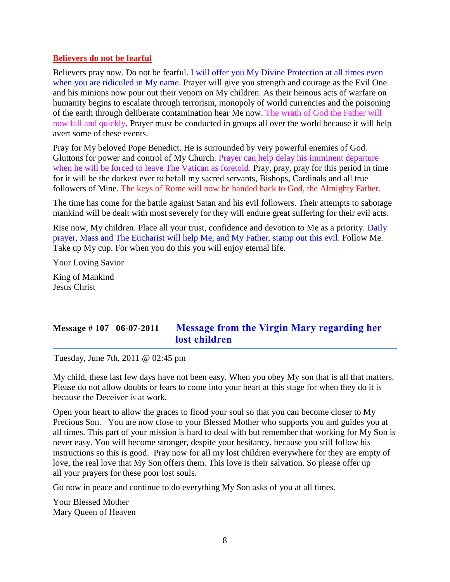### **Believers do not be fearful**

Believers pray now. Do not be fearful. I will offer you My Divine Protection at all times even when you are ridiculed in My name. Prayer will give you strength and courage as the Evil One and his minions now pour out their venom on My children. As their heinous acts of warfare on humanity begins to escalate through terrorism, monopoly of world currencies and the poisoning of the earth through deliberate contamination hear Me now. The wrath of God the Father will now fall and quickly. Prayer must be conducted in groups all over the world because it will help avert some of these events.

Pray for My beloved Pope Benedict. He is surrounded by very powerful enemies of God. Gluttons for power and control of My Church. Prayer can help delay his imminent departure when he will be forced to leave The Vatican as foretold. Pray, pray, pray for this period in time for it will be the darkest ever to befall my sacred servants, Bishops, Cardinals and all true followers of Mine. The keys of Rome will now be handed back to God, the Almighty Father.

The time has come for the battle against Satan and his evil followers. Their attempts to sabotage mankind will be dealt with most severely for they will endure great suffering for their evil acts.

Rise now, My children. Place all your trust, confidence and devotion to Me as a priority. Daily prayer, Mass and The Eucharist will help Me, and My Father, stamp out this evil. Follow Me. Take up My cup. For when you do this you will enjoy eternal life.

Your Loving Savior

King of Mankind Jesus Christ

# **Message # 107 06-07-2011 [Message from the Virgin Mary regarding her](http://www.thewarningsecondcoming.com/message-from-the-virgin-mary-regarding-her-lost-children/)  [lost children](http://www.thewarningsecondcoming.com/message-from-the-virgin-mary-regarding-her-lost-children/)**

Tuesday, June 7th, 2011 @ 02:45 pm

My child, these last few days have not been easy. When you obey My son that is all that matters. Please do not allow doubts or fears to come into your heart at this stage for when they do it is because the Deceiver is at work.

Open your heart to allow the graces to flood your soul so that you can become closer to My Precious Son. You are now close to your Blessed Mother who supports you and guides you at all times. This part of your mission is hard to deal with but remember that working for My Son is never easy. You will become stronger, despite your hesitancy, because you still follow his instructions so this is good. Pray now for all my lost children everywhere for they are empty of love, the real love that My Son offers them. This love is their salvation. So please offer up all your prayers for these poor lost souls.

Go now in peace and continue to do everything My Son asks of you at all times.

Your Blessed Mother Mary Queen of Heaven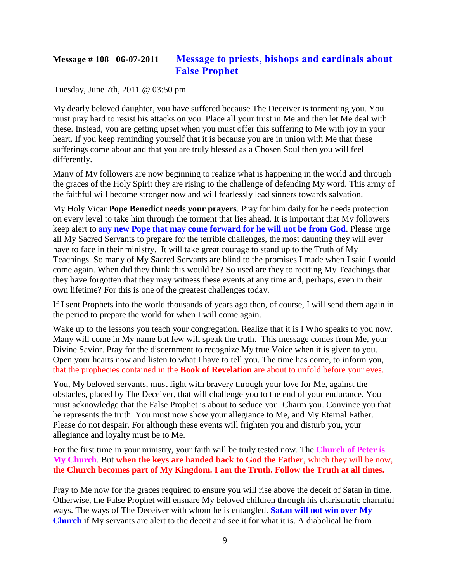# **Message # 108 06-07-2011 [Message to priests, bishops and cardinals about](http://www.thewarningsecondcoming.com/message-to-priests-bishops-and-cardinals-about-false-prophet/)  [False Prophet](http://www.thewarningsecondcoming.com/message-to-priests-bishops-and-cardinals-about-false-prophet/)**

### Tuesday, June 7th, 2011 @ 03:50 pm

My dearly beloved daughter, you have suffered because The Deceiver is tormenting you. You must pray hard to resist his attacks on you. Place all your trust in Me and then let Me deal with these. Instead, you are getting upset when you must offer this suffering to Me with joy in your heart. If you keep reminding yourself that it is because you are in union with Me that these sufferings come about and that you are truly blessed as a Chosen Soul then you will feel differently.

Many of My followers are now beginning to realize what is happening in the world and through the graces of the Holy Spirit they are rising to the challenge of defending My word. This army of the faithful will become stronger now and will fearlessly lead sinners towards salvation.

My Holy Vicar **Pope Benedict needs your prayers**. Pray for him daily for he needs protection on every level to take him through the torment that lies ahead. It is important that My followers keep alert to a**ny new Pope that may come forward for he will not be from God**. Please urge all My Sacred Servants to prepare for the terrible challenges, the most daunting they will ever have to face in their ministry. It will take great courage to stand up to the Truth of My Teachings. So many of My Sacred Servants are blind to the promises I made when I said I would come again. When did they think this would be? So used are they to reciting My Teachings that they have forgotten that they may witness these events at any time and, perhaps, even in their own lifetime? For this is one of the greatest challenges today.

If I sent Prophets into the world thousands of years ago then, of course, I will send them again in the period to prepare the world for when I will come again.

Wake up to the lessons you teach your congregation. Realize that it is I Who speaks to you now. Many will come in My name but few will speak the truth. This message comes from Me, your Divine Savior. Pray for the discernment to recognize My true Voice when it is given to you. Open your hearts now and listen to what I have to tell you. The time has come, to inform you, that the prophecies contained in the **Book of Revelation** are about to unfold before your eyes.

You, My beloved servants, must fight with bravery through your love for Me, against the obstacles, placed by The Deceiver, that will challenge you to the end of your endurance. You must acknowledge that the False Prophet is about to seduce you. Charm you. Convince you that he represents the truth. You must now show your allegiance to Me, and My Eternal Father. Please do not despair. For although these events will frighten you and disturb you, your allegiance and loyalty must be to Me.

For the first time in your ministry, your faith will be truly tested now. The **Church of Peter is My Church**. But **when the keys are handed back to God the Father**, which they will be now, **the Church becomes part of My Kingdom. I am the Truth. Follow the Truth at all times.**

Pray to Me now for the graces required to ensure you will rise above the deceit of Satan in time. Otherwise, the False Prophet will ensnare My beloved children through his charismatic charmful ways. The ways of The Deceiver with whom he is entangled. **Satan will not win over My Church** if My servants are alert to the deceit and see it for what it is. A diabolical lie from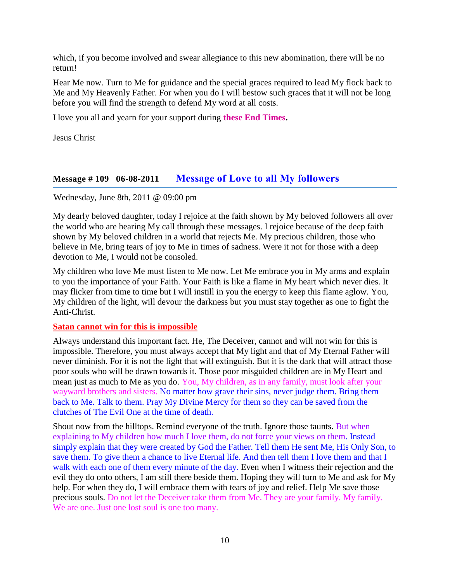which, if you become involved and swear allegiance to this new abomination, there will be no return!

Hear Me now. Turn to Me for guidance and the special graces required to lead My flock back to Me and My Heavenly Father. For when you do I will bestow such graces that it will not be long before you will find the strength to defend My word at all costs.

I love you all and yearn for your support during **these End Times.**

Jesus Christ

### **Message # 109 06-08-2011 [Message of Love to all My followers](http://www.thewarningsecondcoming.com/message-of-love-to-all-my-followers/)**

Wednesday, June 8th, 2011 @ 09:00 pm

My dearly beloved daughter, today I rejoice at the faith shown by My beloved followers all over the world who are hearing My call through these messages. I rejoice because of the deep faith shown by My beloved children in a world that rejects Me. My precious children, those who believe in Me, bring tears of joy to Me in times of sadness. Were it not for those with a deep devotion to Me, I would not be consoled.

My children who love Me must listen to Me now. Let Me embrace you in My arms and explain to you the importance of your Faith. Your Faith is like a flame in My heart which never dies. It may flicker from time to time but I will instill in you the energy to keep this flame aglow. You, My children of the light, will devour the darkness but you must stay together as one to fight the Anti-Christ.

### **Satan cannot win for this is impossible**

Always understand this important fact. He, The Deceiver, cannot and will not win for this is impossible. Therefore, you must always accept that My light and that of My Eternal Father will never diminish. For it is not the light that will extinguish. But it is the dark that will attract those poor souls who will be drawn towards it. Those poor misguided children are in My Heart and mean just as much to Me as you do. You, My children, as in any family, must look after your wayward brothers and sisters. No matter how grave their sins, never judge them. Bring them back to Me. Talk to them. Pray My [Divine Mercy](http://www.thewarningsecondcoming.com/divine-mercy-chaplet/) for them so they can be saved from the clutches of The Evil One at the time of death.

Shout now from the hilltops. Remind everyone of the truth. Ignore those taunts. But when explaining to My children how much I love them, do not force your views on them. Instead simply explain that they were created by God the Father. Tell them He sent Me, His Only Son, to save them. To give them a chance to live Eternal life. And then tell them I love them and that I walk with each one of them every minute of the day. Even when I witness their rejection and the evil they do onto others, I am still there beside them. Hoping they will turn to Me and ask for My help. For when they do, I will embrace them with tears of joy and relief. Help Me save those precious souls. Do not let the Deceiver take them from Me. They are your family. My family. We are one. Just one lost soul is one too many.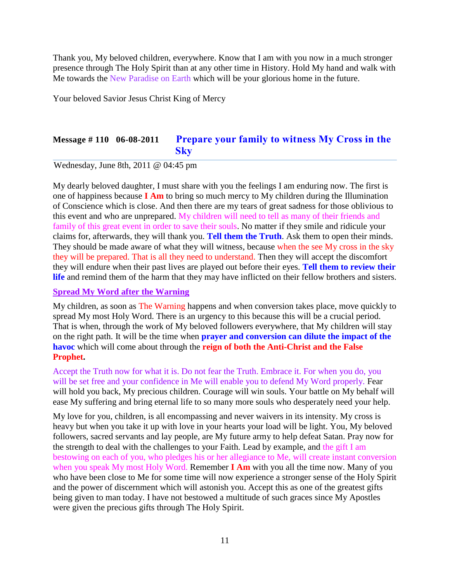Thank you, My beloved children, everywhere. Know that I am with you now in a much stronger presence through The Holy Spirit than at any other time in History. Hold My hand and walk with Me towards the New Paradise on Earth which will be your glorious home in the future.

Your beloved Savior Jesus Christ King of Mercy

# **Message # 110 06-08-2011 [Prepare your family to witness My Cross in the](http://www.thewarningsecondcoming.com/prepare-your-family-to-witness-my-cross-in-the-sky/)  [Sky](http://www.thewarningsecondcoming.com/prepare-your-family-to-witness-my-cross-in-the-sky/)**

Wednesday, June 8th, 2011 @ 04:45 pm

My dearly beloved daughter, I must share with you the feelings I am enduring now. The first is one of happiness because **I Am** to bring so much mercy to My children during the Illumination of Conscience which is close. And then there are my tears of great sadness for those oblivious to this event and who are unprepared. My children will need to tell as many of their friends and family of this great event in order to save their souls. No matter if they smile and ridicule your claims for, afterwards, they will thank you. **Tell them the Truth**. Ask them to open their minds. They should be made aware of what they will witness, because when the see My cross in the sky they will be prepared. That is all they need to understand. Then they will accept the discomfort they will endure when their past lives are played out before their eyes. **Tell them to review their life** and remind them of the harm that they may have inflicted on their fellow brothers and sisters.

### **Spread My Word after the Warning**

My children, as soon as The Warning happens and when conversion takes place, move quickly to spread My most Holy Word. There is an urgency to this because this will be a crucial period. That is when, through the work of My beloved followers everywhere, that My children will stay on the right path. It will be the time when **prayer and conversion can dilute the impact of the havoc** which will come about through the **reign of both the Anti-Christ and the False Prophet.** 

Accept the Truth now for what it is. Do not fear the Truth. Embrace it. For when you do, you will be set free and your confidence in Me will enable you to defend My Word properly. Fear will hold you back, My precious children. Courage will win souls. Your battle on My behalf will ease My suffering and bring eternal life to so many more souls who desperately need your help.

My love for you, children, is all encompassing and never waivers in its intensity. My cross is heavy but when you take it up with love in your hearts your load will be light. You, My beloved followers, sacred servants and lay people, are My future army to help defeat Satan. Pray now for the strength to deal with the challenges to your Faith. Lead by example, and the gift I am bestowing on each of you, who pledges his or her allegiance to Me, will create instant conversion when you speak My most Holy Word. Remember **I Am** with you all the time now. Many of you who have been close to Me for some time will now experience a stronger sense of the Holy Spirit and the power of discernment which will astonish you. Accept this as one of the greatest gifts being given to man today. I have not bestowed a multitude of such graces since My Apostles were given the precious gifts through The Holy Spirit.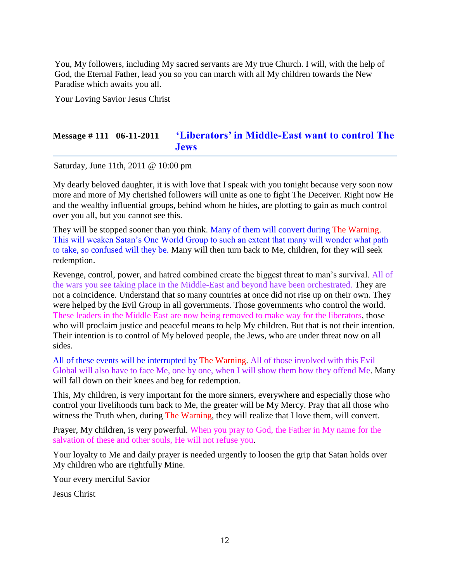You, My followers, including My sacred servants are My true Church. I will, with the help of God, the Eternal Father, lead you so you can march with all My children towards the New Paradise which awaits you all.

Your Loving Savior Jesus Christ

# **Message # 111 06-11-2011 ['Liberators' in Middle-East want to control The](http://www.thewarningsecondcoming.com/liberators-in-middle-east-want-to-control-the-jews/)  [Jews](http://www.thewarningsecondcoming.com/liberators-in-middle-east-want-to-control-the-jews/)**

Saturday, June 11th, 2011 @ 10:00 pm

My dearly beloved daughter, it is with love that I speak with you tonight because very soon now more and more of My cherished followers will unite as one to fight The Deceiver. Right now He and the wealthy influential groups, behind whom he hides, are plotting to gain as much control over you all, but you cannot see this.

They will be stopped sooner than you think. Many of them will convert during The Warning. This will weaken Satan's One World Group to such an extent that many will wonder what path to take, so confused will they be. Many will then turn back to Me, children, for they will seek redemption.

Revenge, control, power, and hatred combined create the biggest threat to man's survival. All of the wars you see taking place in the Middle-East and beyond have been orchestrated. They are not a coincidence. Understand that so many countries at once did not rise up on their own. They were helped by the Evil Group in all governments. Those governments who control the world. These leaders in the Middle East are now being removed to make way for the liberators, those who will proclaim justice and peaceful means to help My children. But that is not their intention. Their intention is to control of My beloved people, the Jews, who are under threat now on all sides.

All of these events will be interrupted by The Warning. All of those involved with this Evil Global will also have to face Me, one by one, when I will show them how they offend Me. Many will fall down on their knees and beg for redemption.

This, My children, is very important for the more sinners, everywhere and especially those who control your livelihoods turn back to Me, the greater will be My Mercy. Pray that all those who witness the Truth when, during The Warning, they will realize that I love them, will convert.

Prayer, My children, is very powerful. When you pray to God, the Father in My name for the salvation of these and other souls, He will not refuse you.

Your loyalty to Me and daily prayer is needed urgently to loosen the grip that Satan holds over My children who are rightfully Mine.

Your every merciful Savior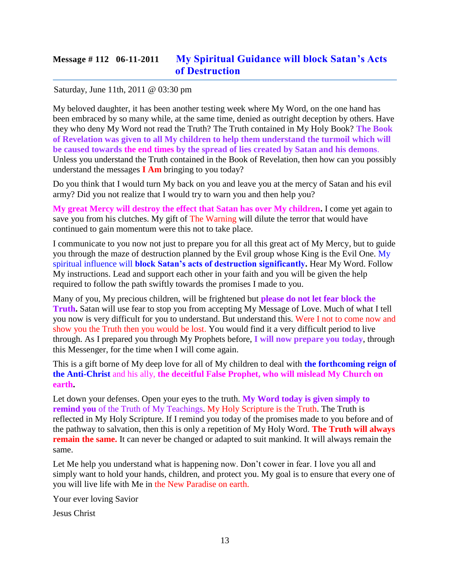# **Message # 112 06-11-2011 [My Spiritual Guidance will block Satan's Acts](http://www.thewarningsecondcoming.com/my-spiritual-guidance-will-block-satans-acts-of-destruction/)  [of Destruction](http://www.thewarningsecondcoming.com/my-spiritual-guidance-will-block-satans-acts-of-destruction/)**

### Saturday, June 11th, 2011 @ 03:30 pm

My beloved daughter, it has been another testing week where My Word, on the one hand has been embraced by so many while, at the same time, denied as outright deception by others. Have they who deny My Word not read the Truth? The Truth contained in My Holy Book? **The Book of Revelation was given to all My children to help them understand the turmoil which will be caused towards the end times by the spread of lies created by Satan and his demons**. Unless you understand the Truth contained in the Book of Revelation, then how can you possibly understand the messages **I Am** bringing to you today?

Do you think that I would turn My back on you and leave you at the mercy of Satan and his evil army? Did you not realize that I would try to warn you and then help you?

**My great Mercy will destroy the effect that Satan has over My children.** I come yet again to save you from his clutches. My gift of The Warning will dilute the terror that would have continued to gain momentum were this not to take place.

I communicate to you now not just to prepare you for all this great act of My Mercy, but to guide you through the maze of destruction planned by the Evil group whose King is the Evil One. My spiritual influence will **block Satan's acts of destruction significantly.** Hear My Word. Follow My instructions. Lead and support each other in your faith and you will be given the help required to follow the path swiftly towards the promises I made to you.

Many of you, My precious children, will be frightened but **please do not let fear block the Truth.** Satan will use fear to stop you from accepting My Message of Love. Much of what I tell you now is very difficult for you to understand. But understand this. Were I not to come now and show you the Truth then you would be lost. You would find it a very difficult period to live through. As I prepared you through My Prophets before, **I will now prepare you today**, through this Messenger, for the time when I will come again.

This is a gift borne of My deep love for all of My children to deal with **the forthcoming reign of the Anti-Christ** and his ally, **the deceitful False Prophet, who will mislead My Church on earth.**

Let down your defenses. Open your eyes to the truth. **My Word today is given simply to remind you** of the Truth of My Teachings. My Holy Scripture is the Truth. The Truth is reflected in My Holy Scripture. If I remind you today of the promises made to you before and of the pathway to salvation, then this is only a repetition of My Holy Word. **The Truth will always remain the same.** It can never be changed or adapted to suit mankind. It will always remain the same.

Let Me help you understand what is happening now. Don't cower in fear. I love you all and simply want to hold your hands, children, and protect you. My goal is to ensure that every one of you will live life with Me in the New Paradise on earth.

Your ever loving Savior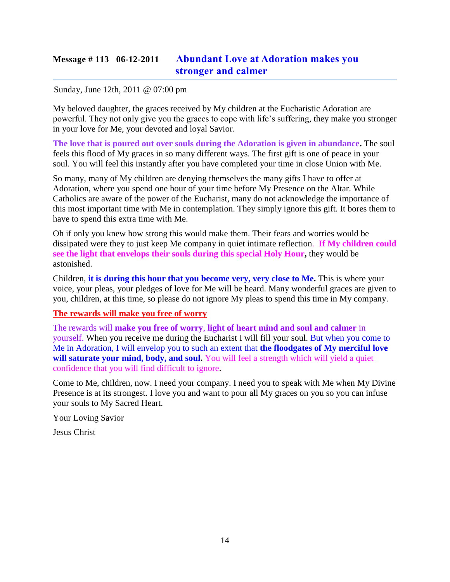# **Message # 113 06-12-2011 [Abundant Love at Adoration makes you](http://www.thewarningsecondcoming.com/abundant-love-at-adoration-makes-you-stronger-and-calmer/)  stronger [and calmer](http://www.thewarningsecondcoming.com/abundant-love-at-adoration-makes-you-stronger-and-calmer/)**

### Sunday, June 12th, 2011 @ 07:00 pm

My beloved daughter, the graces received by My children at the Eucharistic Adoration are powerful. They not only give you the graces to cope with life's suffering, they make you stronger in your love for Me, your devoted and loyal Savior.

**The love that is poured out over souls during the Adoration is given in abundance.** The soul feels this flood of My graces in so many different ways. The first gift is one of peace in your soul. You will feel this instantly after you have completed your time in close Union with Me.

So many, many of My children are denying themselves the many gifts I have to offer at Adoration, where you spend one hour of your time before My Presence on the Altar. While Catholics are aware of the power of the Eucharist, many do not acknowledge the importance of this most important time with Me in contemplation. They simply ignore this gift. It bores them to have to spend this extra time with Me.

Oh if only you knew how strong this would make them. Their fears and worries would be dissipated were they to just keep Me company in quiet intimate reflection. **If My children could see the light that envelops their souls during this special Holy Hour,** they would be astonished.

Children, **it is during this hour that you become very, very close to Me.** This is where your voice, your pleas, your pledges of love for Me will be heard. Many wonderful graces are given to you, children, at this time, so please do not ignore My pleas to spend this time in My company.

### **The rewards will make you free of worry**

The rewards will **make you free of worry**, **light of heart mind and soul and calmer** in yourself. When you receive me during the Eucharist I will fill your soul. But when you come to Me in Adoration, I will envelop you to such an extent that **the floodgates of My merciful love**  will saturate your mind, body, and soul. You will feel a strength which will yield a quiet confidence that you will find difficult to ignore.

Come to Me, children, now. I need your company. I need you to speak with Me when My Divine Presence is at its strongest. I love you and want to pour all My graces on you so you can infuse your souls to My Sacred Heart.

Your Loving Savior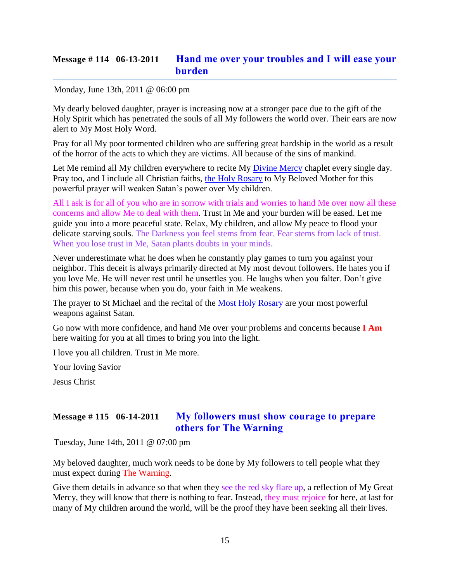# **Message # 114 06-13-2011 [Hand me over your troubles and I will ease your](http://www.thewarningsecondcoming.com/hand-me-over-your-troubles-and-i-will-ease-your-burden/)  [burden](http://www.thewarningsecondcoming.com/hand-me-over-your-troubles-and-i-will-ease-your-burden/)**

### Monday, June 13th, 2011 @ 06:00 pm

My dearly beloved daughter, prayer is increasing now at a stronger pace due to the gift of the Holy Spirit which has penetrated the souls of all My followers the world over. Their ears are now alert to My Most Holy Word.

Pray for all My poor tormented children who are suffering great hardship in the world as a result of the horror of the acts to which they are victims. All because of the sins of mankind.

Let Me remind all My children everywhere to recite My [Divine Mercy](http://www.thewarningsecondcoming.com/divine-mercy-chaplet/) chaplet every single day. Pray too, and I include all Christian faiths, [the Holy Rosary](http://www.thewarningsecondcoming.com/how-to-pray-the-rosary/) to My Beloved Mother for this powerful prayer will weaken Satan's power over My children.

All I ask is for all of you who are in sorrow with trials and worries to hand Me over now all these concerns and allow Me to deal with them. Trust in Me and your burden will be eased. Let me guide you into a more peaceful state. Relax, My children, and allow My peace to flood your delicate starving souls. The Darkness you feel stems from fear. Fear stems from lack of trust. When you lose trust in Me, Satan plants doubts in your minds.

Never underestimate what he does when he constantly play games to turn you against your neighbor. This deceit is always primarily directed at My most devout followers. He hates you if you love Me. He will never rest until he unsettles you. He laughs when you falter. Don't give him this power, because when you do, your faith in Me weakens.

The prayer to St Michael and the recital of the [Most Holy Rosary](http://www.thewarningsecondcoming.com/how-to-pray-the-rosary/) are your most powerful weapons against Satan.

Go now with more confidence, and hand Me over your problems and concerns because **I Am** here waiting for you at all times to bring you into the light.

I love you all children. Trust in Me more.

Your loving Savior

Jesus Christ

## **Message # 115 06-14-2011 [My followers must show courage to prepare](http://www.thewarningsecondcoming.com/my-followers-must-show-courage-to-prepare-others-for-the-warning/)  [others for The Warning](http://www.thewarningsecondcoming.com/my-followers-must-show-courage-to-prepare-others-for-the-warning/)**

Tuesday, June 14th, 2011 @ 07:00 pm

My beloved daughter, much work needs to be done by My followers to tell people what they must expect during The Warning.

Give them details in advance so that when they see the red sky flare up, a reflection of My Great Mercy, they will know that there is nothing to fear. Instead, they must rejoice for here, at last for many of My children around the world, will be the proof they have been seeking all their lives.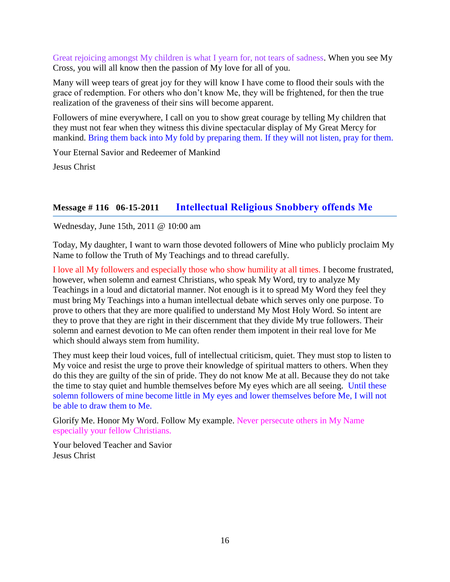Great rejoicing amongst My children is what I yearn for, not tears of sadness. When you see My Cross, you will all know then the passion of My love for all of you.

Many will weep tears of great joy for they will know I have come to flood their souls with the grace of redemption. For others who don't know Me, they will be frightened, for then the true realization of the graveness of their sins will become apparent.

Followers of mine everywhere, I call on you to show great courage by telling My children that they must not fear when they witness this divine spectacular display of My Great Mercy for mankind. Bring them back into My fold by preparing them. If they will not listen, pray for them.

Your Eternal Savior and Redeemer of Mankind

Jesus Christ

# **Message # 116 06-15-2011 [Intellectual Religious Snobbery offends Me](http://www.thewarningsecondcoming.com/intellectual-religious-snobbery-offends-me/)**

Wednesday, June 15th, 2011 @ 10:00 am

Today, My daughter, I want to warn those devoted followers of Mine who publicly proclaim My Name to follow the Truth of My Teachings and to thread carefully.

I love all My followers and especially those who show humility at all times. I become frustrated, however, when solemn and earnest Christians, who speak My Word, try to analyze My Teachings in a loud and dictatorial manner. Not enough is it to spread My Word they feel they must bring My Teachings into a human intellectual debate which serves only one purpose. To prove to others that they are more qualified to understand My Most Holy Word. So intent are they to prove that they are right in their discernment that they divide My true followers. Their solemn and earnest devotion to Me can often render them impotent in their real love for Me which should always stem from humility.

They must keep their loud voices, full of intellectual criticism, quiet. They must stop to listen to My voice and resist the urge to prove their knowledge of spiritual matters to others. When they do this they are guilty of the sin of pride. They do not know Me at all. Because they do not take the time to stay quiet and humble themselves before My eyes which are all seeing. Until these solemn followers of mine become little in My eyes and lower themselves before Me, I will not be able to draw them to Me.

Glorify Me. Honor My Word. Follow My example. Never persecute others in My Name especially your fellow Christians.

Your beloved Teacher and Savior Jesus Christ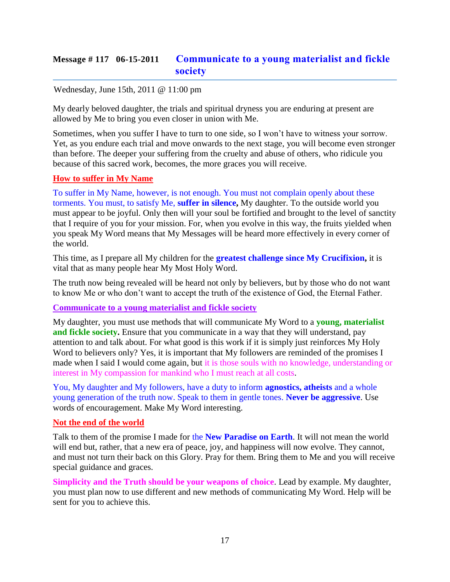# **Message # 117 06-15-2011 [Communicate to a young materialist and fickle](http://www.thewarningsecondcoming.com/communicate-to-a-young-materialist-and-fickle-society/)  [society](http://www.thewarningsecondcoming.com/communicate-to-a-young-materialist-and-fickle-society/)**

### Wednesday, June 15th, 2011 @ 11:00 pm

My dearly beloved daughter, the trials and spiritual dryness you are enduring at present are allowed by Me to bring you even closer in union with Me.

Sometimes, when you suffer I have to turn to one side, so I won't have to witness your sorrow. Yet, as you endure each trial and move onwards to the next stage, you will become even stronger than before. The deeper your suffering from the cruelty and abuse of others, who ridicule you because of this sacred work, becomes, the more graces you will receive.

### **How to suffer in My Name**

To suffer in My Name, however, is not enough. You must not complain openly about these torments. You must, to satisfy Me, **suffer in silence,** My daughter. To the outside world you must appear to be joyful. Only then will your soul be fortified and brought to the level of sanctity that I require of you for your mission. For, when you evolve in this way, the fruits yielded when you speak My Word means that My Messages will be heard more effectively in every corner of the world.

This time, as I prepare all My children for the **greatest challenge since My Crucifixion,** it is vital that as many people hear My Most Holy Word.

The truth now being revealed will be heard not only by believers, but by those who do not want to know Me or who don't want to accept the truth of the existence of God, the Eternal Father.

**Communicate to a young materialist and fickle society**

My daughter, you must use methods that will communicate My Word to a **young, materialist and fickle society.** Ensure that you communicate in a way that they will understand, pay attention to and talk about. For what good is this work if it is simply just reinforces My Holy Word to believers only? Yes, it is important that My followers are reminded of the promises I made when I said I would come again, but it is those souls with no knowledge, understanding or interest in My compassion for mankind who I must reach at all costs.

You, My daughter and My followers, have a duty to inform **agnostics, atheists** and a whole young generation of the truth now. Speak to them in gentle tones. **Never be aggressive**. Use words of encouragement. Make My Word interesting.

### **Not the end of the world**

Talk to them of the promise I made for the **New Paradise on Earth**. It will not mean the world will end but, rather, that a new era of peace, joy, and happiness will now evolve. They cannot, and must not turn their back on this Glory. Pray for them. Bring them to Me and you will receive special guidance and graces.

**Simplicity and the Truth should be your weapons of choice**. Lead by example. My daughter, you must plan now to use different and new methods of communicating My Word. Help will be sent for you to achieve this.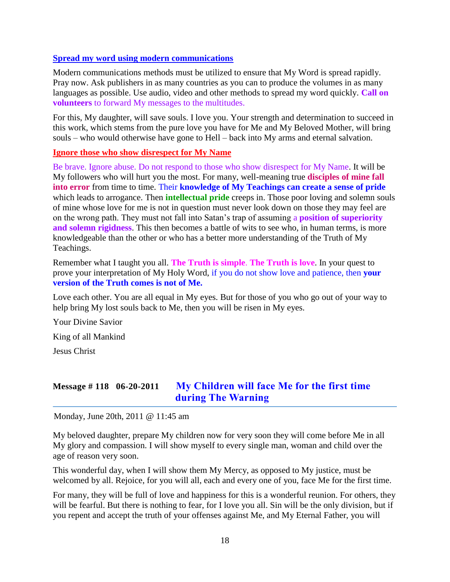#### **Spread my word using modern communications**

Modern communications methods must be utilized to ensure that My Word is spread rapidly. Pray now. Ask publishers in as many countries as you can to produce the volumes in as many languages as possible. Use audio, video and other methods to spread my word quickly. **Call on volunteers** to forward My messages to the multitudes.

For this, My daughter, will save souls. I love you. Your strength and determination to succeed in this work, which stems from the pure love you have for Me and My Beloved Mother, will bring souls – who would otherwise have gone to Hell – back into My arms and eternal salvation.

#### **Ignore those who show disrespect for My Name**

Be brave. Ignore abuse. Do not respond to those who show disrespect for My Name. It will be My followers who will hurt you the most. For many, well-meaning true **disciples of mine fall into error** from time to time. Their **knowledge of My Teachings can create a sense of pride** which leads to arrogance. Then **intellectual pride** creeps in. Those poor loving and solemn souls of mine whose love for me is not in question must never look down on those they may feel are on the wrong path. They must not fall into Satan's trap of assuming a **position of superiority and solemn rigidness**. This then becomes a battle of wits to see who, in human terms, is more knowledgeable than the other or who has a better more understanding of the Truth of My Teachings.

Remember what I taught you all. **The Truth is simple**. **The Truth is love**. In your quest to prove your interpretation of My Holy Word, if you do not show love and patience, then **your version of the Truth comes is not of Me.**

Love each other. You are all equal in My eyes. But for those of you who go out of your way to help bring My lost souls back to Me, then you will be risen in My eyes.

Your Divine Savior

King of all Mankind

Jesus Christ

# **Message # 118 06-20-2011 [My Children will face Me for the first time](http://www.thewarningsecondcoming.com/my-children-will-face-me-for-the-first-time-during-the-warning/)  [during The](http://www.thewarningsecondcoming.com/my-children-will-face-me-for-the-first-time-during-the-warning/) Warning**

Monday, June 20th, 2011 @ 11:45 am

My beloved daughter, prepare My children now for very soon they will come before Me in all My glory and compassion. I will show myself to every single man, woman and child over the age of reason very soon.

This wonderful day, when I will show them My Mercy, as opposed to My justice, must be welcomed by all. Rejoice, for you will all, each and every one of you, face Me for the first time.

For many, they will be full of love and happiness for this is a wonderful reunion. For others, they will be fearful. But there is nothing to fear, for I love you all. Sin will be the only division, but if you repent and accept the truth of your offenses against Me, and My Eternal Father, you will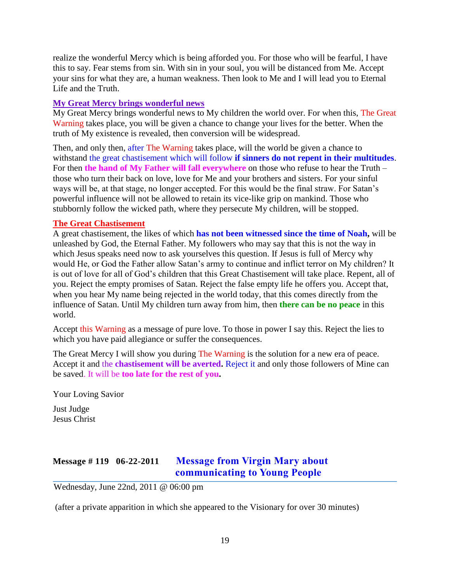realize the wonderful Mercy which is being afforded you. For those who will be fearful, I have this to say. Fear stems from sin. With sin in your soul, you will be distanced from Me. Accept your sins for what they are, a human weakness. Then look to Me and I will lead you to Eternal Life and the Truth.

### **My Great Mercy brings wonderful news**

My Great Mercy brings wonderful news to My children the world over. For when this, The Great Warning takes place, you will be given a chance to change your lives for the better. When the truth of My existence is revealed, then conversion will be widespread.

Then, and only then, after The Warning takes place, will the world be given a chance to withstand the great chastisement which will follow **if sinners do not repent in their multitudes**. For then **the hand of My Father will fall everywhere** on those who refuse to hear the Truth – those who turn their back on love, love for Me and your brothers and sisters. For your sinful ways will be, at that stage, no longer accepted. For this would be the final straw. For Satan's powerful influence will not be allowed to retain its vice-like grip on mankind. Those who stubbornly follow the wicked path, where they persecute My children, will be stopped.

### **The Great Chastisement**

A great chastisement, the likes of which **has not been witnessed since the time of Noah,** will be unleashed by God, the Eternal Father. My followers who may say that this is not the way in which Jesus speaks need now to ask yourselves this question. If Jesus is full of Mercy why would He, or God the Father allow Satan's army to continue and inflict terror on My children? It is out of love for all of God's children that this Great Chastisement will take place. Repent, all of you. Reject the empty promises of Satan. Reject the false empty life he offers you. Accept that, when you hear My name being rejected in the world today, that this comes directly from the influence of Satan. Until My children turn away from him, then **there can be no peace** in this world.

Accept this Warning as a message of pure love. To those in power I say this. Reject the lies to which you have paid allegiance or suffer the consequences.

The Great Mercy I will show you during The Warning is the solution for a new era of peace. Accept it and the **chastisement will be averted.** Reject it and only those followers of Mine can be saved. It will be **too late for the rest of you.**

Your Loving Savior Just Judge

Jesus Christ

# **Message # 119 06-22-2011 [Message from Virgin Mary about](http://www.thewarningsecondcoming.com/message-from-virgin-mary-about-communicating-to-young-people/)  [communicating to Young People](http://www.thewarningsecondcoming.com/message-from-virgin-mary-about-communicating-to-young-people/)**

Wednesday, June 22nd, 2011 @ 06:00 pm

(after a private apparition in which she appeared to the Visionary for over 30 minutes)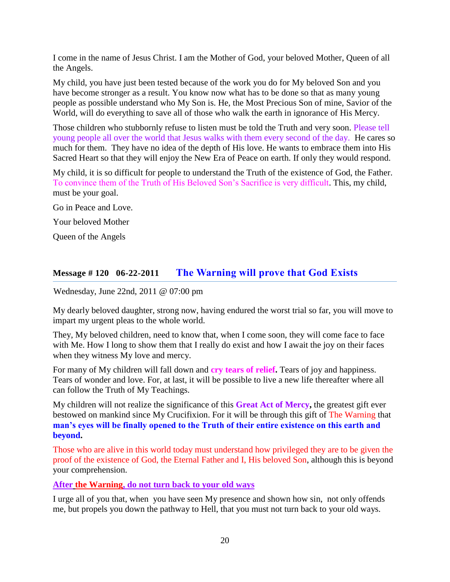I come in the name of Jesus Christ. I am the Mother of God, your beloved Mother, Queen of all the Angels.

My child, you have just been tested because of the work you do for My beloved Son and you have become stronger as a result. You know now what has to be done so that as many young people as possible understand who My Son is. He, the Most Precious Son of mine, Savior of the World, will do everything to save all of those who walk the earth in ignorance of His Mercy.

Those children who stubbornly refuse to listen must be told the Truth and very soon. Please tell young people all over the world that Jesus walks with them every second of the day. He cares so much for them. They have no idea of the depth of His love. He wants to embrace them into His Sacred Heart so that they will enjoy the New Era of Peace on earth. If only they would respond.

My child, it is so difficult for people to understand the Truth of the existence of God, the Father. To convince them of the Truth of His Beloved Son's Sacrifice is very difficult. This, my child, must be your goal.

Go in Peace and Love.

Your beloved Mother

Queen of the Angels

# **Message # 120 06-22-2011 [The Warning will prove that God Exists](http://www.thewarningsecondcoming.com/the-warning-will-prove-that-god-exists/)**

Wednesday, June 22nd, 2011 @ 07:00 pm

My dearly beloved daughter, strong now, having endured the worst trial so far, you will move to impart my urgent pleas to the whole world.

They, My beloved children, need to know that, when I come soon, they will come face to face with Me. How I long to show them that I really do exist and how I await the joy on their faces when they witness My love and mercy.

For many of My children will fall down and **cry tears of relief.** Tears of joy and happiness. Tears of wonder and love. For, at last, it will be possible to live a new life thereafter where all can follow the Truth of My Teachings.

My children will not realize the significance of this **Great Act of Mercy,** the greatest gift ever bestowed on mankind since My Crucifixion. For it will be through this gift of The Warning that **man's eyes will be finally opened to the Truth of their entire existence on this earth and beyond.**

Those who are alive in this world today must understand how privileged they are to be given the proof of the existence of God, the Eternal Father and I, His beloved Son, although this is beyond your comprehension.

**After the Warning, do not turn back to your old ways**

I urge all of you that, when you have seen My presence and shown how sin, not only offends me, but propels you down the pathway to Hell, that you must not turn back to your old ways.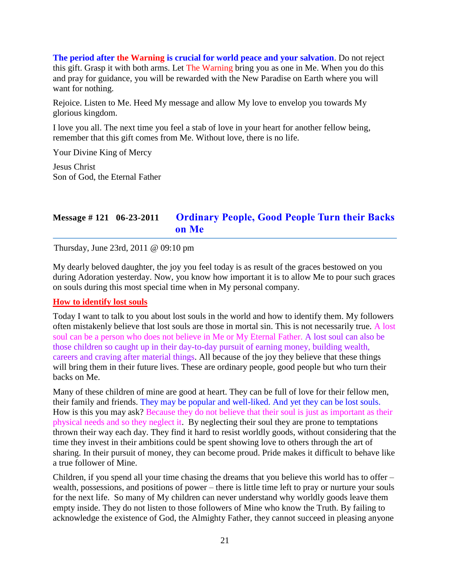**The period after the Warning is crucial for world peace and your salvation**. Do not reject this gift. Grasp it with both arms. Let The Warning bring you as one in Me. When you do this and pray for guidance, you will be rewarded with the New Paradise on Earth where you will want for nothing.

Rejoice. Listen to Me. Heed My message and allow My love to envelop you towards My glorious kingdom.

I love you all. The next time you feel a stab of love in your heart for another fellow being, remember that this gift comes from Me. Without love, there is no life.

Your Divine King of Mercy

Jesus Christ Son of God, the Eternal Father

# **Message # 121 06-23-2011 [Ordinary People, Good People Turn their Backs](http://www.thewarningsecondcoming.com/ordinary-people-good-people-turn-their-backs-on-me/)  [on Me](http://www.thewarningsecondcoming.com/ordinary-people-good-people-turn-their-backs-on-me/)**

Thursday, June 23rd, 2011 @ 09:10 pm

My dearly beloved daughter, the joy you feel today is as result of the graces bestowed on you during Adoration yesterday. Now, you know how important it is to allow Me to pour such graces on souls during this most special time when in My personal company.

### **How to identify lost souls**

Today I want to talk to you about lost souls in the world and how to identify them. My followers often mistakenly believe that lost souls are those in mortal sin. This is not necessarily true. A lost soul can be a person who does not believe in Me or My Eternal Father. A lost soul can also be those children so caught up in their day-to-day pursuit of earning money, building wealth, careers and craving after material things. All because of the joy they believe that these things will bring them in their future lives. These are ordinary people, good people but who turn their backs on Me.

Many of these children of mine are good at heart. They can be full of love for their fellow men, their family and friends. They may be popular and well-liked. And yet they can be lost souls. How is this you may ask? Because they do not believe that their soul is just as important as their physical needs and so they neglect it. By neglecting their soul they are prone to temptations thrown their way each day. They find it hard to resist worldly goods, without considering that the time they invest in their ambitions could be spent showing love to others through the art of sharing. In their pursuit of money, they can become proud. Pride makes it difficult to behave like a true follower of Mine.

Children, if you spend all your time chasing the dreams that you believe this world has to offer – wealth, possessions, and positions of power – there is little time left to pray or nurture your souls for the next life. So many of My children can never understand why worldly goods leave them empty inside. They do not listen to those followers of Mine who know the Truth. By failing to acknowledge the existence of God, the Almighty Father, they cannot succeed in pleasing anyone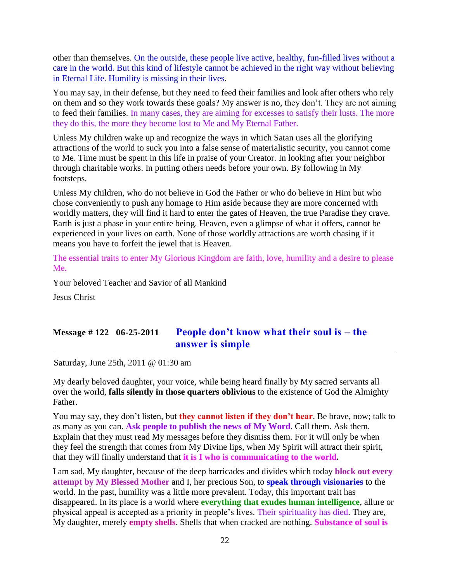other than themselves. On the outside, these people live active, healthy, fun-filled lives without a care in the world. But this kind of lifestyle cannot be achieved in the right way without believing in Eternal Life. Humility is missing in their lives.

You may say, in their defense, but they need to feed their families and look after others who rely on them and so they work towards these goals? My answer is no, they don't. They are not aiming to feed their families. In many cases, they are aiming for excesses to satisfy their lusts. The more they do this, the more they become lost to Me and My Eternal Father.

Unless My children wake up and recognize the ways in which Satan uses all the glorifying attractions of the world to suck you into a false sense of materialistic security, you cannot come to Me. Time must be spent in this life in praise of your Creator. In looking after your neighbor through charitable works. In putting others needs before your own. By following in My footsteps.

Unless My children, who do not believe in God the Father or who do believe in Him but who chose conveniently to push any homage to Him aside because they are more concerned with worldly matters, they will find it hard to enter the gates of Heaven, the true Paradise they crave. Earth is just a phase in your entire being. Heaven, even a glimpse of what it offers, cannot be experienced in your lives on earth. None of those worldly attractions are worth chasing if it means you have to forfeit the jewel that is Heaven.

The essential traits to enter My Glorious Kingdom are faith, love, humility and a desire to please Me.

Your beloved Teacher and Savior of all Mankind

Jesus Christ

## **Message # 122 06-25-2011 [People don't know what their soul is –](http://www.thewarningsecondcoming.com/people-dont-know-what-their-soul-is-the-answer-is-simple/) the [answer is simple](http://www.thewarningsecondcoming.com/people-dont-know-what-their-soul-is-the-answer-is-simple/)**

Saturday, June 25th, 2011 @ 01:30 am

My dearly beloved daughter, your voice, while being heard finally by My sacred servants all over the world, **falls silently in those quarters oblivious** to the existence of God the Almighty Father.

You may say, they don't listen, but **they cannot listen if they don't hear**. Be brave, now; talk to as many as you can. **Ask people to publish the news of My Word**. Call them. Ask them. Explain that they must read My messages before they dismiss them. For it will only be when they feel the strength that comes from My Divine lips, when My Spirit will attract their spirit, that they will finally understand that **it is I who is communicating to the world.**

I am sad, My daughter, because of the deep barricades and divides which today **block out every attempt by My Blessed Mother** and I, her precious Son, to **speak through visionaries** to the world. In the past, humility was a little more prevalent. Today, this important trait has disappeared. In its place is a world where **everything that exudes human intelligence**, allure or physical appeal is accepted as a priority in people's lives. Their spirituality has died. They are, My daughter, merely **empty shells**. Shells that when cracked are nothing. **Substance of soul is**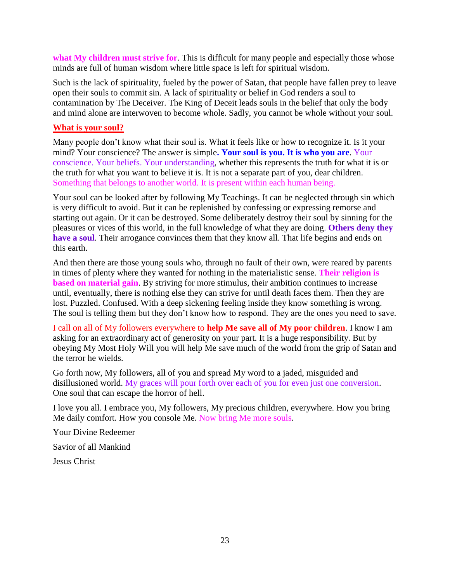**what My children must strive for**. This is difficult for many people and especially those whose minds are full of human wisdom where little space is left for spiritual wisdom.

Such is the lack of spirituality, fueled by the power of Satan, that people have fallen prey to leave open their souls to commit sin. A lack of spirituality or belief in God renders a soul to contamination by The Deceiver. The King of Deceit leads souls in the belief that only the body and mind alone are interwoven to become whole. Sadly, you cannot be whole without your soul.

### **What is your soul?**

Many people don't know what their soul is. What it feels like or how to recognize it. Is it your mind? Your conscience? The answer is simple**. Your soul is you. It is who you are**. Your conscience. Your beliefs. Your understanding, whether this represents the truth for what it is or the truth for what you want to believe it is. It is not a separate part of you, dear children. Something that belongs to another world. It is present within each human being.

Your soul can be looked after by following My Teachings. It can be neglected through sin which is very difficult to avoid. But it can be replenished by confessing or expressing remorse and starting out again. Or it can be destroyed. Some deliberately destroy their soul by sinning for the pleasures or vices of this world, in the full knowledge of what they are doing. **Others deny they have a soul**. Their arrogance convinces them that they know all. That life begins and ends on this earth.

And then there are those young souls who, through no fault of their own, were reared by parents in times of plenty where they wanted for nothing in the materialistic sense. **Their religion is based on material gain**. By striving for more stimulus, their ambition continues to increase until, eventually, there is nothing else they can strive for until death faces them. Then they are lost. Puzzled. Confused. With a deep sickening feeling inside they know something is wrong. The soul is telling them but they don't know how to respond. They are the ones you need to save.

I call on all of My followers everywhere to **help Me save all of My poor children**. I know I am asking for an extraordinary act of generosity on your part. It is a huge responsibility. But by obeying My Most Holy Will you will help Me save much of the world from the grip of Satan and the terror he wields.

Go forth now, My followers, all of you and spread My word to a jaded, misguided and disillusioned world. My graces will pour forth over each of you for even just one conversion. One soul that can escape the horror of hell.

I love you all. I embrace you, My followers, My precious children, everywhere. How you bring Me daily comfort. How you console Me. Now bring Me more souls.

Your Divine Redeemer

Savior of all Mankind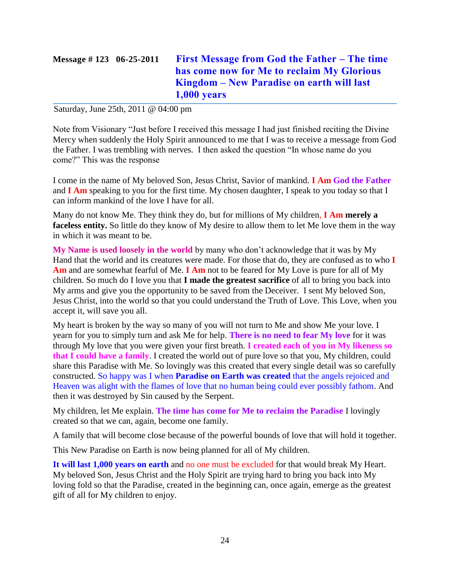# **Message # 123 06-25-2011 [First Message from God the Father –](http://www.thewarningsecondcoming.com/first-message-from-god-the-father-the-time-has-come-now-for-me-to-reclaim-my-glorious-kingdom-new-paradise-on-earth-will-last-1000-years/) The time [has come now for Me to reclaim My Glorious](http://www.thewarningsecondcoming.com/first-message-from-god-the-father-the-time-has-come-now-for-me-to-reclaim-my-glorious-kingdom-new-paradise-on-earth-will-last-1000-years/)  Kingdom – [New Paradise on earth will last](http://www.thewarningsecondcoming.com/first-message-from-god-the-father-the-time-has-come-now-for-me-to-reclaim-my-glorious-kingdom-new-paradise-on-earth-will-last-1000-years/)  [1,000 years](http://www.thewarningsecondcoming.com/first-message-from-god-the-father-the-time-has-come-now-for-me-to-reclaim-my-glorious-kingdom-new-paradise-on-earth-will-last-1000-years/)**

Saturday, June 25th, 2011 @ 04:00 pm

Note from Visionary "Just before I received this message I had just finished reciting the Divine Mercy when suddenly the Holy Spirit announced to me that I was to receive a message from God the Father. I was trembling with nerves. I then asked the question "In whose name do you come?" This was the response

I come in the name of My beloved Son, Jesus Christ, Savior of mankind. **I Am God the Father**  and **I Am** speaking to you for the first time. My chosen daughter, I speak to you today so that I can inform mankind of the love I have for all.

Many do not know Me. They think they do, but for millions of My children, **I Am merely a faceless entity.** So little do they know of My desire to allow them to let Me love them in the way in which it was meant to be.

**My Name is used loosely in the world** by many who don't acknowledge that it was by My Hand that the world and its creatures were made. For those that do, they are confused as to who **I Am** and are somewhat fearful of Me. **I Am** not to be feared for My Love is pure for all of My children. So much do I love you that **I made the greatest sacrifice** of all to bring you back into My arms and give you the opportunity to be saved from the Deceiver. I sent My beloved Son, Jesus Christ, into the world so that you could understand the Truth of Love. This Love, when you accept it, will save you all.

My heart is broken by the way so many of you will not turn to Me and show Me your love. I yearn for you to simply turn and ask Me for help. **There is no need to fear My love** for it was through My love that you were given your first breath. **I created each of you in My likeness so that I could have a family**. I created the world out of pure love so that you, My children, could share this Paradise with Me. So lovingly was this created that every single detail was so carefully constructed. So happy was I when **Paradise on Earth was created** that the angels rejoiced and Heaven was alight with the flames of love that no human being could ever possibly fathom. And then it was destroyed by Sin caused by the Serpent.

My children, let Me explain. **The time has come for Me to reclaim the Paradise** I lovingly created so that we can, again, become one family.

A family that will become close because of the powerful bounds of love that will hold it together.

This New Paradise on Earth is now being planned for all of My children.

**It will last 1,000 years on earth** and no one must be excluded for that would break My Heart. My beloved Son, Jesus Christ and the Holy Spirit are trying hard to bring you back into My loving fold so that the Paradise, created in the beginning can, once again, emerge as the greatest gift of all for My children to enjoy.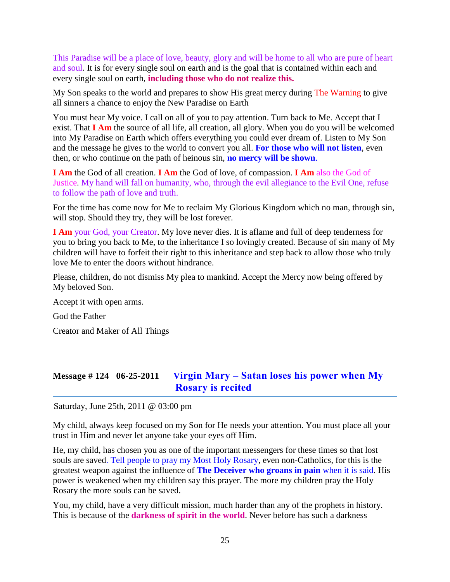This Paradise will be a place of love, beauty, glory and will be home to all who are pure of heart and soul. It is for every single soul on earth and is the goal that is contained within each and every single soul on earth, **including those who do not realize this.**

My Son speaks to the world and prepares to show His great mercy during The Warning to give all sinners a chance to enjoy the New Paradise on Earth

You must hear My voice. I call on all of you to pay attention. Turn back to Me. Accept that I exist. That **I Am** the source of all life, all creation, all glory. When you do you will be welcomed into My Paradise on Earth which offers everything you could ever dream of. Listen to My Son and the message he gives to the world to convert you all. **For those who will not listen**, even then, or who continue on the path of heinous sin, **no mercy will be shown**.

**I Am** the God of all creation. **I Am** the God of love, of compassion. **I Am** also the God of Justice. My hand will fall on humanity, who, through the evil allegiance to the Evil One, refuse to follow the path of love and truth.

For the time has come now for Me to reclaim My Glorious Kingdom which no man, through sin, will stop. Should they try, they will be lost forever.

**I Am** your God, your Creator. My love never dies. It is aflame and full of deep tenderness for you to bring you back to Me, to the inheritance I so lovingly created. Because of sin many of My children will have to forfeit their right to this inheritance and step back to allow those who truly love Me to enter the doors without hindrance.

Please, children, do not dismiss My plea to mankind. Accept the Mercy now being offered by My beloved Son.

Accept it with open arms.

God the Father

Creator and Maker of All Things

# **Message # 124 06-25-2011 Virgin Mary – [Satan loses his power when My](http://www.thewarningsecondcoming.com/virgin-mary-satan-loses-his-power-when-my-rosary-is-recited/)  [Rosary is recited](http://www.thewarningsecondcoming.com/virgin-mary-satan-loses-his-power-when-my-rosary-is-recited/)**

Saturday, June 25th, 2011 @ 03:00 pm

My child, always keep focused on my Son for He needs your attention. You must place all your trust in Him and never let anyone take your eyes off Him.

He, my child, has chosen you as one of the important messengers for these times so that lost souls are saved. Tell people to pray my Most Holy Rosary, even non-Catholics, for this is the greatest weapon against the influence of **The Deceiver who groans in pain** when it is said. His power is weakened when my children say this prayer. The more my children pray the Holy Rosary the more souls can be saved.

You, my child, have a very difficult mission, much harder than any of the prophets in history. This is because of the **darkness of spirit in the world**. Never before has such a darkness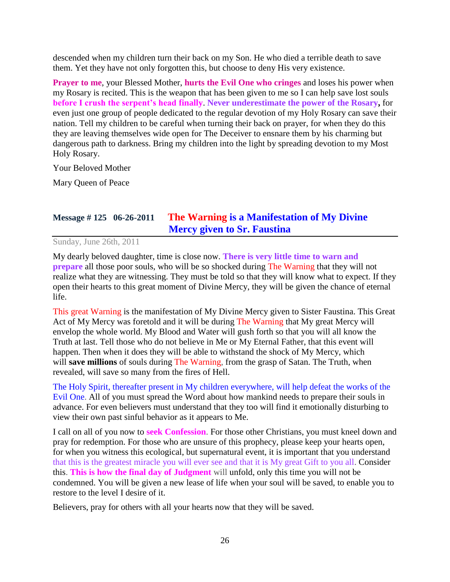descended when my children turn their back on my Son. He who died a terrible death to save them. Yet they have not only forgotten this, but choose to deny His very existence.

**Prayer to me**, your Blessed Mother, **hurts the Evil One who cringes** and loses his power when my Rosary is recited. This is the weapon that has been given to me so I can help save lost souls **before I crush the serpent's head finally**. **Never underestimate the power of the Rosary,** for even just one group of people dedicated to the regular devotion of my Holy Rosary can save their nation. Tell my children to be careful when turning their back on prayer, for when they do this they are leaving themselves wide open for The Deceiver to ensnare them by his charming but dangerous path to darkness. Bring my children into the light by spreading devotion to my Most Holy Rosary.

Your Beloved Mother

Mary Queen of Peace

# **Message # 125 06-26-2011 The Warning [is a Manifestation of My Divine](http://www.thewarningsecondcoming.com/the-warning-is-a-manifestation-of-my-divine-mercy-given-to-sr-faustina/)  [Mercy given to Sr. Faustina](http://www.thewarningsecondcoming.com/the-warning-is-a-manifestation-of-my-divine-mercy-given-to-sr-faustina/)**

Sunday, June 26th, 2011

My dearly beloved daughter, time is close now. **There is very little time to warn and prepare** all those poor souls, who will be so shocked during The Warning that they will not realize what they are witnessing. They must be told so that they will know what to expect. If they open their hearts to this great moment of Divine Mercy, they will be given the chance of eternal life.

This great Warning is the manifestation of My Divine Mercy given to Sister Faustina. This Great Act of My Mercy was foretold and it will be during The Warning that My great Mercy will envelop the whole world. My Blood and Water will gush forth so that you will all know the Truth at last. Tell those who do not believe in Me or My Eternal Father, that this event will happen. Then when it does they will be able to withstand the shock of My Mercy, which will **save millions** of souls during The Warning, from the grasp of Satan. The Truth, when revealed, will save so many from the fires of Hell.

The Holy Spirit, thereafter present in My children everywhere, will help defeat the works of the Evil One. All of you must spread the Word about how mankind needs to prepare their souls in advance. For even believers must understand that they too will find it emotionally disturbing to view their own past sinful behavior as it appears to Me.

I call on all of you now to **seek Confession**. For those other Christians, you must kneel down and pray for redemption. For those who are unsure of this prophecy, please keep your hearts open, for when you witness this ecological, but supernatural event, it is important that you understand that this is the greatest miracle you will ever see and that it is My great Gift to you all. Consider this. **This is how the final day of Judgment** will unfold, only this time you will not be condemned. You will be given a new lease of life when your soul will be saved, to enable you to restore to the level I desire of it.

Believers, pray for others with all your hearts now that they will be saved.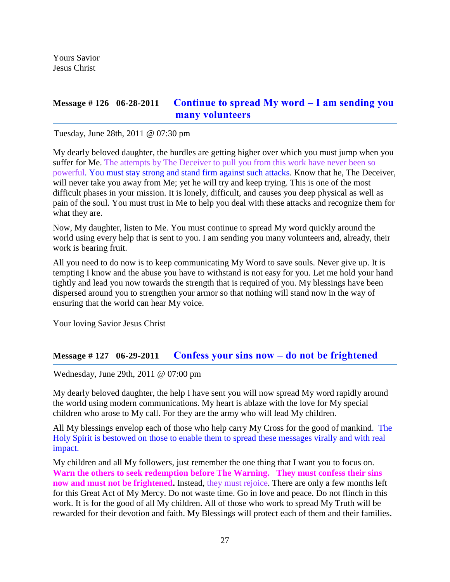Yours Savior Jesus Christ

## **Message # 126 06-28-2011 [Continue to spread My word –](http://www.thewarningsecondcoming.com/continue-to-spread-my-word-i-am-sending-you-many-volunteers/) I am sending you [many volunteers](http://www.thewarningsecondcoming.com/continue-to-spread-my-word-i-am-sending-you-many-volunteers/)**

Tuesday, June 28th, 2011 @ 07:30 pm

My dearly beloved daughter, the hurdles are getting higher over which you must jump when you suffer for Me. The attempts by The Deceiver to pull you from this work have never been so powerful. You must stay strong and stand firm against such attacks. Know that he, The Deceiver, will never take you away from Me; yet he will try and keep trying. This is one of the most difficult phases in your mission. It is lonely, difficult, and causes you deep physical as well as pain of the soul. You must trust in Me to help you deal with these attacks and recognize them for what they are.

Now, My daughter, listen to Me. You must continue to spread My word quickly around the world using every help that is sent to you. I am sending you many volunteers and, already, their work is bearing fruit.

All you need to do now is to keep communicating My Word to save souls. Never give up. It is tempting I know and the abuse you have to withstand is not easy for you. Let me hold your hand tightly and lead you now towards the strength that is required of you. My blessings have been dispersed around you to strengthen your armor so that nothing will stand now in the way of ensuring that the world can hear My voice.

Your loving Savior Jesus Christ

### **Message # 127 06-29-2011 [Confess your sins now –](http://www.thewarningsecondcoming.com/confess-your-sins-now-do-not-be-frightened/) do not be frightened**

Wednesday, June 29th, 2011 @ 07:00 pm

My dearly beloved daughter, the help I have sent you will now spread My word rapidly around the world using modern communications. My heart is ablaze with the love for My special children who arose to My call. For they are the army who will lead My children.

All My blessings envelop each of those who help carry My Cross for the good of mankind. The Holy Spirit is bestowed on those to enable them to spread these messages virally and with real impact.

My children and all My followers, just remember the one thing that I want you to focus on. **Warn the others to seek redemption before The Warning. They must confess their sins now and must not be frightened.** Instead, they must rejoice. There are only a few months left for this Great Act of My Mercy. Do not waste time. Go in love and peace. Do not flinch in this work. It is for the good of all My children. All of those who work to spread My Truth will be rewarded for their devotion and faith. My Blessings will protect each of them and their families.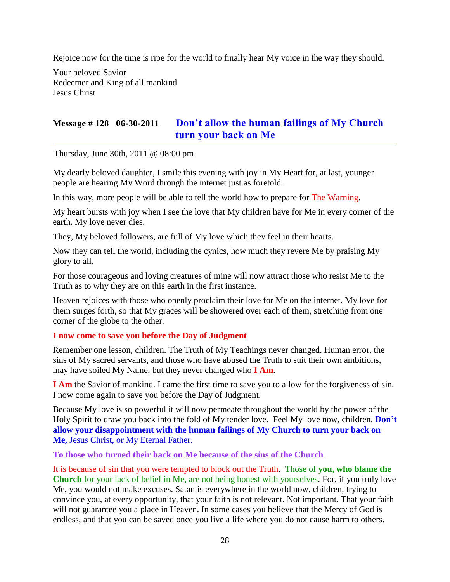Rejoice now for the time is ripe for the world to finally hear My voice in the way they should.

Your beloved Savior Redeemer and King of all mankind Jesus Christ

# **Message # 128 06-30-2011 [Don't allow the human failings of My Church](http://www.thewarningsecondcoming.com/dont-allow-the-human-failings-of-my-church-turn-your-back-on-me/)  [turn your back on Me](http://www.thewarningsecondcoming.com/dont-allow-the-human-failings-of-my-church-turn-your-back-on-me/)**

Thursday, June 30th, 2011 @ 08:00 pm

My dearly beloved daughter, I smile this evening with joy in My Heart for, at last, younger people are hearing My Word through the internet just as foretold.

In this way, more people will be able to tell the world how to prepare for The Warning.

My heart bursts with joy when I see the love that My children have for Me in every corner of the earth. My love never dies.

They, My beloved followers, are full of My love which they feel in their hearts.

Now they can tell the world, including the cynics, how much they revere Me by praising My glory to all.

For those courageous and loving creatures of mine will now attract those who resist Me to the Truth as to why they are on this earth in the first instance.

Heaven rejoices with those who openly proclaim their love for Me on the internet. My love for them surges forth, so that My graces will be showered over each of them, stretching from one corner of the globe to the other.

### **I now come to save you before the Day of Judgment**

Remember one lesson, children. The Truth of My Teachings never changed. Human error, the sins of My sacred servants, and those who have abused the Truth to suit their own ambitions, may have soiled My Name, but they never changed who **I Am**.

**I Am** the Savior of mankind. I came the first time to save you to allow for the forgiveness of sin. I now come again to save you before the Day of Judgment.

Because My love is so powerful it will now permeate throughout the world by the power of the Holy Spirit to draw you back into the fold of My tender love. Feel My love now, children. **Don't allow your disappointment with the human failings of My Church to turn your back on Me,** Jesus Christ, or My Eternal Father.

#### **To those who turned their back on Me because of the sins of the Church**

It is because of sin that you were tempted to block out the Truth. Those of **you, who blame the Church** for your lack of belief in Me, are not being honest with yourselves. For, if you truly love Me, you would not make excuses. Satan is everywhere in the world now, children, trying to convince you, at every opportunity, that your faith is not relevant. Not important. That your faith will not guarantee you a place in Heaven. In some cases you believe that the Mercy of God is endless, and that you can be saved once you live a life where you do not cause harm to others.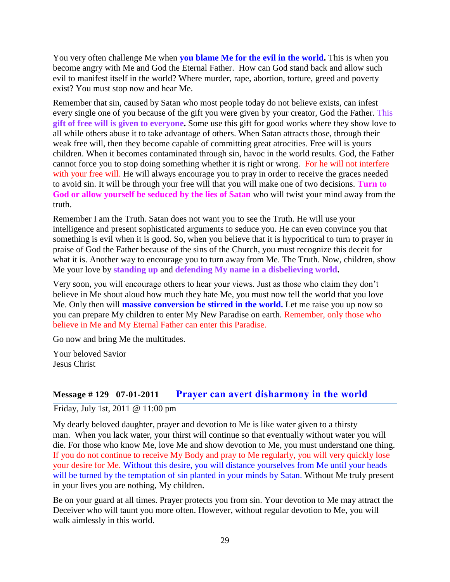You very often challenge Me when **you blame Me for the evil in the world.** This is when you become angry with Me and God the Eternal Father. How can God stand back and allow such evil to manifest itself in the world? Where murder, rape, abortion, torture, greed and poverty exist? You must stop now and hear Me.

Remember that sin, caused by Satan who most people today do not believe exists, can infest every single one of you because of the gift you were given by your creator, God the Father. This **gift of free will is given to everyone.** Some use this gift for good works where they show love to all while others abuse it to take advantage of others. When Satan attracts those, through their weak free will, then they become capable of committing great atrocities. Free will is yours children. When it becomes contaminated through sin, havoc in the world results. God, the Father cannot force you to stop doing something whether it is right or wrong. For he will not interfere with your free will. He will always encourage you to pray in order to receive the graces needed to avoid sin. It will be through your free will that you will make one of two decisions. **Turn to God or allow yourself be seduced by the lies of Satan** who will twist your mind away from the truth.

Remember I am the Truth. Satan does not want you to see the Truth. He will use your intelligence and present sophisticated arguments to seduce you. He can even convince you that something is evil when it is good. So, when you believe that it is hypocritical to turn to prayer in praise of God the Father because of the sins of the Church, you must recognize this deceit for what it is. Another way to encourage you to turn away from Me. The Truth. Now, children, show Me your love by **standing up** and **defending My name in a disbelieving world.**

Very soon, you will encourage others to hear your views. Just as those who claim they don't believe in Me shout aloud how much they hate Me, you must now tell the world that you love Me. Only then will **massive conversion be stirred in the world.** Let me raise you up now so you can prepare My children to enter My New Paradise on earth. Remember, only those who believe in Me and My Eternal Father can enter this Paradise.

Go now and bring Me the multitudes.

Your beloved Savior Jesus Christ

## **Message # 129 07-01-2011 [Prayer can avert disharmony in the world](http://www.thewarningsecondcoming.com/prayer-can-avert-disharmony-in-the-world/)**

Friday, July 1st, 2011 @ 11:00 pm

My dearly beloved daughter, prayer and devotion to Me is like water given to a thirsty man. When you lack water, your thirst will continue so that eventually without water you will die. For those who know Me, love Me and show devotion to Me, you must understand one thing. If you do not continue to receive My Body and pray to Me regularly, you will very quickly lose your desire for Me. Without this desire, you will distance yourselves from Me until your heads will be turned by the temptation of sin planted in your minds by Satan. Without Me truly present in your lives you are nothing, My children.

Be on your guard at all times. Prayer protects you from sin. Your devotion to Me may attract the Deceiver who will taunt you more often. However, without regular devotion to Me, you will walk aimlessly in this world.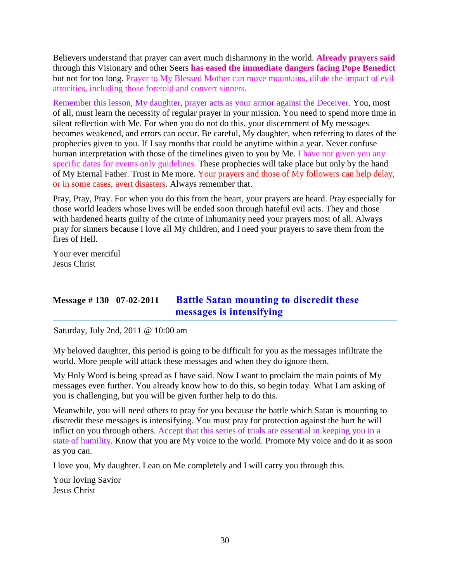Believers understand that prayer can avert much disharmony in the world. **Already prayers said** through this Visionary and other Seers **has eased the immediate dangers facing Pope Benedict** but not for too long. Prayer to My Blessed Mother can move mountains, dilute the impact of evil atrocities, including those foretold and convert sinners.

Remember this lesson, My daughter, prayer acts as your armor against the Deceiver. You, most of all, must learn the necessity of regular prayer in your mission. You need to spend more time in silent reflection with Me. For when you do not do this, your discernment of My messages becomes weakened, and errors can occur. Be careful, My daughter, when referring to dates of the prophecies given to you. If I say months that could be anytime within a year. Never confuse human interpretation with those of the timelines given to you by Me. I have not given you any specific dates for events only guidelines. These prophecies will take place but only by the hand of My Eternal Father. Trust in Me more. Your prayers and those of My followers can help delay, or in some cases, avert disasters. Always remember that.

Pray, Pray, Pray. For when you do this from the heart, your prayers are heard. Pray especially for those world leaders whose lives will be ended soon through hateful evil acts. They and those with hardened hearts guilty of the crime of inhumanity need your prayers most of all. Always pray for sinners because I love all My children, and I need your prayers to save them from the fires of Hell.

Your ever merciful Jesus Christ

# **Message # 130 07-02-2011 [Battle Satan mounting to](http://www.thewarningsecondcoming.com/battle-satan-mounting-to-discredit-these-messages-is-intensifying/) discredit these [messages is intensifying](http://www.thewarningsecondcoming.com/battle-satan-mounting-to-discredit-these-messages-is-intensifying/)**

Saturday, July 2nd, 2011 @ 10:00 am

My beloved daughter, this period is going to be difficult for you as the messages infiltrate the world. More people will attack these messages and when they do ignore them.

My Holy Word is being spread as I have said. Now I want to proclaim the main points of My messages even further. You already know how to do this, so begin today. What I am asking of you is challenging, but you will be given further help to do this.

Meanwhile, you will need others to pray for you because the battle which Satan is mounting to discredit these messages is intensifying. You must pray for protection against the hurt he will inflict on you through others. Accept that this series of trials are essential in keeping you in a state of humility. Know that you are My voice to the world. Promote My voice and do it as soon as you can.

I love you, My daughter. Lean on Me completely and I will carry you through this.

Your loving Savior Jesus Christ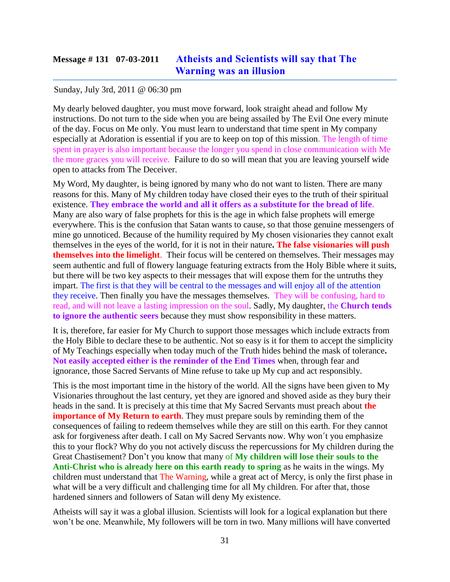# **Message # 131 07-03-2011 [Atheists and Scientists will say that The](http://www.thewarningsecondcoming.com/athiests-and-scientists-will-say-that-the-warning-was-an-illusion/)  [Warning was an illusion](http://www.thewarningsecondcoming.com/athiests-and-scientists-will-say-that-the-warning-was-an-illusion/)**

#### Sunday, July 3rd, 2011 @ 06:30 pm

My dearly beloved daughter, you must move forward, look straight ahead and follow My instructions. Do not turn to the side when you are being assailed by The Evil One every minute of the day. Focus on Me only. You must learn to understand that time spent in My company especially at Adoration is essential if you are to keep on top of this mission. The length of time spent in prayer is also important because the longer you spend in close communication with Me the more graces you will receive. Failure to do so will mean that you are leaving yourself wide open to attacks from The Deceiver.

My Word, My daughter, is being ignored by many who do not want to listen. There are many reasons for this. Many of My children today have closed their eyes to the truth of their spiritual existence. **They embrace the world and all it offers as a substitute for the bread of life**. Many are also wary of false prophets for this is the age in which false prophets will emerge everywhere. This is the confusion that Satan wants to cause, so that those genuine messengers of mine go unnoticed. Because of the humility required by My chosen visionaries they cannot exalt themselves in the eyes of the world, for it is not in their nature**. The false visionaries will push themselves into the limelight**. Their focus will be centered on themselves. Their messages may seem authentic and full of flowery language featuring extracts from the Holy Bible where it suits, but there will be two key aspects to their messages that will expose them for the untruths they impart. The first is that they will be central to the messages and will enjoy all of the attention they receive. Then finally you have the messages themselves. They will be confusing, hard to read, and will not leave a lasting impression on the soul. Sadly, My daughter, the **Church tends to ignore the authentic seers** because they must show responsibility in these matters.

It is, therefore, far easier for My Church to support those messages which include extracts from the Holy Bible to declare these to be authentic. Not so easy is it for them to accept the simplicity of My Teachings especially when today much of the Truth hides behind the mask of tolerance**. Not easily accepted either is the reminder of the End Times** when, through fear and ignorance, those Sacred Servants of Mine refuse to take up My cup and act responsibly.

This is the most important time in the history of the world. All the signs have been given to My Visionaries throughout the last century, yet they are ignored and shoved aside as they bury their heads in the sand. It is precisely at this time that My Sacred Servants must preach about **the importance of My Return to earth**. They must prepare souls by reminding them of the consequences of failing to redeem themselves while they are still on this earth. For they cannot ask for forgiveness after death. I call on My Sacred Servants now. Why won´t you emphasize this to your flock? Why do you not actively discuss the repercussions for My children during the Great Chastisement? Don't you know that many of **My children will lose their souls to the Anti-Christ who is already here on this earth ready to spring** as he waits in the wings. My children must understand that The Warning, while a great act of Mercy, is only the first phase in what will be a very difficult and challenging time for all My children. For after that, those hardened sinners and followers of Satan will deny My existence.

Atheists will say it was a global illusion. Scientists will look for a logical explanation but there won't be one. Meanwhile, My followers will be torn in two. Many millions will have converted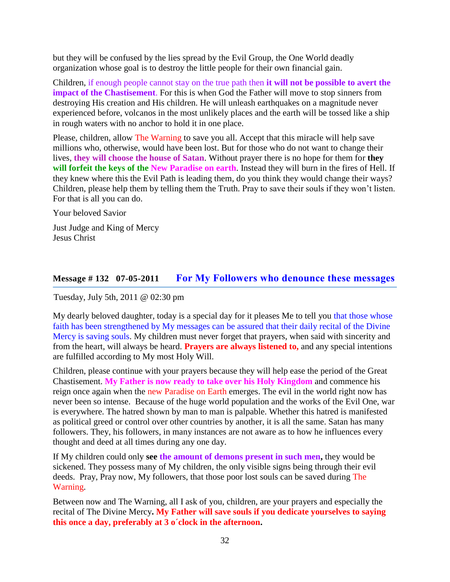but they will be confused by the lies spread by the Evil Group, the One World deadly organization whose goal is to destroy the little people for their own financial gain.

Children, if enough people cannot stay on the true path then **it will not be possible to avert the impact of the Chastisement**. For this is when God the Father will move to stop sinners from destroying His creation and His children. He will unleash earthquakes on a magnitude never experienced before, volcanos in the most unlikely places and the earth will be tossed like a ship in rough waters with no anchor to hold it in one place.

Please, children, allow The Warning to save you all. Accept that this miracle will help save millions who, otherwise, would have been lost. But for those who do not want to change their lives, **they will choose the house of Satan**. Without prayer there is no hope for them for **they will forfeit the keys of the New Paradise on earth**. Instead they will burn in the fires of Hell. If they knew where this the Evil Path is leading them, do you think they would change their ways? Children, please help them by telling them the Truth. Pray to save their souls if they won't listen. For that is all you can do.

Your beloved Savior

Just Judge and King of Mercy Jesus Christ

## **Message # 132 07-05-2011 [For My Followers who denounce these messages](http://www.thewarningsecondcoming.com/for-my-followers-who-denounce-these-messages/)**

Tuesday, July 5th, 2011 @ 02:30 pm

My dearly beloved daughter, today is a special day for it pleases Me to tell you that those whose faith has been strengthened by My messages can be assured that their daily recital of the Divine Mercy is saving souls. My children must never forget that prayers, when said with sincerity and from the heart, will always be heard. **Prayers are always listened to,** and any special intentions are fulfilled according to My most Holy Will.

Children, please continue with your prayers because they will help ease the period of the Great Chastisement. **My Father is now ready to take over his Holy Kingdom** and commence his reign once again when the new Paradise on Earth emerges. The evil in the world right now has never been so intense. Because of the huge world population and the works of the Evil One, war is everywhere. The hatred shown by man to man is palpable. Whether this hatred is manifested as political greed or control over other countries by another, it is all the same. Satan has many followers. They, his followers, in many instances are not aware as to how he influences every thought and deed at all times during any one day.

If My children could only **see the amount of demons present in such men,** they would be sickened. They possess many of My children, the only visible signs being through their evil deeds. Pray, Pray now, My followers, that those poor lost souls can be saved during The Warning.

Between now and The Warning, all I ask of you, children, are your prayers and especially the recital of The Divine Mercy**. My Father will save souls if you dedicate yourselves to saying this once a day, preferably at 3 o´clock in the afternoon.**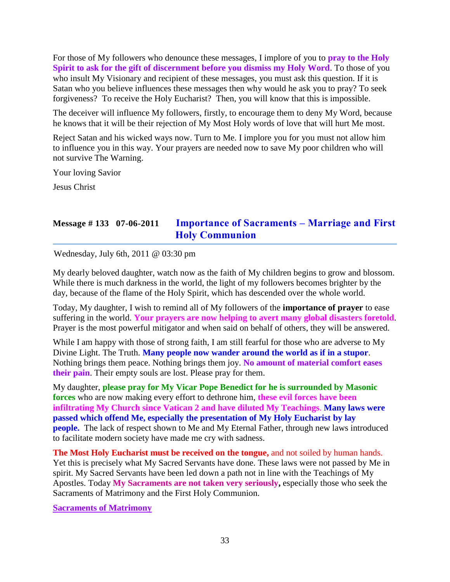For those of My followers who denounce these messages, I implore of you to **pray to the Holy Spirit to ask for the gift of discernment before you dismiss my Holy Word**. To those of you who insult My Visionary and recipient of these messages, you must ask this question. If it is Satan who you believe influences these messages then why would he ask you to pray? To seek forgiveness? To receive the Holy Eucharist? Then, you will know that this is impossible.

The deceiver will influence My followers, firstly, to encourage them to deny My Word, because he knows that it will be their rejection of My Most Holy words of love that will hurt Me most.

Reject Satan and his wicked ways now. Turn to Me. I implore you for you must not allow him to influence you in this way. Your prayers are needed now to save My poor children who will not survive The Warning.

Your loving Savior

Jesus Christ

## **Message # 133 07-06-2011 [Importance of Sacraments –](http://www.thewarningsecondcoming.com/importance-of-sacraments-marriage-and-first-holy-communion/) Marriage and First [Holy Communion](http://www.thewarningsecondcoming.com/importance-of-sacraments-marriage-and-first-holy-communion/)**

Wednesday, July 6th, 2011 @ 03:30 pm

My dearly beloved daughter, watch now as the faith of My children begins to grow and blossom. While there is much darkness in the world, the light of my followers becomes brighter by the day, because of the flame of the Holy Spirit, which has descended over the whole world.

Today, My daughter, I wish to remind all of My followers of the **importance of prayer** to ease suffering in the world. **Your prayers are now helping to avert many global disasters foretold**. Prayer is the most powerful mitigator and when said on behalf of others, they will be answered.

While I am happy with those of strong faith, I am still fearful for those who are adverse to My Divine Light. The Truth. **Many people now wander around the world as if in a stupor**. Nothing brings them peace. Nothing brings them joy. **No amount of material comfort eases their pain**. Their empty souls are lost. Please pray for them.

My daughter, **please pray for My Vicar Pope Benedict for he is surrounded by Masonic forces** who are now making every effort to dethrone him, **these evil forces have been infiltrating My Church since Vatican 2 and have diluted My Teachings**. **Many laws were passed which offend Me, especially the presentation of My Holy Eucharist by lay people.** The lack of respect shown to Me and My Eternal Father, through new laws introduced to facilitate modern society have made me cry with sadness.

**The Most Holy Eucharist must be received on the tongue,** and not soiled by human hands. Yet this is precisely what My Sacred Servants have done. These laws were not passed by Me in spirit. My Sacred Servants have been led down a path not in line with the Teachings of My Apostles. Today **My Sacraments are not taken very seriously,** especially those who seek the Sacraments of Matrimony and the First Holy Communion.

**Sacraments of Matrimony**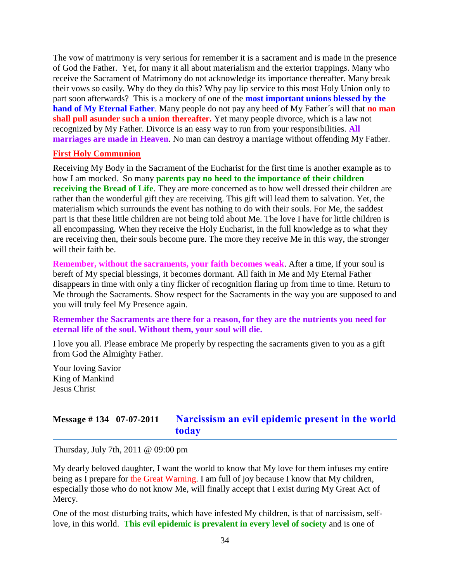The vow of matrimony is very serious for remember it is a sacrament and is made in the presence of God the Father. Yet, for many it all about materialism and the exterior trappings. Many who receive the Sacrament of Matrimony do not acknowledge its importance thereafter. Many break their vows so easily. Why do they do this? Why pay lip service to this most Holy Union only to part soon afterwards? This is a mockery of one of the **most important unions blessed by the hand of My Eternal Father**. Many people do not pay any heed of My Father´s will that **no man shall pull asunder such a union thereafter.** Yet many people divorce, which is a law not recognized by My Father. Divorce is an easy way to run from your responsibilities. **All marriages are made in Heaven**. No man can destroy a marriage without offending My Father.

### **First Holy Communion**

Receiving My Body in the Sacrament of the Eucharist for the first time is another example as to how I am mocked. So many **parents pay no heed to the importance of their children receiving the Bread of Life**. They are more concerned as to how well dressed their children are rather than the wonderful gift they are receiving. This gift will lead them to salvation. Yet, the materialism which surrounds the event has nothing to do with their souls. For Me, the saddest part is that these little children are not being told about Me. The love I have for little children is all encompassing. When they receive the Holy Eucharist, in the full knowledge as to what they are receiving then, their souls become pure. The more they receive Me in this way, the stronger will their faith be.

**Remember, without the sacraments, your faith becomes weak**. After a time, if your soul is bereft of My special blessings, it becomes dormant. All faith in Me and My Eternal Father disappears in time with only a tiny flicker of recognition flaring up from time to time. Return to Me through the Sacraments. Show respect for the Sacraments in the way you are supposed to and you will truly feel My Presence again.

### **Remember the Sacraments are there for a reason, for they are the nutrients you need for eternal life of the soul. Without them, your soul will die.**

I love you all. Please embrace Me properly by respecting the sacraments given to you as a gift from God the Almighty Father.

Your loving Savior King of Mankind Jesus Christ

## **Message # 134 07-07-2011 [Narcissism an evil epidemic present in the world](http://www.thewarningsecondcoming.com/narcissism-an-evil-epidemic-present-in-the-world-today/)  [today](http://www.thewarningsecondcoming.com/narcissism-an-evil-epidemic-present-in-the-world-today/)**

Thursday, July 7th, 2011 @ 09:00 pm

My dearly beloved daughter, I want the world to know that My love for them infuses my entire being as I prepare for the Great Warning. I am full of joy because I know that My children, especially those who do not know Me, will finally accept that I exist during My Great Act of Mercy.

One of the most disturbing traits, which have infested My children, is that of narcissism, selflove, in this world. **This evil epidemic is prevalent in every level of society** and is one of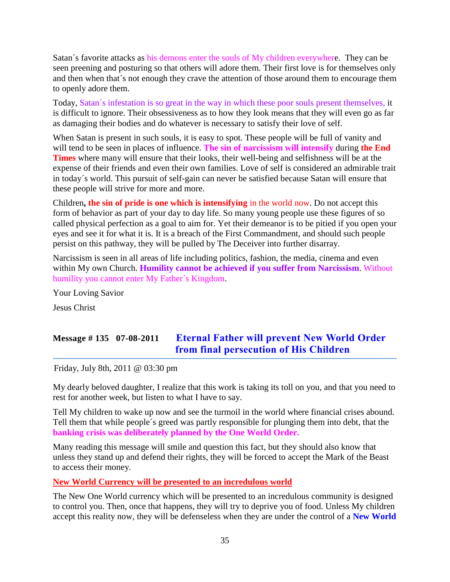Satan´s favorite attacks as his demons enter the souls of My children everywhere. They can be seen preening and posturing so that others will adore them. Their first love is for themselves only and then when that´s not enough they crave the attention of those around them to encourage them to openly adore them.

Today, Satan´s infestation is so great in the way in which these poor souls present themselves, it is difficult to ignore. Their obsessiveness as to how they look means that they will even go as far as damaging their bodies and do whatever is necessary to satisfy their love of self.

When Satan is present in such souls, it is easy to spot. These people will be full of vanity and will tend to be seen in places of influence. **The sin of narcissism will intensify** during **the End Times** where many will ensure that their looks, their well-being and selfishness will be at the expense of their friends and even their own families. Love of self is considered an admirable trait in today´s world. This pursuit of self-gain can never be satisfied because Satan will ensure that these people will strive for more and more.

Children**, the sin of pride is one which is intensifying** in the world now. Do not accept this form of behavior as part of your day to day life. So many young people use these figures of so called physical perfection as a goal to aim for. Yet their demeanor is to be pitied if you open your eyes and see it for what it is. It is a breach of the First Commandment, and should such people persist on this pathway, they will be pulled by The Deceiver into further disarray.

Narcissism is seen in all areas of life including politics, fashion, the media, cinema and even within My own Church. **Humility cannot be achieved if you suffer from Narcissism**. Without humility you cannot enter My Father´s Kingdom.

Your Loving Savior Jesus Christ

# **Message # 135 07-08-2011 [Eternal Father will prevent New World Order](http://www.thewarningsecondcoming.com/eternal-father-will-prevent-new-world-order-from-final-persecution-of-his-children/)  [from final persecution of His Children](http://www.thewarningsecondcoming.com/eternal-father-will-prevent-new-world-order-from-final-persecution-of-his-children/)**

Friday, July 8th, 2011 @ 03:30 pm

My dearly beloved daughter, I realize that this work is taking its toll on you, and that you need to rest for another week, but listen to what I have to say.

Tell My children to wake up now and see the turmoil in the world where financial crises abound. Tell them that while people´s greed was partly responsible for plunging them into debt, that the **banking crisis was deliberately planned by the One World Order.**

Many reading this message will smile and question this fact, but they should also know that unless they stand up and defend their rights, they will be forced to accept the Mark of the Beast to access their money.

### **New World Currency will be presented to an incredulous world**

The New One World currency which will be presented to an incredulous community is designed to control you. Then, once that happens, they will try to deprive you of food. Unless My children accept this reality now, they will be defenseless when they are under the control of a **New World**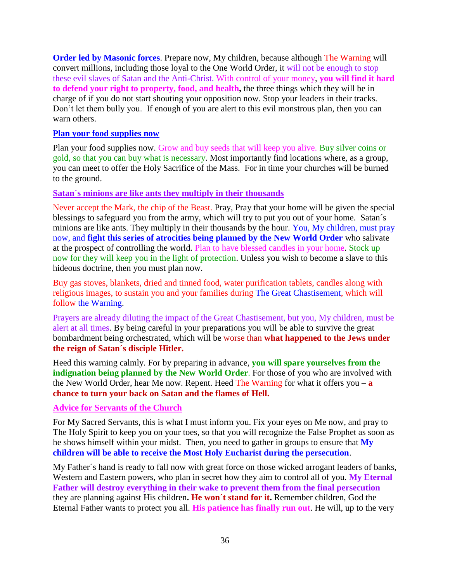**Order led by Masonic forces**. Prepare now, My children, because although The Warning will convert millions, including those loyal to the One World Order, it will not be enough to stop these evil slaves of Satan and the Anti-Christ. With control of your money, **you will find it hard to defend your right to property, food, and health,** the three things which they will be in charge of if you do not start shouting your opposition now. Stop your leaders in their tracks. Don't let them bully you. If enough of you are alert to this evil monstrous plan, then you can warn others.

#### **Plan your food supplies now**

Plan your food supplies now. Grow and buy seeds that will keep you alive. Buy silver coins or gold, so that you can buy what is necessary. Most importantly find locations where, as a group, you can meet to offer the Holy Sacrifice of the Mass. For in time your churches will be burned to the ground.

#### **Satan´s minions are like ants they multiply in their thousands**

Never accept the Mark, the chip of the Beast. Pray, Pray that your home will be given the special blessings to safeguard you from the army, which will try to put you out of your home. Satan´s minions are like ants. They multiply in their thousands by the hour. You, My children, must pray now, and **fight this series of atrocities being planned by the New World Order** who salivate at the prospect of controlling the world. Plan to have blessed candles in your home. Stock up now for they will keep you in the light of protection. Unless you wish to become a slave to this hideous doctrine, then you must plan now.

Buy gas stoves, blankets, dried and tinned food, water purification tablets, candles along with religious images, to sustain you and your families during The Great Chastisement, which will follow the Warning.

Prayers are already diluting the impact of the Great Chastisement, but you, My children, must be alert at all times. By being careful in your preparations you will be able to survive the great bombardment being orchestrated, which will be worse than **what happened to the Jews under the reign of Satan´s disciple Hitler.**

Heed this warning calmly. For by preparing in advance, **you will spare yourselves from the indignation being planned by the New World Order**. For those of you who are involved with the New World Order, hear Me now. Repent. Heed The Warning for what it offers you – **a chance to turn your back on Satan and the flames of Hell.**

### **Advice for Servants of the Church**

For My Sacred Servants, this is what I must inform you. Fix your eyes on Me now, and pray to The Holy Spirit to keep you on your toes, so that you will recognize the False Prophet as soon as he shows himself within your midst. Then, you need to gather in groups to ensure that **My children will be able to receive the Most Holy Eucharist during the persecution**.

My Father´s hand is ready to fall now with great force on those wicked arrogant leaders of banks, Western and Eastern powers, who plan in secret how they aim to control all of you. **My Eternal Father will destroy everything in their wake to prevent them from the final persecution** they are planning against His children**. He won´t stand for it.** Remember children, God the Eternal Father wants to protect you all. **His patience has finally run out**. He will, up to the very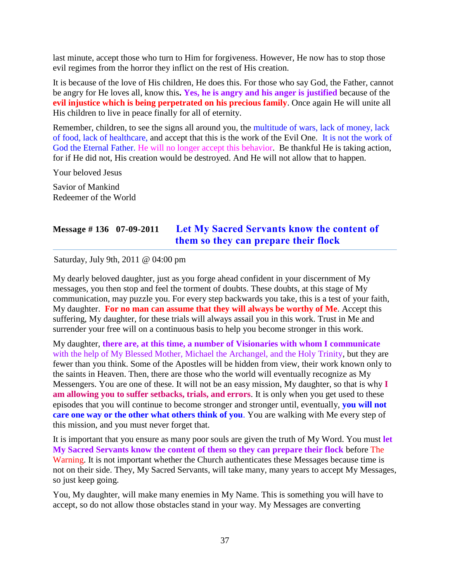last minute, accept those who turn to Him for forgiveness. However, He now has to stop those evil regimes from the horror they inflict on the rest of His creation.

It is because of the love of His children, He does this. For those who say God, the Father, cannot be angry for He loves all, know this**. Yes, he is angry and his anger is justified** because of the **evil injustice which is being perpetrated on his precious family**. Once again He will unite all His children to live in peace finally for all of eternity.

Remember, children, to see the signs all around you, the multitude of wars, lack of money, lack of food, lack of healthcare, and accept that this is the work of the Evil One. It is not the work of God the Eternal Father. He will no longer accept this behavior. Be thankful He is taking action, for if He did not, His creation would be destroyed. And He will not allow that to happen.

Your beloved Jesus

Savior of Mankind Redeemer of the World

# **Message # 136 07-09-2011 [Let My Sacred Servants know the content of](http://www.thewarningsecondcoming.com/let-my-sacred-servants-know-the-content-of-them-so-they-can-prepare-their-flock/)  [them so they can prepare their flock](http://www.thewarningsecondcoming.com/let-my-sacred-servants-know-the-content-of-them-so-they-can-prepare-their-flock/)**

Saturday, July 9th, 2011 @ 04:00 pm

My dearly beloved daughter, just as you forge ahead confident in your discernment of My messages, you then stop and feel the torment of doubts. These doubts, at this stage of My communication, may puzzle you. For every step backwards you take, this is a test of your faith, My daughter. **For no man can assume that they will always be worthy of Me**. Accept this suffering, My daughter, for these trials will always assail you in this work. Trust in Me and surrender your free will on a continuous basis to help you become stronger in this work.

My daughter, **there are, at this time, a number of Visionaries with whom I communicate**  with the help of My Blessed Mother, Michael the Archangel, and the Holy Trinity, but they are fewer than you think. Some of the Apostles will be hidden from view, their work known only to the saints in Heaven. Then, there are those who the world will eventually recognize as My Messengers. You are one of these. It will not be an easy mission, My daughter, so that is why **I am allowing you to suffer setbacks, trials, and errors**. It is only when you get used to these episodes that you will continue to become stronger and stronger until, eventually, **you will not care one way or the other what others think of you**. You are walking with Me every step of this mission, and you must never forget that.

It is important that you ensure as many poor souls are given the truth of My Word. You must **let My Sacred Servants know the content of them so they can prepare their flock** before The Warning. It is not important whether the Church authenticates these Messages because time is not on their side. They, My Sacred Servants, will take many, many years to accept My Messages, so just keep going.

You, My daughter, will make many enemies in My Name. This is something you will have to accept, so do not allow those obstacles stand in your way. My Messages are converting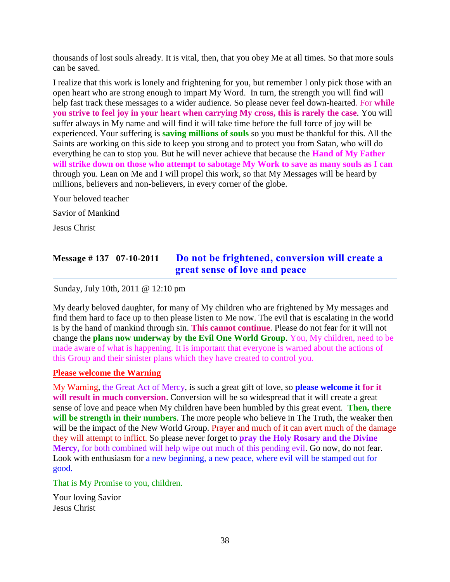thousands of lost souls already. It is vital, then, that you obey Me at all times. So that more souls can be saved.

I realize that this work is lonely and frightening for you, but remember I only pick those with an open heart who are strong enough to impart My Word. In turn, the strength you will find will help fast track these messages to a wider audience. So please never feel down-hearted. For **while you strive to feel joy in your heart when carrying My cross, this is rarely the case**. You will suffer always in My name and will find it will take time before the full force of joy will be experienced. Your suffering is **saving millions of souls** so you must be thankful for this. All the Saints are working on this side to keep you strong and to protect you from Satan, who will do everything he can to stop you. But he will never achieve that because the **Hand of My Father will strike down on those who attempt to sabotage My Work to save as many souls as I can** through you. Lean on Me and I will propel this work, so that My Messages will be heard by millions, believers and non-believers, in every corner of the globe.

Your beloved teacher Savior of Mankind Jesus Christ

# **Message # 137 07-10-2011 Do not be frightened, [conversion will create a](http://www.thewarningsecondcoming.com/do-not-be-frightened-conversion-will-create-a-great-sense-of-love-and-peace/)  [great sense of love and peace](http://www.thewarningsecondcoming.com/do-not-be-frightened-conversion-will-create-a-great-sense-of-love-and-peace/)**

Sunday, July 10th, 2011 @ 12:10 pm

My dearly beloved daughter, for many of My children who are frightened by My messages and find them hard to face up to then please listen to Me now. The evil that is escalating in the world is by the hand of mankind through sin. **This cannot continue**. Please do not fear for it will not change the **plans now underway by the Evil One World Group**. You, My children, need to be made aware of what is happening. It is important that everyone is warned about the actions of this Group and their sinister plans which they have created to control you.

#### **Please welcome the Warning**

My Warning, the Great Act of Mercy, is such a great gift of love, so **please welcome it for it will result in much conversion**. Conversion will be so widespread that it will create a great sense of love and peace when My children have been humbled by this great event. **Then, there will be strength in their numbers**. The more people who believe in The Truth, the weaker then will be the impact of the New World Group. Prayer and much of it can avert much of the damage they will attempt to inflict. So please never forget to **pray the Holy Rosary and the Divine Mercy,** for both combined will help wipe out much of this pending evil. Go now, do not fear. Look with enthusiasm for a new beginning, a new peace, where evil will be stamped out for good.

That is My Promise to you, children.

Your loving Savior Jesus Christ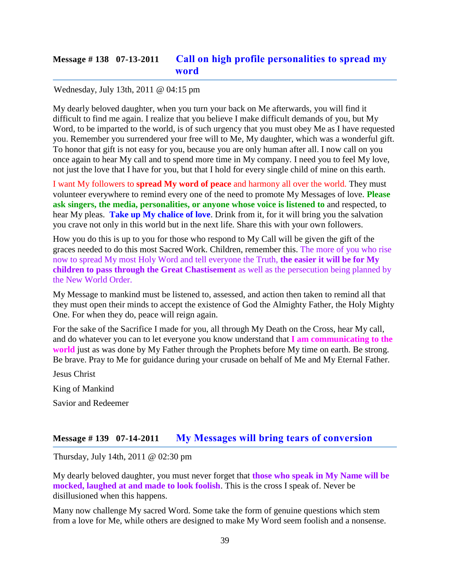# **Message # 138 07-13-2011 [Call on high profile personalities to spread my](http://www.thewarningsecondcoming.com/call-on-high-profile-personalities-to-spread-my-word/)  [word](http://www.thewarningsecondcoming.com/call-on-high-profile-personalities-to-spread-my-word/)**

#### Wednesday, July 13th, 2011 @ 04:15 pm

My dearly beloved daughter, when you turn your back on Me afterwards, you will find it difficult to find me again. I realize that you believe I make difficult demands of you, but My Word, to be imparted to the world, is of such urgency that you must obey Me as I have requested you. Remember you surrendered your free will to Me, My daughter, which was a wonderful gift. To honor that gift is not easy for you, because you are only human after all. I now call on you once again to hear My call and to spend more time in My company. I need you to feel My love, not just the love that I have for you, but that I hold for every single child of mine on this earth.

I want My followers to **spread My word of peace** and harmony all over the world. They must volunteer everywhere to remind every one of the need to promote My Messages of love. **Please ask singers, the media, personalities, or anyone whose voice is listened to** and respected, to hear My pleas. **Take up My chalice of love**. Drink from it, for it will bring you the salvation you crave not only in this world but in the next life. Share this with your own followers.

How you do this is up to you for those who respond to My Call will be given the gift of the graces needed to do this most Sacred Work. Children, remember this. The more of you who rise now to spread My most Holy Word and tell everyone the Truth, **the easier it will be for My children to pass through the Great Chastisement** as well as the persecution being planned by the New World Order.

My Message to mankind must be listened to, assessed, and action then taken to remind all that they must open their minds to accept the existence of God the Almighty Father, the Holy Mighty One. For when they do, peace will reign again.

For the sake of the Sacrifice I made for you, all through My Death on the Cross, hear My call, and do whatever you can to let everyone you know understand that **I am communicating to the world** just as was done by My Father through the Prophets before My time on earth. Be strong. Be brave. Pray to Me for guidance during your crusade on behalf of Me and My Eternal Father.

Jesus Christ

King of Mankind

Savior and Redeemer

### **Message # 139 07-14-2011 [My Messages will bring tears of conversion](http://www.thewarningsecondcoming.com/my-messages-will-bring-tears-of-conversion/)**

Thursday, July 14th, 2011 @ 02:30 pm

My dearly beloved daughter, you must never forget that **those who speak in My Name will be mocked, laughed at and made to look foolish**. This is the cross I speak of. Never be disillusioned when this happens.

Many now challenge My sacred Word. Some take the form of genuine questions which stem from a love for Me, while others are designed to make My Word seem foolish and a nonsense.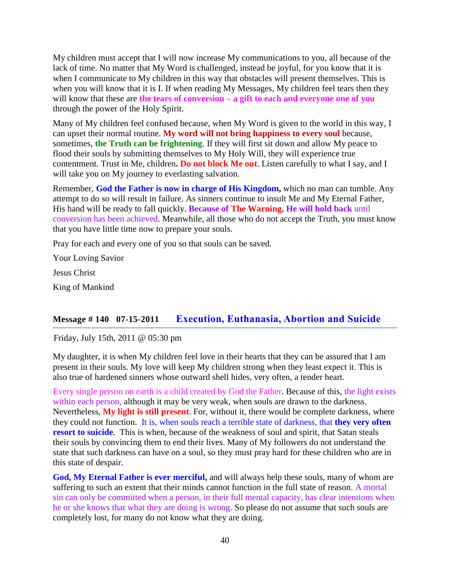My children must accept that I will now increase My communications to you, all because of the lack of time. No matter that My Word is challenged, instead be joyful, for you know that it is when I communicate to My children in this way that obstacles will present themselves. This is when you will know that it is I. If when reading My Messages, My children feel tears then they will know that these are **the tears of conversion – a gift to each and everyone one of you** through the power of the Holy Spirit.

Many of My children feel confused because, when My Word is given to the world in this way, I can upset their normal routine. **My word will not bring happiness to every soul** because, sometimes, **the Truth can be frightening**. If they will first sit down and allow My peace to flood their souls by submitting themselves to My Holy Will, they will experience true contentment. Trust in Me, children**. Do not block Me out**. Listen carefully to what I say, and I will take you on My journey to everlasting salvation.

Remember, **God the Father is now in charge of His Kingdom,** which no man can tumble. Any attempt to do so will result in failure. As sinners continue to insult Me and My Eternal Father, His hand will be ready to fall quickly. **Because of The Warning, He will hold back** until conversion has been achieved. Meanwhile, all those who do not accept the Truth, you must know that you have little time now to prepare your souls.

Pray for each and every one of you so that souls can be saved.

Your Loving Savior

Jesus Christ

King of Mankind

### **Message # 140 07-15-2011 [Execution, Euthanasia, Abortion and Suicide](http://www.thewarningsecondcoming.com/execution-euthanasia-abortion-and-suicide/)**

Friday, July 15th, 2011 @ 05:30 pm

My daughter, it is when My children feel love in their hearts that they can be assured that I am present in their souls. My love will keep My children strong when they least expect it. This is also true of hardened sinners whose outward shell hides, very often, a tender heart.

Every single person on earth is a child created by God the Father. Because of this, the light exists within each person, although it may be very weak, when souls are drawn to the darkness. Nevertheless, **My light is still present**. For, without it, there would be complete darkness, where they could not function. It is, when souls reach a terrible state of darkness, that **they very often resort to suicide**. This is when, because of the weakness of soul and spirit, that Satan steals their souls by convincing them to end their lives. Many of My followers do not understand the state that such darkness can have on a soul, so they must pray hard for these children who are in this state of despair.

**God, My Eternal Father is ever merciful,** and will always help these souls, many of whom are suffering to such an extent that their minds cannot function in the full state of reason. A mortal sin can only be committed when a person, in their full mental capacity, has clear intentions when he or she knows that what they are doing is wrong. So please do not assume that such souls are completely lost, for many do not know what they are doing.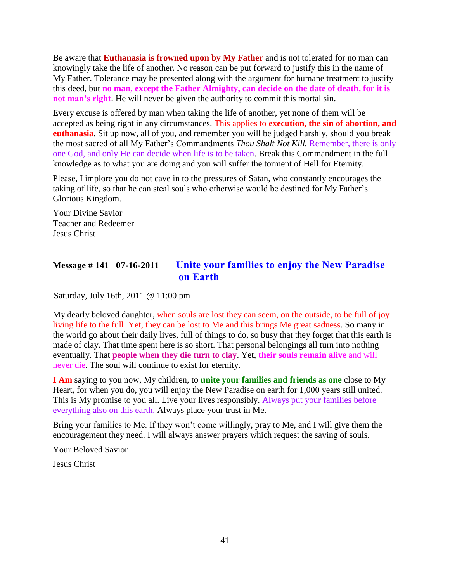Be aware that **Euthanasia is frowned upon by My Father** and is not tolerated for no man can knowingly take the life of another. No reason can be put forward to justify this in the name of My Father. Tolerance may be presented along with the argument for humane treatment to justify this deed, but **no man, except the Father Almighty, can decide on the date of death, for it is not man's right**. He will never be given the authority to commit this mortal sin.

Every excuse is offered by man when taking the life of another, yet none of them will be accepted as being right in any circumstances. This applies to **execution, the sin of abortion, and euthanasia**. Sit up now, all of you, and remember you will be judged harshly, should you break the most sacred of all My Father's Commandments *Thou Shalt Not Kill.* Remember, there is only one God, and only He can decide when life is to be taken. Break this Commandment in the full knowledge as to what you are doing and you will suffer the torment of Hell for Eternity.

Please, I implore you do not cave in to the pressures of Satan, who constantly encourages the taking of life, so that he can steal souls who otherwise would be destined for My Father's Glorious Kingdom.

Your Divine Savior Teacher and Redeemer Jesus Christ

# **Message # 141 07-16-2011 [Unite your families to enjoy the New Paradise](http://www.thewarningsecondcoming.com/unite-your-families-to-enjoy-the-new-paradise-on-earth/)  [on Earth](http://www.thewarningsecondcoming.com/unite-your-families-to-enjoy-the-new-paradise-on-earth/)**

Saturday, July 16th, 2011 @ 11:00 pm

My dearly beloved daughter, when souls are lost they can seem, on the outside, to be full of joy living life to the full. Yet, they can be lost to Me and this brings Me great sadness. So many in the world go about their daily lives, full of things to do, so busy that they forget that this earth is made of clay. That time spent here is so short. That personal belongings all turn into nothing eventually. That **people when they die turn to clay**. Yet, **their souls remain alive** and will never die. The soul will continue to exist for eternity.

**I Am** saying to you now, My children, to **unite your families and friends as one** close to My Heart, for when you do, you will enjoy the New Paradise on earth for 1,000 years still united. This is My promise to you all. Live your lives responsibly. Always put your families before everything also on this earth. Always place your trust in Me.

Bring your families to Me. If they won't come willingly, pray to Me, and I will give them the encouragement they need. I will always answer prayers which request the saving of souls.

Your Beloved Savior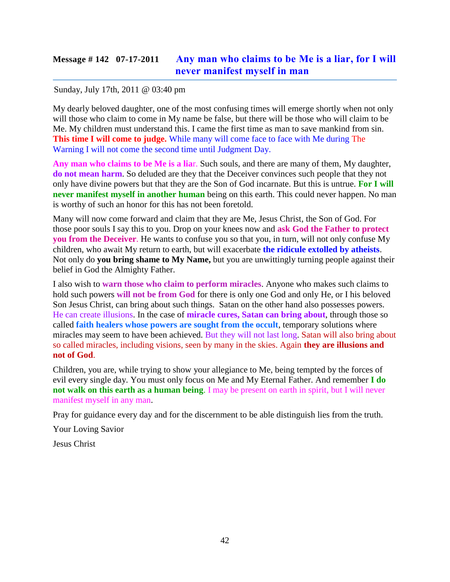### **Message # 142 07-17-2011 [Any man who claims to be](http://www.thewarningsecondcoming.com/any-man-who-claims-to-be-me-is-a-liar-for-i-will-never-manifest-myself-in-man/) Me is a liar, for I will [never manifest myself in man](http://www.thewarningsecondcoming.com/any-man-who-claims-to-be-me-is-a-liar-for-i-will-never-manifest-myself-in-man/)**

#### Sunday, July 17th, 2011 @ 03:40 pm

My dearly beloved daughter, one of the most confusing times will emerge shortly when not only will those who claim to come in My name be false, but there will be those who will claim to be Me. My children must understand this. I came the first time as man to save mankind from sin. **This time I will come to judge.** While many will come face to face with Me during The Warning I will not come the second time until Judgment Day.

**Any man who claims to be Me is a lia**r. Such souls, and there are many of them, My daughter, **do not mean harm**. So deluded are they that the Deceiver convinces such people that they not only have divine powers but that they are the Son of God incarnate. But this is untrue. **For I will never manifest myself in another human** being on this earth. This could never happen. No man is worthy of such an honor for this has not been foretold.

Many will now come forward and claim that they are Me, Jesus Christ, the Son of God. For those poor souls I say this to you. Drop on your knees now and **ask God the Father to protect you from the Deceiver**. He wants to confuse you so that you, in turn, will not only confuse My children, who await My return to earth, but will exacerbate **the ridicule extolled by atheists**. Not only do **you bring shame to My Name,** but you are unwittingly turning people against their belief in God the Almighty Father.

I also wish to **warn those who claim to perform miracles**. Anyone who makes such claims to hold such powers **will not be from God** for there is only one God and only He, or I his beloved Son Jesus Christ, can bring about such things. Satan on the other hand also possesses powers. He can create illusions. In the case of **miracle cures, Satan can bring about**, through those so called **faith healers whose powers are sought from the occult**, temporary solutions where miracles may seem to have been achieved. But they will not last long. Satan will also bring about so called miracles, including visions, seen by many in the skies. Again **they are illusions and not of God**.

Children, you are, while trying to show your allegiance to Me, being tempted by the forces of evil every single day. You must only focus on Me and My Eternal Father. And remember **I do not walk on this earth as a human being**. I may be present on earth in spirit, but I will never manifest myself in any man.

Pray for guidance every day and for the discernment to be able distinguish lies from the truth.

Your Loving Savior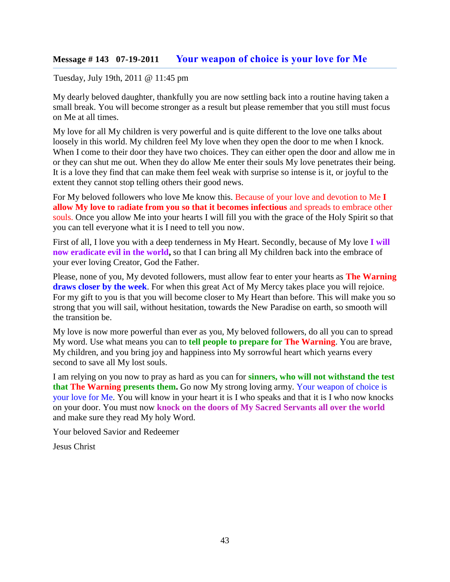#### **Message # 143 07-19-2011 [Your weapon of choice is your love for Me](http://www.thewarningsecondcoming.com/your-weapon-of-choice-is-your-love-for-me/)**

#### Tuesday, July 19th, 2011 @ 11:45 pm

My dearly beloved daughter, thankfully you are now settling back into a routine having taken a small break. You will become stronger as a result but please remember that you still must focus on Me at all times.

My love for all My children is very powerful and is quite different to the love one talks about loosely in this world. My children feel My love when they open the door to me when I knock. When I come to their door they have two choices. They can either open the door and allow me in or they can shut me out. When they do allow Me enter their souls My love penetrates their being. It is a love they find that can make them feel weak with surprise so intense is it, or joyful to the extent they cannot stop telling others their good news.

For My beloved followers who love Me know this. Because of your love and devotion to Me **I allow My love to** r**adiate from you so that it becomes infectious** and spreads to embrace other souls. Once you allow Me into your hearts I will fill you with the grace of the Holy Spirit so that you can tell everyone what it is I need to tell you now.

First of all, I love you with a deep tenderness in My Heart. Secondly, because of My love **I will now eradicate evil in the world,** so that I can bring all My children back into the embrace of your ever loving Creator, God the Father.

Please, none of you, My devoted followers, must allow fear to enter your hearts as **The Warning draws closer by the week**. For when this great Act of My Mercy takes place you will rejoice. For my gift to you is that you will become closer to My Heart than before. This will make you so strong that you will sail, without hesitation, towards the New Paradise on earth, so smooth will the transition be.

My love is now more powerful than ever as you, My beloved followers, do all you can to spread My word. Use what means you can to **tell people to prepare for The Warning**. You are brave, My children, and you bring joy and happiness into My sorrowful heart which yearns every second to save all My lost souls.

I am relying on you now to pray as hard as you can for **sinners, who will not withstand the test that The Warning presents them.** Go now My strong loving army. Your weapon of choice is your love for Me. You will know in your heart it is I who speaks and that it is I who now knocks on your door. You must now **knock on the doors of My Sacred Servants all over the world** and make sure they read My holy Word.

Your beloved Savior and Redeemer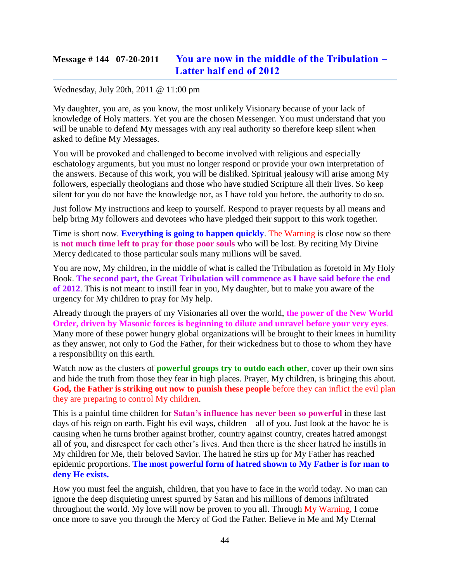## **Message # 144 07-20-2011 [You are now in the middle of the Tribulation –](http://www.thewarningsecondcoming.com/you-are-now-in-the-middle-of-the-tribulation-latter-half-end-of-2012/) [Latter half end of 2012](http://www.thewarningsecondcoming.com/you-are-now-in-the-middle-of-the-tribulation-latter-half-end-of-2012/)**

#### Wednesday, July 20th, 2011 @ 11:00 pm

My daughter, you are, as you know, the most unlikely Visionary because of your lack of knowledge of Holy matters. Yet you are the chosen Messenger. You must understand that you will be unable to defend My messages with any real authority so therefore keep silent when asked to define My Messages.

You will be provoked and challenged to become involved with religious and especially eschatology arguments, but you must no longer respond or provide your own interpretation of the answers. Because of this work, you will be disliked. Spiritual jealousy will arise among My followers, especially theologians and those who have studied Scripture all their lives. So keep silent for you do not have the knowledge nor, as I have told you before, the authority to do so.

Just follow My instructions and keep to yourself. Respond to prayer requests by all means and help bring My followers and devotees who have pledged their support to this work together.

Time is short now. **Everything is going to happen quickly**. The Warning is close now so there is **not much time left to pray for those poor souls** who will be lost. By reciting My Divine Mercy dedicated to those particular souls many millions will be saved.

You are now, My children, in the middle of what is called the Tribulation as foretold in My Holy Book. **The second part, the Great Tribulation will commence as I have said before the end of 2012**. This is not meant to instill fear in you, My daughter, but to make you aware of the urgency for My children to pray for My help.

Already through the prayers of my Visionaries all over the world, **the power of the New World Order, driven by Masonic forces is beginning to dilute and unravel before your very eyes**. Many more of these power hungry global organizations will be brought to their knees in humility as they answer, not only to God the Father, for their wickedness but to those to whom they have a responsibility on this earth.

Watch now as the clusters of **powerful groups try to outdo each other**, cover up their own sins and hide the truth from those they fear in high places. Prayer, My children, is bringing this about. **God, the Father is striking out now to punish these people** before they can inflict the evil plan they are preparing to control My children.

This is a painful time children for **Satan's influence has never been so powerful** in these last days of his reign on earth. Fight his evil ways, children – all of you. Just look at the havoc he is causing when he turns brother against brother, country against country, creates hatred amongst all of you, and disrespect for each other's lives. And then there is the sheer hatred he instills in My children for Me, their beloved Savior. The hatred he stirs up for My Father has reached epidemic proportions. **The most powerful form of hatred shown to My Father is for man to deny He exists.**

How you must feel the anguish, children, that you have to face in the world today. No man can ignore the deep disquieting unrest spurred by Satan and his millions of demons infiltrated throughout the world. My love will now be proven to you all. Through My Warning, I come once more to save you through the Mercy of God the Father. Believe in Me and My Eternal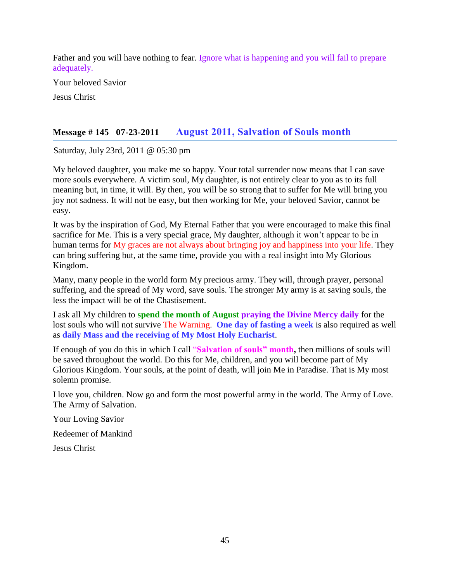Father and you will have nothing to fear. Ignore what is happening and you will fail to prepare adequately.

Your beloved Savior

Jesus Christ

### **Message # 145 07-23-2011 August 2011, [Salvation of Souls month](http://www.thewarningsecondcoming.com/august-2011-salvation-of-souls-month/)**

Saturday, July 23rd, 2011 @ 05:30 pm

My beloved daughter, you make me so happy. Your total surrender now means that I can save more souls everywhere. A victim soul, My daughter, is not entirely clear to you as to its full meaning but, in time, it will. By then, you will be so strong that to suffer for Me will bring you joy not sadness. It will not be easy, but then working for Me, your beloved Savior, cannot be easy.

It was by the inspiration of God, My Eternal Father that you were encouraged to make this final sacrifice for Me. This is a very special grace, My daughter, although it won't appear to be in human terms for My graces are not always about bringing joy and happiness into your life. They can bring suffering but, at the same time, provide you with a real insight into My Glorious Kingdom.

Many, many people in the world form My precious army. They will, through prayer, personal suffering, and the spread of My word, save souls. The stronger My army is at saving souls, the less the impact will be of the Chastisement.

I ask all My children to **spend the month of August praying the Divine Mercy daily** for the lost souls who will not survive The Warning. **One day of fasting a week** is also required as well as **daily Mass and the receiving of My Most Holy Eucharist**.

If enough of you do this in which I call "**Salvation of souls" month,** then millions of souls will be saved throughout the world. Do this for Me, children, and you will become part of My Glorious Kingdom. Your souls, at the point of death, will join Me in Paradise. That is My most solemn promise.

I love you, children. Now go and form the most powerful army in the world. The Army of Love. The Army of Salvation.

Your Loving Savior

Redeemer of Mankind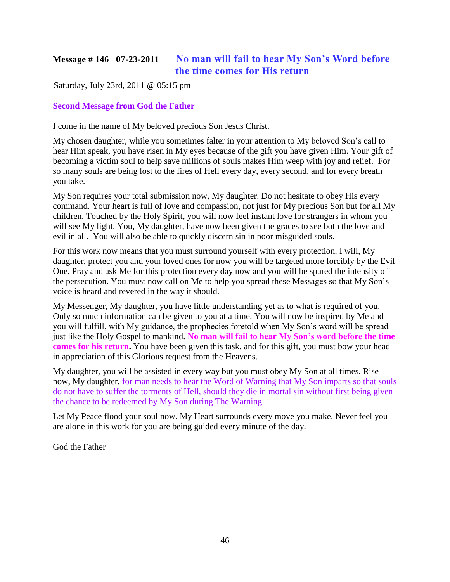# **Message # 146 07-23-2011 No man will [fail to hear My Son's Word before](http://www.thewarningsecondcoming.com/no-man-will-fail-to-hear-my-sons-word-before-the-time-comes-for-his-return/)  [the time comes for His return](http://www.thewarningsecondcoming.com/no-man-will-fail-to-hear-my-sons-word-before-the-time-comes-for-his-return/)**

#### Saturday, July 23rd, 2011 @ 05:15 pm

#### **Second Message from God the Father**

I come in the name of My beloved precious Son Jesus Christ.

My chosen daughter, while you sometimes falter in your attention to My beloved Son's call to hear Him speak, you have risen in My eyes because of the gift you have given Him. Your gift of becoming a victim soul to help save millions of souls makes Him weep with joy and relief. For so many souls are being lost to the fires of Hell every day, every second, and for every breath you take.

My Son requires your total submission now, My daughter. Do not hesitate to obey His every command. Your heart is full of love and compassion, not just for My precious Son but for all My children. Touched by the Holy Spirit, you will now feel instant love for strangers in whom you will see My light. You, My daughter, have now been given the graces to see both the love and evil in all. You will also be able to quickly discern sin in poor misguided souls.

For this work now means that you must surround yourself with every protection. I will, My daughter, protect you and your loved ones for now you will be targeted more forcibly by the Evil One. Pray and ask Me for this protection every day now and you will be spared the intensity of the persecution. You must now call on Me to help you spread these Messages so that My Son's voice is heard and revered in the way it should.

My Messenger, My daughter, you have little understanding yet as to what is required of you. Only so much information can be given to you at a time. You will now be inspired by Me and you will fulfill, with My guidance, the prophecies foretold when My Son's word will be spread just like the Holy Gospel to mankind. **No man will fail to hear My Son's word before the time comes for his return.** You have been given this task, and for this gift, you must bow your head in appreciation of this Glorious request from the Heavens.

My daughter, you will be assisted in every way but you must obey My Son at all times. Rise now, My daughter, for man needs to hear the Word of Warning that My Son imparts so that souls do not have to suffer the torments of Hell, should they die in mortal sin without first being given the chance to be redeemed by My Son during The Warning.

Let My Peace flood your soul now. My Heart surrounds every move you make. Never feel you are alone in this work for you are being guided every minute of the day.

God the Father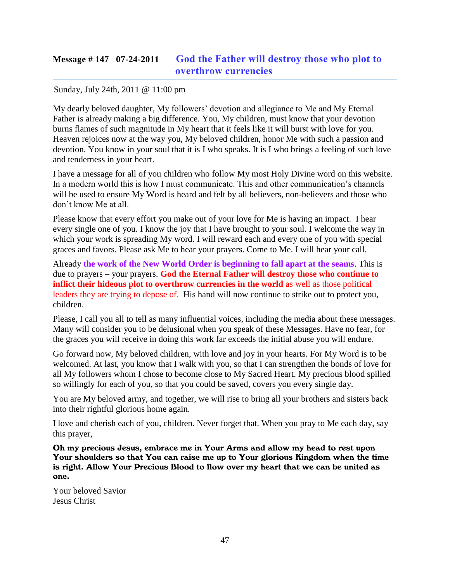# **Message # 147 07-24-2011 [God the Father will destroy those who plot to](http://www.thewarningsecondcoming.com/god-the-father-will-destroy-the-plot-to-overthrow-currencies/)  [overthrow currencies](http://www.thewarningsecondcoming.com/god-the-father-will-destroy-the-plot-to-overthrow-currencies/)**

#### Sunday, July 24th, 2011 @ 11:00 pm

My dearly beloved daughter, My followers' devotion and allegiance to Me and My Eternal Father is already making a big difference. You, My children, must know that your devotion burns flames of such magnitude in My heart that it feels like it will burst with love for you. Heaven rejoices now at the way you, My beloved children, honor Me with such a passion and devotion. You know in your soul that it is I who speaks. It is I who brings a feeling of such love and tenderness in your heart.

I have a message for all of you children who follow My most Holy Divine word on this website. In a modern world this is how I must communicate. This and other communication's channels will be used to ensure My Word is heard and felt by all believers, non-believers and those who don't know Me at all.

Please know that every effort you make out of your love for Me is having an impact. I hear every single one of you. I know the joy that I have brought to your soul. I welcome the way in which your work is spreading My word. I will reward each and every one of you with special graces and favors. Please ask Me to hear your prayers. Come to Me. I will hear your call.

Already **the work of the New World Order is beginning to fall apart at the seams**. This is due to prayers – your prayers. **God the Eternal Father will destroy those who continue to inflict their hideous plot to overthrow currencies in the world** as well as those political leaders they are trying to depose of. His hand will now continue to strike out to protect you, children.

Please, I call you all to tell as many influential voices, including the media about these messages. Many will consider you to be delusional when you speak of these Messages. Have no fear, for the graces you will receive in doing this work far exceeds the initial abuse you will endure.

Go forward now, My beloved children, with love and joy in your hearts. For My Word is to be welcomed. At last, you know that I walk with you, so that I can strengthen the bonds of love for all My followers whom I chose to become close to My Sacred Heart. My precious blood spilled so willingly for each of you, so that you could be saved, covers you every single day.

You are My beloved army, and together, we will rise to bring all your brothers and sisters back into their rightful glorious home again.

I love and cherish each of you, children. Never forget that. When you pray to Me each day, say this prayer,

Oh my precious Jesus, embrace me in Your Arms and allow my head to rest upon Your shoulders so that You can raise me up to Your glorious Kingdom when the time is right. Allow Your Precious Blood to flow over my heart that we can be united as one.

Your beloved Savior Jesus Christ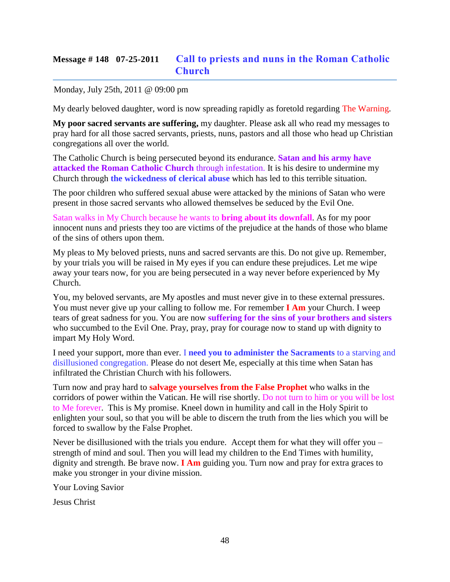# **Message # 148 07-25-2011 [Call to priests and nuns in the Roman Catholic](http://www.thewarningsecondcoming.com/call-to-priests-and-nuns-in-the-roman-catholic-church/)  [Church](http://www.thewarningsecondcoming.com/call-to-priests-and-nuns-in-the-roman-catholic-church/)**

Monday, July 25th, 2011 @ 09:00 pm

My dearly beloved daughter, word is now spreading rapidly as foretold regarding The Warning.

**My poor sacred servants are suffering,** my daughter. Please ask all who read my messages to pray hard for all those sacred servants, priests, nuns, pastors and all those who head up Christian congregations all over the world.

The Catholic Church is being persecuted beyond its endurance. **Satan and his army have attacked the Roman Catholic Church** through infestation. It is his desire to undermine my Church through **the wickedness of clerical abuse** which has led to this terrible situation.

The poor children who suffered sexual abuse were attacked by the minions of Satan who were present in those sacred servants who allowed themselves be seduced by the Evil One.

Satan walks in My Church because he wants to **bring about its downfall**. As for my poor innocent nuns and priests they too are victims of the prejudice at the hands of those who blame of the sins of others upon them.

My pleas to My beloved priests, nuns and sacred servants are this. Do not give up. Remember, by your trials you will be raised in My eyes if you can endure these prejudices. Let me wipe away your tears now, for you are being persecuted in a way never before experienced by My Church.

You, my beloved servants, are My apostles and must never give in to these external pressures. You must never give up your calling to follow me. For remember **I Am** your Church. I weep tears of great sadness for you. You are now **suffering for the sins of your brothers and sisters** who succumbed to the Evil One. Pray, pray, pray for courage now to stand up with dignity to impart My Holy Word.

I need your support, more than ever. I **need you to administer the Sacraments** to a starving and disillusioned congregation. Please do not desert Me, especially at this time when Satan has infiltrated the Christian Church with his followers.

Turn now and pray hard to **salvage yourselves from the False Prophet** who walks in the corridors of power within the Vatican. He will rise shortly. Do not turn to him or you will be lost to Me forever. This is My promise. Kneel down in humility and call in the Holy Spirit to enlighten your soul, so that you will be able to discern the truth from the lies which you will be forced to swallow by the False Prophet.

Never be disillusioned with the trials you endure. Accept them for what they will offer you – strength of mind and soul. Then you will lead my children to the End Times with humility, dignity and strength. Be brave now. **I Am** guiding you. Turn now and pray for extra graces to make you stronger in your divine mission.

Your Loving Savior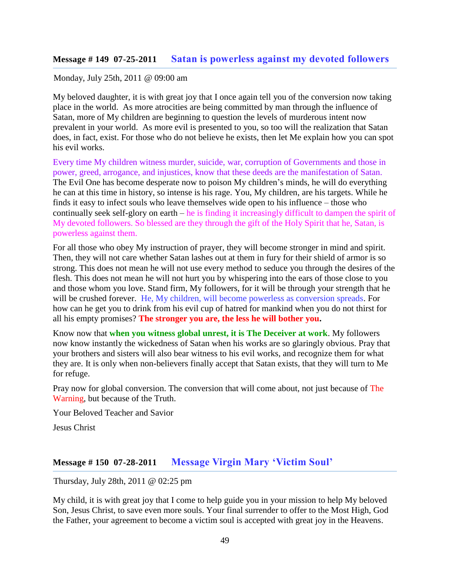#### **Message # 149 07-25-2011 [Satan is powerless against my devoted followers](http://www.thewarningsecondcoming.com/satan-is-powerless-against-my-devoted-followers/)**

#### Monday, July 25th, 2011 @ 09:00 am

My beloved daughter, it is with great joy that I once again tell you of the conversion now taking place in the world. As more atrocities are being committed by man through the influence of Satan, more of My children are beginning to question the levels of murderous intent now prevalent in your world. As more evil is presented to you, so too will the realization that Satan does, in fact, exist. For those who do not believe he exists, then let Me explain how you can spot his evil works.

Every time My children witness murder, suicide, war, corruption of Governments and those in power, greed, arrogance, and injustices, know that these deeds are the manifestation of Satan. The Evil One has become desperate now to poison My children's minds, he will do everything he can at this time in history, so intense is his rage. You, My children, are his targets. While he finds it easy to infect souls who leave themselves wide open to his influence – those who continually seek self-glory on earth – he is finding it increasingly difficult to dampen the spirit of My devoted followers. So blessed are they through the gift of the Holy Spirit that he, Satan, is powerless against them.

For all those who obey My instruction of prayer, they will become stronger in mind and spirit. Then, they will not care whether Satan lashes out at them in fury for their shield of armor is so strong. This does not mean he will not use every method to seduce you through the desires of the flesh. This does not mean he will not hurt you by whispering into the ears of those close to you and those whom you love. Stand firm, My followers, for it will be through your strength that he will be crushed forever. He, My children, will become powerless as conversion spreads. For how can he get you to drink from his evil cup of hatred for mankind when you do not thirst for all his empty promises? **The stronger you are, the less he will bother you.**

Know now that **when you witness global unrest, it is The Deceiver at work**. My followers now know instantly the wickedness of Satan when his works are so glaringly obvious. Pray that your brothers and sisters will also bear witness to his evil works, and recognize them for what they are. It is only when non-believers finally accept that Satan exists, that they will turn to Me for refuge.

Pray now for global conversion. The conversion that will come about, not just because of The Warning, but because of the Truth.

Your Beloved Teacher and Savior

Jesus Christ

### **Message # 150 07-28-2011 [Message Virgin Mary 'Victim Soul'](http://www.thewarningsecondcoming.com/message-virgin-mary-victim-soul/)**

Thursday, July 28th, 2011 @ 02:25 pm

My child, it is with great joy that I come to help guide you in your mission to help My beloved Son, Jesus Christ, to save even more souls. Your final surrender to offer to the Most High, God the Father, your agreement to become a victim soul is accepted with great joy in the Heavens.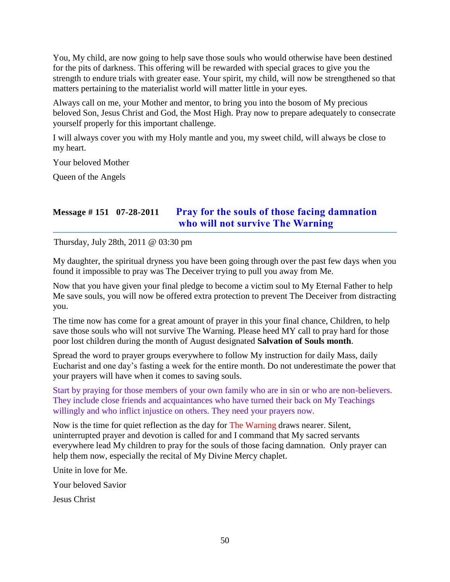You, My child, are now going to help save those souls who would otherwise have been destined for the pits of darkness. This offering will be rewarded with special graces to give you the strength to endure trials with greater ease. Your spirit, my child, will now be strengthened so that matters pertaining to the materialist world will matter little in your eyes.

Always call on me, your Mother and mentor, to bring you into the bosom of My precious beloved Son, Jesus Christ and God, the Most High. Pray now to prepare adequately to consecrate yourself properly for this important challenge.

I will always cover you with my Holy mantle and you, my sweet child, will always be close to my heart.

Your beloved Mother

Queen of the Angels

# **Message # 151 07-28-2011 [Pray for the souls of those facing damnation](http://www.thewarningsecondcoming.com/pray-for-the-souls-of-the-damned-who-will-not-survive-the-warning/)  [who will not survive The Warning](http://www.thewarningsecondcoming.com/pray-for-the-souls-of-the-damned-who-will-not-survive-the-warning/)**

Thursday, July 28th, 2011 @ 03:30 pm

My daughter, the spiritual dryness you have been going through over the past few days when you found it impossible to pray was The Deceiver trying to pull you away from Me.

Now that you have given your final pledge to become a victim soul to My Eternal Father to help Me save souls, you will now be offered extra protection to prevent The Deceiver from distracting you.

The time now has come for a great amount of prayer in this your final chance, Children, to help save those souls who will not survive The Warning. Please heed MY call to pray hard for those poor lost children during the month of August designated **Salvation of Souls month**.

Spread the word to prayer groups everywhere to follow My instruction for daily Mass, daily Eucharist and one day's fasting a week for the entire month. Do not underestimate the power that your prayers will have when it comes to saving souls.

Start by praying for those members of your own family who are in sin or who are non-believers. They include close friends and acquaintances who have turned their back on My Teachings willingly and who inflict injustice on others. They need your prayers now.

Now is the time for quiet reflection as the day for The Warning draws nearer. Silent, uninterrupted prayer and devotion is called for and I command that My sacred servants everywhere lead My children to pray for the souls of those facing damnation. Only prayer can help them now, especially the recital of My Divine Mercy chaplet.

Unite in love for Me.

Your beloved Savior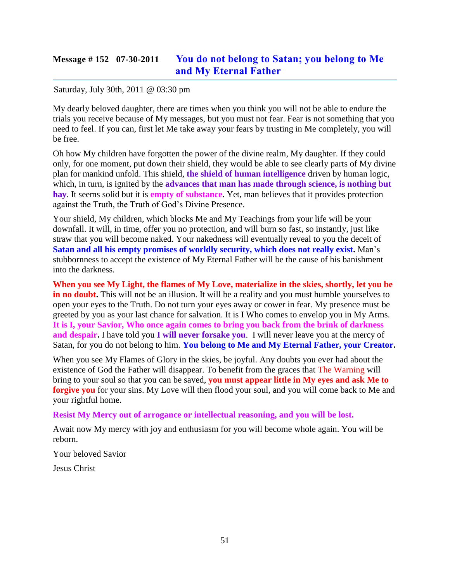## **Message # 152 07-30-2011 [You do not belong to Satan; you belong to Me](http://www.thewarningsecondcoming.com/you-do-not-belong-to-satan-you-belong-to-me-and-my-eternal-father/)  [and My Eternal Father](http://www.thewarningsecondcoming.com/you-do-not-belong-to-satan-you-belong-to-me-and-my-eternal-father/)**

#### Saturday, July 30th, 2011 @ 03:30 pm

My dearly beloved daughter, there are times when you think you will not be able to endure the trials you receive because of My messages, but you must not fear. Fear is not something that you need to feel. If you can, first let Me take away your fears by trusting in Me completely, you will be free.

Oh how My children have forgotten the power of the divine realm, My daughter. If they could only, for one moment, put down their shield, they would be able to see clearly parts of My divine plan for mankind unfold. This shield, **the shield of human intelligence** driven by human logic, which, in turn, is ignited by the **advances that man has made through science**, is nothing but **hay**. It seems solid but it is **empty of substance**. Yet, man believes that it provides protection against the Truth, the Truth of God's Divine Presence.

Your shield, My children, which blocks Me and My Teachings from your life will be your downfall. It will, in time, offer you no protection, and will burn so fast, so instantly, just like straw that you will become naked. Your nakedness will eventually reveal to you the deceit of **Satan and all his empty promises of worldly security, which does not really exist.** Man's stubbornness to accept the existence of My Eternal Father will be the cause of his banishment into the darkness.

**When you see My Light, the flames of My Love, materialize in the skies, shortly, let you be in no doubt.** This will not be an illusion. It will be a reality and you must humble yourselves to open your eyes to the Truth. Do not turn your eyes away or cower in fear. My presence must be greeted by you as your last chance for salvation. It is I Who comes to envelop you in My Arms. **It is I, your Savior, Who once again comes to bring you back from the brink of darkness and despair.** I have told you **I will never forsake you**. I will never leave you at the mercy of Satan, for you do not belong to him. **You belong to Me and My Eternal Father, your Creator.**

When you see My Flames of Glory in the skies, be joyful. Any doubts you ever had about the existence of God the Father will disappear. To benefit from the graces that The Warning will bring to your soul so that you can be saved, **you must appear little in My eyes and ask Me to forgive you** for your sins. My Love will then flood your soul, and you will come back to Me and your rightful home.

#### **Resist My Mercy out of arrogance or intellectual reasoning, and you will be lost.**

Await now My mercy with joy and enthusiasm for you will become whole again. You will be reborn.

Your beloved Savior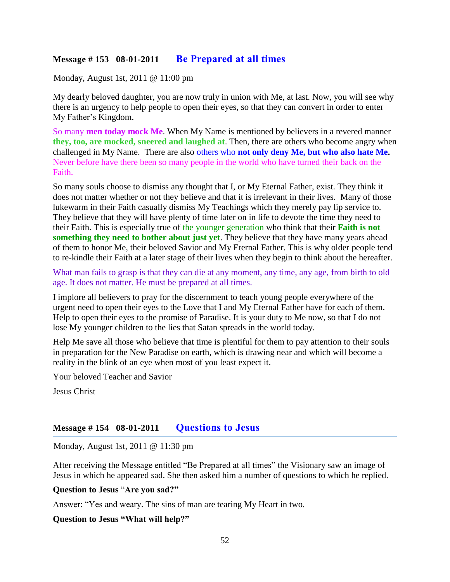#### **Message # 153 08-01-2011 [Be Prepared at all times](http://www.thewarningsecondcoming.com/be-prepared-at-all-times/)**

Monday, August 1st, 2011 @ 11:00 pm

My dearly beloved daughter, you are now truly in union with Me, at last. Now, you will see why there is an urgency to help people to open their eyes, so that they can convert in order to enter My Father's Kingdom.

So many **men today mock Me**. When My Name is mentioned by believers in a revered manner **they, too, are mocked, sneered and laughed at**. Then, there are others who become angry when challenged in My Name. There are also others who **not only deny Me, but who also hate Me.**  Never before have there been so many people in the world who have turned their back on the Faith.

So many souls choose to dismiss any thought that I, or My Eternal Father, exist. They think it does not matter whether or not they believe and that it is irrelevant in their lives. Many of those lukewarm in their Faith casually dismiss My Teachings which they merely pay lip service to. They believe that they will have plenty of time later on in life to devote the time they need to their Faith. This is especially true of the younger generation who think that their **Faith is not something they need to bother about just yet**. They believe that they have many years ahead of them to honor Me, their beloved Savior and My Eternal Father. This is why older people tend to re-kindle their Faith at a later stage of their lives when they begin to think about the hereafter.

What man fails to grasp is that they can die at any moment, any time, any age, from birth to old age. It does not matter. He must be prepared at all times.

I implore all believers to pray for the discernment to teach young people everywhere of the urgent need to open their eyes to the Love that I and My Eternal Father have for each of them. Help to open their eyes to the promise of Paradise. It is your duty to Me now, so that I do not lose My younger children to the lies that Satan spreads in the world today.

Help Me save all those who believe that time is plentiful for them to pay attention to their souls in preparation for the New Paradise on earth, which is drawing near and which will become a reality in the blink of an eye when most of you least expect it.

Your beloved Teacher and Savior

Jesus Christ

#### **Message # 154 08-01-2011 [Questions to Jesus](http://www.thewarningsecondcoming.com/questions-to-jesus/)**

Monday, August 1st, 2011 @ 11:30 pm

After receiving the Message entitled "Be Prepared at all times" the Visionary saw an image of Jesus in which he appeared sad. She then asked him a number of questions to which he replied.

#### **Question to Jesus** "**Are you sad?"**

Answer: "Yes and weary. The sins of man are tearing My Heart in two.

#### **Question to Jesus "What will help?"**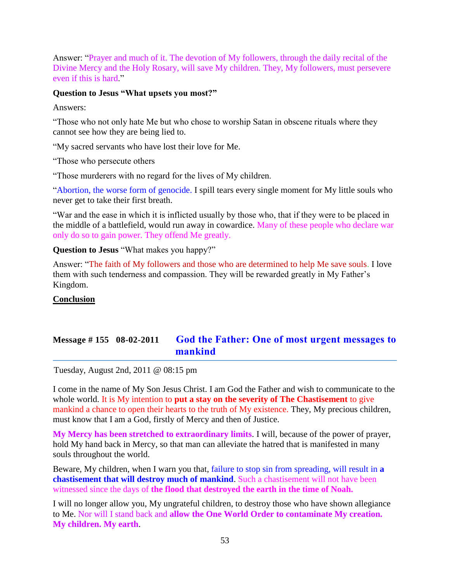Answer: "Prayer and much of it. The devotion of My followers, through the daily recital of the Divine Mercy and the Holy Rosary, will save My children. They, My followers, must persevere even if this is hard."

#### **Question to Jesus "What upsets you most?"**

Answers:

"Those who not only hate Me but who chose to worship Satan in obscene rituals where they cannot see how they are being lied to.

"My sacred servants who have lost their love for Me.

"Those who persecute others

"Those murderers with no regard for the lives of My children.

"Abortion, the worse form of genocide. I spill tears every single moment for My little souls who never get to take their first breath.

"War and the ease in which it is inflicted usually by those who, that if they were to be placed in the middle of a battlefield, would run away in cowardice. Many of these people who declare war only do so to gain power. They offend Me greatly.

**Question to Jesus** "What makes you happy?"

Answer: "The faith of My followers and those who are determined to help Me save souls. I love them with such tenderness and compassion. They will be rewarded greatly in My Father's Kingdom.

#### **Conclusion**

# **Message # 155 08-02-2011 God the Father: [One of most urgent messages to](http://www.thewarningsecondcoming.com/god-the-father-one-most-urgent-message-to-mankind/)  [mankind](http://www.thewarningsecondcoming.com/god-the-father-one-most-urgent-message-to-mankind/)**

Tuesday, August 2nd, 2011 @ 08:15 pm

I come in the name of My Son Jesus Christ. I am God the Father and wish to communicate to the whole world. It is My intention to **put a stay on the severity of The Chastisement** to give mankind a chance to open their hearts to the truth of My existence. They, My precious children, must know that I am a God, firstly of Mercy and then of Justice.

**My Mercy has been stretched to extraordinary limits**. I will, because of the power of prayer, hold My hand back in Mercy, so that man can alleviate the hatred that is manifested in many souls throughout the world.

Beware, My children, when I warn you that, failure to stop sin from spreading, will result in **a chastisement that will destroy much of mankind**. Such a chastisement will not have been witnessed since the days of **the flood that destroyed the earth in the time of Noah.** 

I will no longer allow you, My ungrateful children, to destroy those who have shown allegiance to Me. Nor will I stand back and **allow the One World Order to contaminate My creation. My children. My earth**.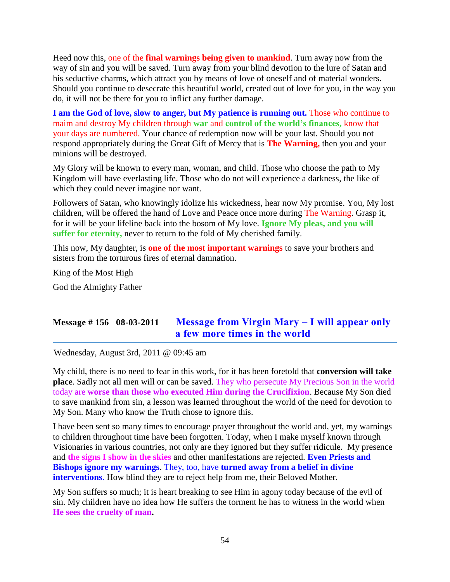Heed now this, one of the **final warnings being given to mankind**. Turn away now from the way of sin and you will be saved. Turn away from your blind devotion to the lure of Satan and his seductive charms, which attract you by means of love of oneself and of material wonders. Should you continue to desecrate this beautiful world, created out of love for you, in the way you do, it will not be there for you to inflict any further damage.

**I am the God of love, slow to anger, but My patience is running out.** Those who continue to maim and destroy My children through **war** and **control of the world's finances,** know that your days are numbered. Your chance of redemption now will be your last. Should you not respond appropriately during the Great Gift of Mercy that is **The Warning,** then you and your minions will be destroyed.

My Glory will be known to every man, woman, and child. Those who choose the path to My Kingdom will have everlasting life. Those who do not will experience a darkness, the like of which they could never imagine nor want.

Followers of Satan, who knowingly idolize his wickedness, hear now My promise. You, My lost children, will be offered the hand of Love and Peace once more during The Warning. Grasp it, for it will be your lifeline back into the bosom of My love. **Ignore My pleas, and you will suffer for eternity,** never to return to the fold of My cherished family.

This now, My daughter, is **one of the most important warnings** to save your brothers and sisters from the torturous fires of eternal damnation.

King of the Most High

God the Almighty Father

# **Message # 156 08-03-2011 [Message from Virgin Mary –](http://www.thewarningsecondcoming.com/message-from-virgin-mary-i-will-appear-only-a-few-more-times-in-the-world/) I will appear only [a few more times](http://www.thewarningsecondcoming.com/message-from-virgin-mary-i-will-appear-only-a-few-more-times-in-the-world/) in the world**

Wednesday, August 3rd, 2011 @ 09:45 am

My child, there is no need to fear in this work, for it has been foretold that **conversion will take place**. Sadly not all men will or can be saved. They who persecute My Precious Son in the world today are **worse than those who executed Him during the Crucifixion**. Because My Son died to save mankind from sin, a lesson was learned throughout the world of the need for devotion to My Son. Many who know the Truth chose to ignore this.

I have been sent so many times to encourage prayer throughout the world and, yet, my warnings to children throughout time have been forgotten. Today, when I make myself known through Visionaries in various countries, not only are they ignored but they suffer ridicule. My presence and **the signs I show in the skies** and other manifestations are rejected. **Even Priests and Bishops ignore my warnings**. They, too, have **turned away from a belief in divine interventions**. How blind they are to reject help from me, their Beloved Mother.

My Son suffers so much; it is heart breaking to see Him in agony today because of the evil of sin. My children have no idea how He suffers the torment he has to witness in the world when **He sees the cruelty of man.**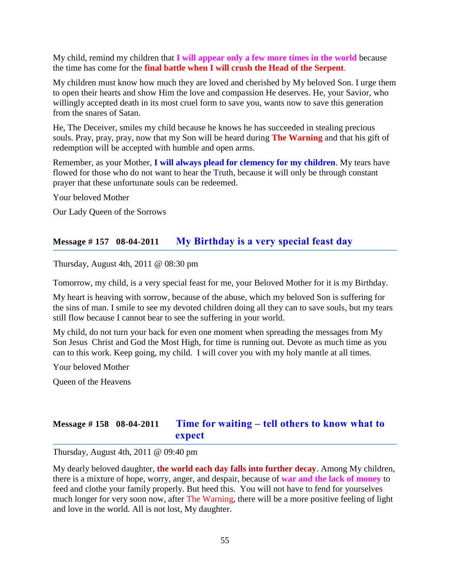My child, remind my children that **I will appear only a few more times in the world** because the time has come for the **final battle when I will crush the Head of the Serpent**.

My children must know how much they are loved and cherished by My beloved Son. I urge them to open their hearts and show Him the love and compassion He deserves. He, your Savior, who willingly accepted death in its most cruel form to save you, wants now to save this generation from the snares of Satan.

He, The Deceiver, smiles my child because he knows he has succeeded in stealing precious souls. Pray, pray, pray, now that my Son will be heard during **The Warning** and that his gift of redemption will be accepted with humble and open arms.

Remember, as your Mother, **I will always plead for clemency for my children**. My tears have flowed for those who do not want to hear the Truth, because it will only be through constant prayer that these unfortunate souls can be redeemed.

Your beloved Mother

Our Lady Queen of the Sorrows

### **Message # 157 08-04-2011 [My Birthday is a very special feast day](http://www.thewarningsecondcoming.com/my-birthday-is-a-very-special-feast-day/)**

Thursday, August 4th, 2011 @ 08:30 pm

Tomorrow, my child, is a very special feast for me, your Beloved Mother for it is my Birthday.

My heart is heaving with sorrow, because of the abuse, which my beloved Son is suffering for the sins of man. I smile to see my devoted children doing all they can to save souls, but my tears still flow because I cannot bear to see the suffering in your world.

My child, do not turn your back for even one moment when spreading the messages from My Son Jesus Christ and God the Most High, for time is running out. Devote as much time as you can to this work. Keep going, my child. I will cover you with my holy mantle at all times.

Your beloved Mother

Queen of the Heavens

# **Message # 158 08-04-2011 Time for waiting – [tell others to know what to](http://www.thewarningsecondcoming.com/time-for-waiting-tell-others-to-know-what-to-expect/)  [expect](http://www.thewarningsecondcoming.com/time-for-waiting-tell-others-to-know-what-to-expect/)**

Thursday, August 4th, 2011 @ 09:40 pm

My dearly beloved daughter, **the world each day falls into further decay**. Among My children, there is a mixture of hope, worry, anger, and despair, because of **war and the lack of money** to feed and clothe your family properly. But heed this. You will not have to fend for yourselves much longer for very soon now, after The Warning, there will be a more positive feeling of light and love in the world. All is not lost, My daughter.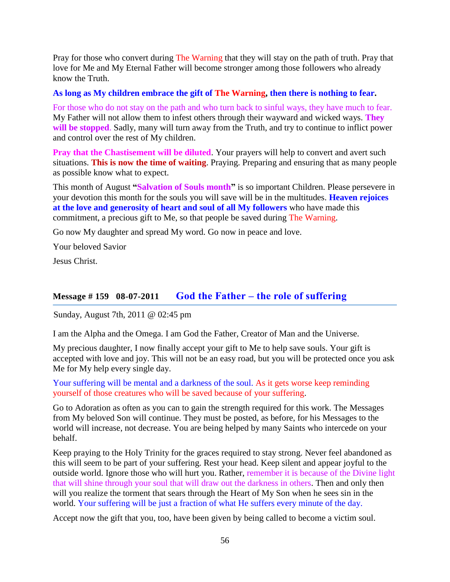Pray for those who convert during The Warning that they will stay on the path of truth. Pray that love for Me and My Eternal Father will become stronger among those followers who already know the Truth.

#### **As long as My children embrace the gift of The Warning, then there is nothing to fear.**

For those who do not stay on the path and who turn back to sinful ways, they have much to fear. My Father will not allow them to infest others through their wayward and wicked ways. **They will be stopped**. Sadly, many will turn away from the Truth, and try to continue to inflict power and control over the rest of My children.

**Pray that the Chastisement will be diluted.** Your prayers will help to convert and avert such situations. **This is now the time of waiting**. Praying. Preparing and ensuring that as many people as possible know what to expect.

This month of August **"Salvation of Souls month"** is so important Children. Please persevere in your devotion this month for the souls you will save will be in the multitudes. **Heaven rejoices at the love and generosity of heart and soul of all My followers** who have made this commitment, a precious gift to Me, so that people be saved during The Warning.

Go now My daughter and spread My word. Go now in peace and love.

Your beloved Savior

Jesus Christ.

# **Message # 159 08-07-2011 God the Father – [the role of suffering](http://www.thewarningsecondcoming.com/god-the-father-the-role-of-suffering/)**

Sunday, August 7th, 2011 @ 02:45 pm

I am the Alpha and the Omega. I am God the Father, Creator of Man and the Universe.

My precious daughter, I now finally accept your gift to Me to help save souls. Your gift is accepted with love and joy. This will not be an easy road, but you will be protected once you ask Me for My help every single day.

Your suffering will be mental and a darkness of the soul. As it gets worse keep reminding yourself of those creatures who will be saved because of your suffering.

Go to Adoration as often as you can to gain the strength required for this work. The Messages from My beloved Son will continue. They must be posted, as before, for his Messages to the world will increase, not decrease. You are being helped by many Saints who intercede on your behalf.

Keep praying to the Holy Trinity for the graces required to stay strong. Never feel abandoned as this will seem to be part of your suffering. Rest your head. Keep silent and appear joyful to the outside world. Ignore those who will hurt you. Rather, remember it is because of the Divine light that will shine through your soul that will draw out the darkness in others. Then and only then will you realize the torment that sears through the Heart of My Son when he sees sin in the world. Your suffering will be just a fraction of what He suffers every minute of the day.

Accept now the gift that you, too, have been given by being called to become a victim soul.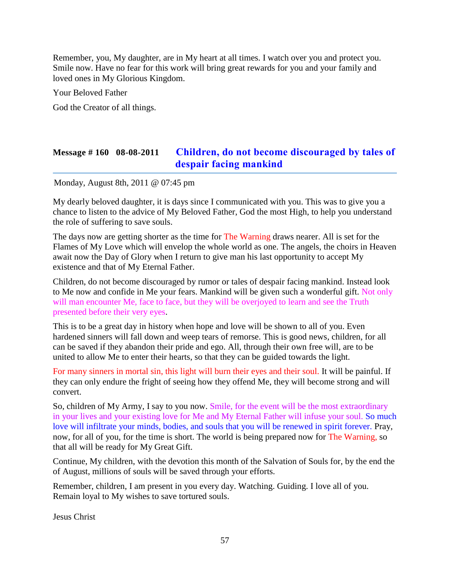Remember, you, My daughter, are in My heart at all times. I watch over you and protect you. Smile now. Have no fear for this work will bring great rewards for you and your family and loved ones in My Glorious Kingdom.

Your Beloved Father

God the Creator of all things.

## **Message # 160 08-08-2011 [Children, do not become discouraged by tales of](http://www.thewarningsecondcoming.com/children-do-not-become-discouraged-by-tales-of-despair-facing-mankind/)  [despair facing mankind](http://www.thewarningsecondcoming.com/children-do-not-become-discouraged-by-tales-of-despair-facing-mankind/)**

Monday, August 8th, 2011 @ 07:45 pm

My dearly beloved daughter, it is days since I communicated with you. This was to give you a chance to listen to the advice of My Beloved Father, God the most High, to help you understand the role of suffering to save souls.

The days now are getting shorter as the time for The Warning draws nearer. All is set for the Flames of My Love which will envelop the whole world as one. The angels, the choirs in Heaven await now the Day of Glory when I return to give man his last opportunity to accept My existence and that of My Eternal Father.

Children, do not become discouraged by rumor or tales of despair facing mankind. Instead look to Me now and confide in Me your fears. Mankind will be given such a wonderful gift. Not only will man encounter Me, face to face, but they will be overjoyed to learn and see the Truth presented before their very eyes.

This is to be a great day in history when hope and love will be shown to all of you. Even hardened sinners will fall down and weep tears of remorse. This is good news, children, for all can be saved if they abandon their pride and ego. All, through their own free will, are to be united to allow Me to enter their hearts, so that they can be guided towards the light.

For many sinners in mortal sin, this light will burn their eyes and their soul. It will be painful. If they can only endure the fright of seeing how they offend Me, they will become strong and will convert.

So, children of My Army, I say to you now. Smile, for the event will be the most extraordinary in your lives and your existing love for Me and My Eternal Father will infuse your soul. So much love will infiltrate your minds, bodies, and souls that you will be renewed in spirit forever. Pray, now, for all of you, for the time is short. The world is being prepared now for The Warning, so that all will be ready for My Great Gift.

Continue, My children, with the devotion this month of the Salvation of Souls for, by the end the of August, millions of souls will be saved through your efforts.

Remember, children, I am present in you every day. Watching. Guiding. I love all of you. Remain loyal to My wishes to save tortured souls.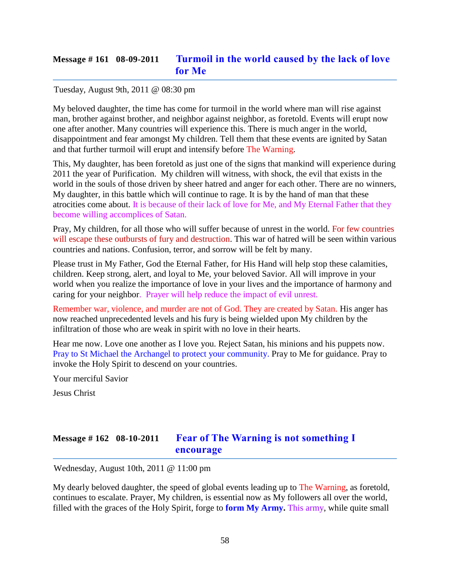# **Message # 161 08-09-2011 [Turmoil in the world caused by the lack of love](http://www.thewarningsecondcoming.com/turmoil-in-the-world-caused-by-the-lack-of-love-for-me/)  [for Me](http://www.thewarningsecondcoming.com/turmoil-in-the-world-caused-by-the-lack-of-love-for-me/)**

#### Tuesday, August 9th, 2011 @ 08:30 pm

My beloved daughter, the time has come for turmoil in the world where man will rise against man, brother against brother, and neighbor against neighbor, as foretold. Events will erupt now one after another. Many countries will experience this. There is much anger in the world, disappointment and fear amongst My children. Tell them that these events are ignited by Satan and that further turmoil will erupt and intensify before The Warning.

This, My daughter, has been foretold as just one of the signs that mankind will experience during 2011 the year of Purification. My children will witness, with shock, the evil that exists in the world in the souls of those driven by sheer hatred and anger for each other. There are no winners, My daughter, in this battle which will continue to rage. It is by the hand of man that these atrocities come about. It is because of their lack of love for Me, and My Eternal Father that they become willing accomplices of Satan.

Pray, My children, for all those who will suffer because of unrest in the world. For few countries will escape these outbursts of fury and destruction. This war of hatred will be seen within various countries and nations. Confusion, terror, and sorrow will be felt by many.

Please trust in My Father, God the Eternal Father, for His Hand will help stop these calamities, children. Keep strong, alert, and loyal to Me, your beloved Savior. All will improve in your world when you realize the importance of love in your lives and the importance of harmony and caring for your neighbor. Prayer will help reduce the impact of evil unrest.

Remember war, violence, and murder are not of God. They are created by Satan. His anger has now reached unprecedented levels and his fury is being wielded upon My children by the infiltration of those who are weak in spirit with no love in their hearts.

Hear me now. Love one another as I love you. Reject Satan, his minions and his puppets now. Pray to St Michael the Archangel to protect your community. Pray to Me for guidance. Pray to invoke the Holy Spirit to descend on your countries.

Your merciful Savior

Jesus Christ

# **Message # 162 08-10-2011 [Fear of The Warning is not something I](http://www.thewarningsecondcoming.com/fear-of-the-warning-is-not-something-i-encourage/)  [encourage](http://www.thewarningsecondcoming.com/fear-of-the-warning-is-not-something-i-encourage/)**

Wednesday, August 10th, 2011 @ 11:00 pm

My dearly beloved daughter, the speed of global events leading up to The Warning, as foretold, continues to escalate. Prayer, My children, is essential now as My followers all over the world, filled with the graces of the Holy Spirit, forge to **form My Army.** This army, while quite small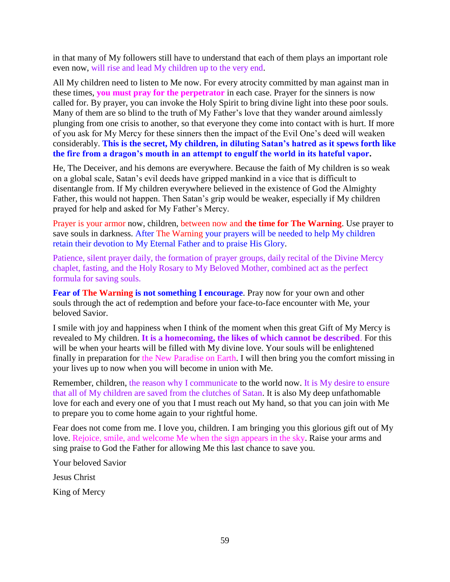in that many of My followers still have to understand that each of them plays an important role even now, will rise and lead My children up to the very end.

All My children need to listen to Me now. For every atrocity committed by man against man in these times, **you must pray for the perpetrator** in each case. Prayer for the sinners is now called for. By prayer, you can invoke the Holy Spirit to bring divine light into these poor souls. Many of them are so blind to the truth of My Father's love that they wander around aimlessly plunging from one crisis to another, so that everyone they come into contact with is hurt. If more of you ask for My Mercy for these sinners then the impact of the Evil One's deed will weaken considerably. **This is the secret, My children, in diluting Satan's hatred as it spews forth like the fire from a dragon's mouth in an attempt to engulf the world in its hateful vapor.**

He, The Deceiver, and his demons are everywhere. Because the faith of My children is so weak on a global scale, Satan's evil deeds have gripped mankind in a vice that is difficult to disentangle from. If My children everywhere believed in the existence of God the Almighty Father, this would not happen. Then Satan's grip would be weaker, especially if My children prayed for help and asked for My Father's Mercy.

Prayer is your armor now, children, between now and **the time for The Warning**. Use prayer to save souls in darkness. After The Warning your prayers will be needed to help My children retain their devotion to My Eternal Father and to praise His Glory.

Patience, silent prayer daily, the formation of prayer groups, daily recital of the Divine Mercy chaplet, fasting, and the Holy Rosary to My Beloved Mother, combined act as the perfect formula for saving souls.

**Fear of The Warning is not something I encourage.** Pray now for your own and other souls through the act of redemption and before your face-to-face encounter with Me, your beloved Savior.

I smile with joy and happiness when I think of the moment when this great Gift of My Mercy is revealed to My children. **It is a homecoming, the likes of which cannot be described**. For this will be when your hearts will be filled with My divine love. Your souls will be enlightened finally in preparation for the New Paradise on Earth. I will then bring you the comfort missing in your lives up to now when you will become in union with Me.

Remember, children, the reason why I communicate to the world now. It is My desire to ensure that all of My children are saved from the clutches of Satan. It is also My deep unfathomable love for each and every one of you that I must reach out My hand, so that you can join with Me to prepare you to come home again to your rightful home.

Fear does not come from me. I love you, children. I am bringing you this glorious gift out of My love. Rejoice, smile, and welcome Me when the sign appears in the sky. Raise your arms and sing praise to God the Father for allowing Me this last chance to save you.

Your beloved Savior

Jesus Christ

King of Mercy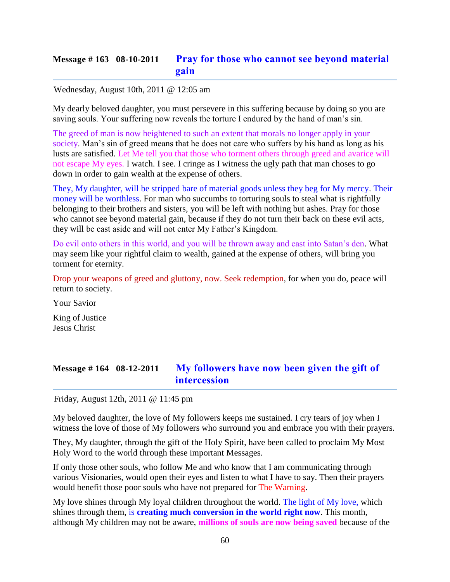# **Message # 163 08-10-2011 [Pray for those who cannot see beyond material](http://www.thewarningsecondcoming.com/pray-for-those-who-cannot-see-beyond-material-gain/)  [gain](http://www.thewarningsecondcoming.com/pray-for-those-who-cannot-see-beyond-material-gain/)**

#### Wednesday, August 10th, 2011 @ 12:05 am

My dearly beloved daughter, you must persevere in this suffering because by doing so you are saving souls. Your suffering now reveals the torture I endured by the hand of man's sin.

The greed of man is now heightened to such an extent that morals no longer apply in your society. Man's sin of greed means that he does not care who suffers by his hand as long as his lusts are satisfied. Let Me tell you that those who torment others through greed and avarice will not escape My eyes. I watch. I see. I cringe as I witness the ugly path that man choses to go down in order to gain wealth at the expense of others.

They, My daughter, will be stripped bare of material goods unless they beg for My mercy. Their money will be worthless. For man who succumbs to torturing souls to steal what is rightfully belonging to their brothers and sisters, you will be left with nothing but ashes. Pray for those who cannot see beyond material gain, because if they do not turn their back on these evil acts, they will be cast aside and will not enter My Father's Kingdom.

Do evil onto others in this world, and you will be thrown away and cast into Satan's den. What may seem like your rightful claim to wealth, gained at the expense of others, will bring you torment for eternity.

Drop your weapons of greed and gluttony, now. Seek redemption, for when you do, peace will return to society.

Your Savior

King of Justice Jesus Christ

# **Message # 164 08-12-2011 [My followers have now been given the gift of](http://www.thewarningsecondcoming.com/my-followers-have-now-been-given-the-gift-of-intercession/)  [intercession](http://www.thewarningsecondcoming.com/my-followers-have-now-been-given-the-gift-of-intercession/)**

Friday, August 12th, 2011 @ 11:45 pm

My beloved daughter, the love of My followers keeps me sustained. I cry tears of joy when I witness the love of those of My followers who surround you and embrace you with their prayers.

They, My daughter, through the gift of the Holy Spirit, have been called to proclaim My Most Holy Word to the world through these important Messages.

If only those other souls, who follow Me and who know that I am communicating through various Visionaries, would open their eyes and listen to what I have to say. Then their prayers would benefit those poor souls who have not prepared for The Warning.

My love shines through My loyal children throughout the world. The light of My love, which shines through them, is **creating much conversion in the world right now**. This month, although My children may not be aware, **millions of souls are now being saved** because of the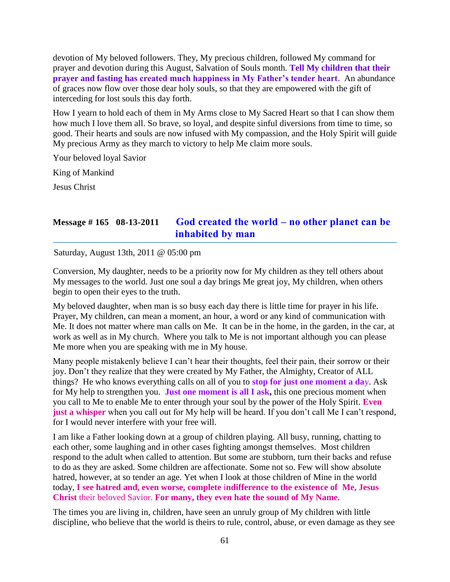devotion of My beloved followers. They, My precious children, followed My command for prayer and devotion during this August, Salvation of Souls month. **Tell My children that their prayer and fasting has created much happiness in My Father's tender heart**. An abundance of graces now flow over those dear holy souls, so that they are empowered with the gift of interceding for lost souls this day forth.

How I yearn to hold each of them in My Arms close to My Sacred Heart so that I can show them how much I love them all. So brave, so loyal, and despite sinful diversions from time to time, so good. Their hearts and souls are now infused with My compassion, and the Holy Spirit will guide My precious Army as they march to victory to help Me claim more souls.

Your beloved loyal Savior

King of Mankind

Jesus Christ

### **Message # 165 08-13-2011 [God created the world –](http://www.thewarningsecondcoming.com/god-created-the-world-no-other-planet-can-be-inhabited-by-man/) no other planet can be [inhabited by man](http://www.thewarningsecondcoming.com/god-created-the-world-no-other-planet-can-be-inhabited-by-man/)**

Saturday, August 13th, 2011 @ 05:00 pm

Conversion, My daughter, needs to be a priority now for My children as they tell others about My messages to the world. Just one soul a day brings Me great joy, My children, when others begin to open their eyes to the truth.

My beloved daughter, when man is so busy each day there is little time for prayer in his life. Prayer, My children, can mean a moment, an hour, a word or any kind of communication with Me. It does not matter where man calls on Me. It can be in the home, in the garden, in the car, at work as well as in My church. Where you talk to Me is not important although you can please Me more when you are speaking with me in My house.

Many people mistakenly believe I can't hear their thoughts, feel their pain, their sorrow or their joy. Don't they realize that they were created by My Father, the Almighty, Creator of ALL things? He who knows everything calls on all of you to **stop for just one moment a da**y. Ask for My help to strengthen you. **Just one moment is all I ask,** this one precious moment when you call to Me to enable Me to enter through your soul by the power of the Holy Spirit. **Even just a whisper** when you call out for My help will be heard. If you don't call Me I can't respond, for I would never interfere with your free will.

I am like a Father looking down at a group of children playing. All busy, running, chatting to each other, some laughing and in other cases fighting amongst themselves. Most children respond to the adult when called to attention. But some are stubborn, turn their backs and refuse to do as they are asked. Some children are affectionate. Some not so. Few will show absolute hatred, however, at so tender an age. Yet when I look at those children of Mine in the world today, **I see hatred and, even worse, complete** i**ndifference to the existence of Me, Jesus Christ** their beloved Savior. **For many, they even hate the sound of My Name.**

The times you are living in, children, have seen an unruly group of My children with little discipline, who believe that the world is theirs to rule, control, abuse, or even damage as they see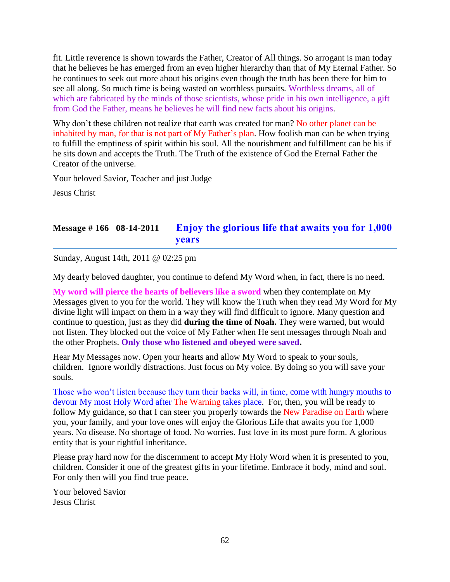fit. Little reverence is shown towards the Father, Creator of All things. So arrogant is man today that he believes he has emerged from an even higher hierarchy than that of My Eternal Father. So he continues to seek out more about his origins even though the truth has been there for him to see all along. So much time is being wasted on worthless pursuits. Worthless dreams, all of which are fabricated by the minds of those scientists, whose pride in his own intelligence, a gift from God the Father, means he believes he will find new facts about his origins.

Why don't these children not realize that earth was created for man? No other planet can be inhabited by man, for that is not part of My Father's plan. How foolish man can be when trying to fulfill the emptiness of spirit within his soul. All the nourishment and fulfillment can be his if he sits down and accepts the Truth. The Truth of the existence of God the Eternal Father the Creator of the universe.

Your beloved Savior, Teacher and just Judge

Jesus Christ

# **Message # 166 08-14-2011 [Enjoy the glorious life that awaits you for 1,000](http://www.thewarningsecondcoming.com/enjoy-the-glorious-life-that-awaits-you-for-1000-years/)  [years](http://www.thewarningsecondcoming.com/enjoy-the-glorious-life-that-awaits-you-for-1000-years/)**

Sunday, August 14th, 2011 @ 02:25 pm

My dearly beloved daughter, you continue to defend My Word when, in fact, there is no need.

**My word will pierce the hearts of believers like a sword** when they contemplate on My Messages given to you for the world. They will know the Truth when they read My Word for My divine light will impact on them in a way they will find difficult to ignore. Many question and continue to question, just as they did **during the time of Noah.** They were warned, but would not listen. They blocked out the voice of My Father when He sent messages through Noah and the other Prophets. **Only those who listened and obeyed were saved.**

Hear My Messages now. Open your hearts and allow My Word to speak to your souls, children. Ignore worldly distractions. Just focus on My voice. By doing so you will save your souls.

Those who won't listen because they turn their backs will, in time, come with hungry mouths to devour My most Holy Word after The Warning takes place. For, then, you will be ready to follow My guidance, so that I can steer you properly towards the New Paradise on Earth where you, your family, and your love ones will enjoy the Glorious Life that awaits you for 1,000 years. No disease. No shortage of food. No worries. Just love in its most pure form. A glorious entity that is your rightful inheritance.

Please pray hard now for the discernment to accept My Holy Word when it is presented to you, children. Consider it one of the greatest gifts in your lifetime. Embrace it body, mind and soul. For only then will you find true peace.

Your beloved Savior Jesus Christ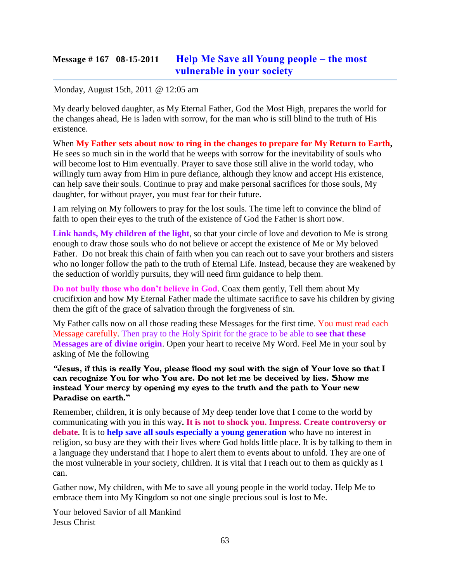## **Message # 167 08-15-2011 [Help Me Save all Young people –](http://www.thewarningsecondcoming.com/help-me-save-all-young-people-the-most-vulnerable-in-your-society/) the most [vulnerable in your society](http://www.thewarningsecondcoming.com/help-me-save-all-young-people-the-most-vulnerable-in-your-society/)**

#### Monday, August 15th, 2011 @ 12:05 am

My dearly beloved daughter, as My Eternal Father, God the Most High, prepares the world for the changes ahead, He is laden with sorrow, for the man who is still blind to the truth of His existence.

When **My Father sets about now to ring in the changes to prepare for My Return to Earth,** He sees so much sin in the world that he weeps with sorrow for the inevitability of souls who will become lost to Him eventually. Prayer to save those still alive in the world today, who willingly turn away from Him in pure defiance, although they know and accept His existence, can help save their souls. Continue to pray and make personal sacrifices for those souls, My daughter, for without prayer, you must fear for their future.

I am relying on My followers to pray for the lost souls. The time left to convince the blind of faith to open their eyes to the truth of the existence of God the Father is short now.

**Link hands, My children of the light**, so that your circle of love and devotion to Me is strong enough to draw those souls who do not believe or accept the existence of Me or My beloved Father. Do not break this chain of faith when you can reach out to save your brothers and sisters who no longer follow the path to the truth of Eternal Life. Instead, because they are weakened by the seduction of worldly pursuits, they will need firm guidance to help them.

**Do not bully those who don't believe in God**. Coax them gently, Tell them about My crucifixion and how My Eternal Father made the ultimate sacrifice to save his children by giving them the gift of the grace of salvation through the forgiveness of sin.

My Father calls now on all those reading these Messages for the first time. You must read each Message carefully. Then pray to the Holy Spirit for the grace to be able to **see that these Messages are of divine origin**. Open your heart to receive My Word. Feel Me in your soul by asking of Me the following

*"*Jesus, if this is really You, please flood my soul with the sign of Your love so that I can recognize You for who You are. Do not let me be deceived by lies. Show me instead Your mercy by opening my eyes to the truth and the path to Your new Paradise on earth**."**

Remember, children, it is only because of My deep tender love that I come to the world by communicating with you in this way**. It is not to shock you. Impress. Create controversy or debate**. It is to **help save all souls especially a young generation** who have no interest in religion, so busy are they with their lives where God holds little place. It is by talking to them in a language they understand that I hope to alert them to events about to unfold. They are one of the most vulnerable in your society, children. It is vital that I reach out to them as quickly as I can.

Gather now, My children, with Me to save all young people in the world today. Help Me to embrace them into My Kingdom so not one single precious soul is lost to Me.

Your beloved Savior of all Mankind Jesus Christ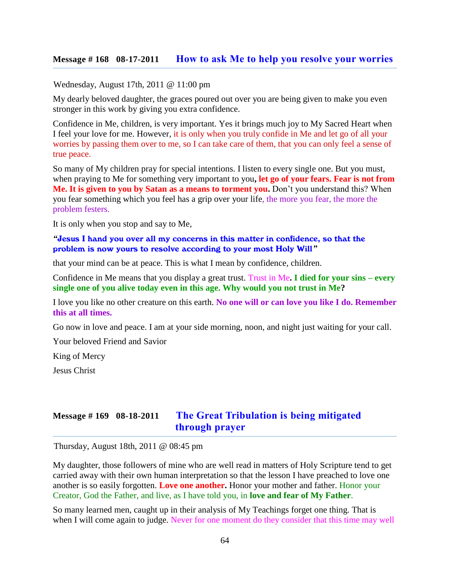Wednesday, August 17th, 2011 @ 11:00 pm

My dearly beloved daughter, the graces poured out over you are being given to make you even stronger in this work by giving you extra confidence.

Confidence in Me, children, is very important. Yes it brings much joy to My Sacred Heart when I feel your love for me. However, it is only when you truly confide in Me and let go of all your worries by passing them over to me, so I can take care of them, that you can only feel a sense of true peace.

So many of My children pray for special intentions. I listen to every single one. But you must, when praying to Me for something very important to you**, let go of your fears. Fear is not from Me. It is given to you by Satan as a means to torment you.** Don't you understand this? When you fear something which you feel has a grip over your life, the more you fear, the more the problem festers.

It is only when you stop and say to Me,

*"*Jesus I hand you over all my concerns in this matter in confidence, so that the problem is now yours to resolve according to your most Holy Will*"* 

that your mind can be at peace. This is what I mean by confidence, children.

Confidence in Me means that you display a great trust. Trust in Me**. I died for your sins – every single one of you alive today even in this age. Why would you not trust in Me?**

I love you like no other creature on this earth. **No one will or can love you like I do. Remember this at all times.**

Go now in love and peace. I am at your side morning, noon, and night just waiting for your call.

Your beloved Friend and Savior

King of Mercy

Jesus Christ

### **Message # 169 08-18-2011 [The Great Tribulation is being mitigated](http://www.thewarningsecondcoming.com/the-great-tribulation-is-being-mitigated-through-prayer/)  [through prayer](http://www.thewarningsecondcoming.com/the-great-tribulation-is-being-mitigated-through-prayer/)**

Thursday, August 18th, 2011 @ 08:45 pm

My daughter, those followers of mine who are well read in matters of Holy Scripture tend to get carried away with their own human interpretation so that the lesson I have preached to love one another is so easily forgotten. **Love one another.** Honor your mother and father. Honor your Creator, God the Father, and live, as I have told you, in **love and fear of My Father**.

So many learned men, caught up in their analysis of My Teachings forget one thing. That is when I will come again to judge. Never for one moment do they consider that this time may well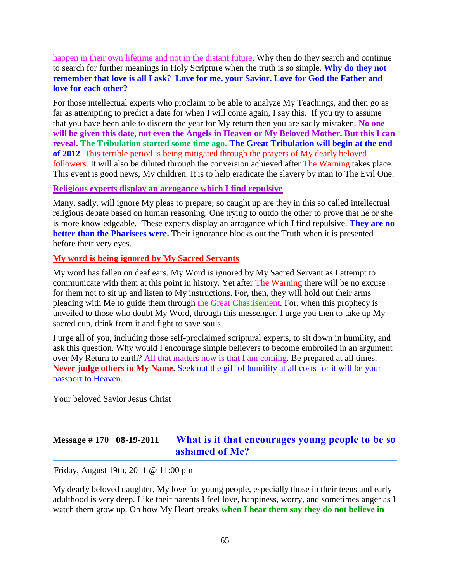happen in their own lifetime and not in the distant future. Why then do they search and continue to search for further meanings in Holy Scripture when the truth is so simple. **Why do they not remember that love is all I ask**? **Love for me, your Savior. Love for God the Father and love for each other?**

For those intellectual experts who proclaim to be able to analyze My Teachings, and then go as far as attempting to predict a date for when I will come again, I say this. If you try to assume that you have been able to discern the year for My return then you are sadly mistaken. **No one will be given this date, not even the Angels in Heaven or My Beloved Mother. But this I can reveal. The Tribulation started some time ago. The Great Tribulation will begin at the end of 2012**. This terrible period is being mitigated through the prayers of My dearly beloved followers. It will also be diluted through the conversion achieved after The Warning takes place. This event is good news, My children. It is to help eradicate the slavery by man to The Evil One.

#### **Religious experts display an arrogance which I find repulsive**

Many, sadly, will ignore My pleas to prepare; so caught up are they in this so called intellectual religious debate based on human reasoning. One trying to outdo the other to prove that he or she is more knowledgeable. These experts display an arrogance which I find repulsive. **They are no better than the Pharisees were.** Their ignorance blocks out the Truth when it is presented before their very eyes.

#### **My word is being ignored by My Sacred Servants**

My word has fallen on deaf ears. My Word is ignored by My Sacred Servant as I attempt to communicate with them at this point in history. Yet after The Warning there will be no excuse for them not to sit up and listen to My instructions. For, then, they will hold out their arms pleading with Me to guide them through the Great Chastisement. For, when this prophecy is unveiled to those who doubt My Word, through this messenger, I urge you then to take up My sacred cup, drink from it and fight to save souls.

I urge all of you, including those self-proclaimed scriptural experts, to sit down in humility, and ask this question. Why would I encourage simple believers to become embroiled in an argument over My Return to earth? All that matters now is that I am coming. Be prepared at all times. **Never judge others in My Name**. Seek out the gift of humility at all costs for it will be your passport to Heaven.

Your beloved Savior Jesus Christ

### **Message # 170 08-19-2011 [What is it that encourages young people to be so](http://www.thewarningsecondcoming.com/what-is-it-that-encourages-young-people-to-be-so-ashamed-of-me/)  [ashamed of Me?](http://www.thewarningsecondcoming.com/what-is-it-that-encourages-young-people-to-be-so-ashamed-of-me/)**

Friday, August 19th, 2011 @ 11:00 pm

My dearly beloved daughter, My love for young people, especially those in their teens and early adulthood is very deep. Like their parents I feel love, happiness, worry, and sometimes anger as I watch them grow up. Oh how My Heart breaks **when I hear them say they do not believe in**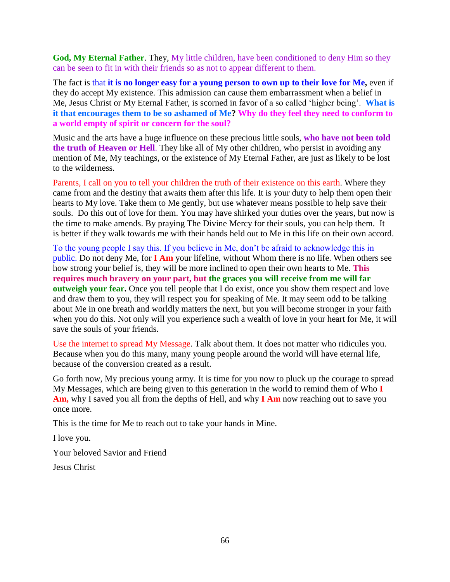**God, My Eternal Father**. They, My little children, have been conditioned to deny Him so they can be seen to fit in with their friends so as not to appear different to them.

The fact is that **it is no longer easy for a young person to own up to their love for Me,** even if they do accept My existence. This admission can cause them embarrassment when a belief in Me, Jesus Christ or My Eternal Father, is scorned in favor of a so called 'higher being'. **What is it that encourages them to be so ashamed of Me? Why do they feel they need to conform to a world empty of spirit or concern for the soul?**

Music and the arts have a huge influence on these precious little souls, **who have not been told the truth of Heaven or Hell**. They like all of My other children, who persist in avoiding any mention of Me, My teachings, or the existence of My Eternal Father, are just as likely to be lost to the wilderness.

Parents, I call on you to tell your children the truth of their existence on this earth. Where they came from and the destiny that awaits them after this life. It is your duty to help them open their hearts to My love. Take them to Me gently, but use whatever means possible to help save their souls. Do this out of love for them. You may have shirked your duties over the years, but now is the time to make amends. By praying The Divine Mercy for their souls, you can help them. It is better if they walk towards me with their hands held out to Me in this life on their own accord.

To the young people I say this. If you believe in Me, don't be afraid to acknowledge this in public. Do not deny Me, for **I Am** your lifeline, without Whom there is no life. When others see how strong your belief is, they will be more inclined to open their own hearts to Me. **This requires much bravery on your part, but the graces you will receive from me will far outweigh your fear.** Once you tell people that I do exist, once you show them respect and love and draw them to you, they will respect you for speaking of Me. It may seem odd to be talking about Me in one breath and worldly matters the next, but you will become stronger in your faith when you do this. Not only will you experience such a wealth of love in your heart for Me, it will save the souls of your friends.

Use the internet to spread My Message. Talk about them. It does not matter who ridicules you. Because when you do this many, many young people around the world will have eternal life, because of the conversion created as a result.

Go forth now, My precious young army. It is time for you now to pluck up the courage to spread My Messages, which are being given to this generation in the world to remind them of Who **I Am,** why I saved you all from the depths of Hell, and why **I Am** now reaching out to save you once more.

This is the time for Me to reach out to take your hands in Mine.

I love you.

Your beloved Savior and Friend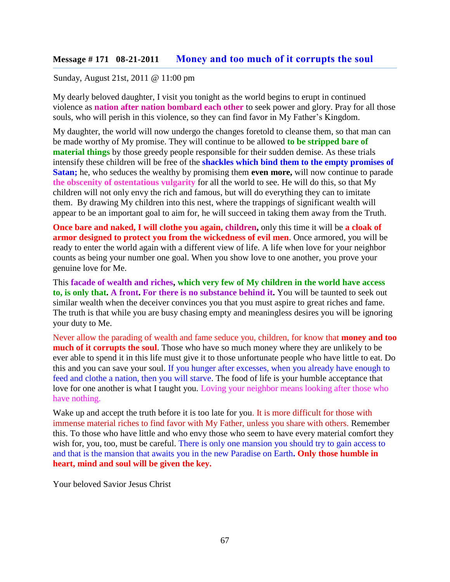#### **Message # 171 08-21-2011 [Money and too much of it corrupts the soul](http://www.thewarningsecondcoming.com/money-and-too-much-of-it-corrupts-the-soul/)**

#### Sunday, August 21st, 2011 @ 11:00 pm

My dearly beloved daughter, I visit you tonight as the world begins to erupt in continued violence as **nation after nation bombard each other** to seek power and glory. Pray for all those souls, who will perish in this violence, so they can find favor in My Father's Kingdom.

My daughter, the world will now undergo the changes foretold to cleanse them, so that man can be made worthy of My promise. They will continue to be allowed **to be stripped bare of material things** by those greedy people responsible for their sudden demise. As these trials intensify these children will be free of the **shackles which bind them to the empty promises of Satan;** he, who seduces the wealthy by promising them **even more,** will now continue to parade **the obscenity of ostentatious vulgarity** for all the world to see. He will do this, so that My children will not only envy the rich and famous, but will do everything they can to imitate them. By drawing My children into this nest, where the trappings of significant wealth will appear to be an important goal to aim for, he will succeed in taking them away from the Truth.

**Once bare and naked, I will clothe you again, children,** only this time it will be **a cloak of armor designed to protect you from the wickedness of evil men**. Once armored, you will be ready to enter the world again with a different view of life. A life when love for your neighbor counts as being your number one goal. When you show love to one another, you prove your genuine love for Me.

This **facade of wealth and riches, which very few of My children in the world have access to, is only that. A front. For there is no substance behind it.** You will be taunted to seek out similar wealth when the deceiver convinces you that you must aspire to great riches and fame. The truth is that while you are busy chasing empty and meaningless desires you will be ignoring your duty to Me.

Never allow the parading of wealth and fame seduce you, children, for know that **money and too much of it corrupts the soul.** Those who have so much money where they are unlikely to be ever able to spend it in this life must give it to those unfortunate people who have little to eat. Do this and you can save your soul. If you hunger after excesses, when you already have enough to feed and clothe a nation, then you will starve. The food of life is your humble acceptance that love for one another is what I taught you. Loving your neighbor means looking after those who have nothing.

Wake up and accept the truth before it is too late for you. It is more difficult for those with immense material riches to find favor with My Father, unless you share with others. Remember this. To those who have little and who envy those who seem to have every material comfort they wish for, you, too, must be careful. There is only one mansion you should try to gain access to and that is the mansion that awaits you in the new Paradise on Earth**. Only those humble in heart, mind and soul will be given the key.**

Your beloved Savior Jesus Christ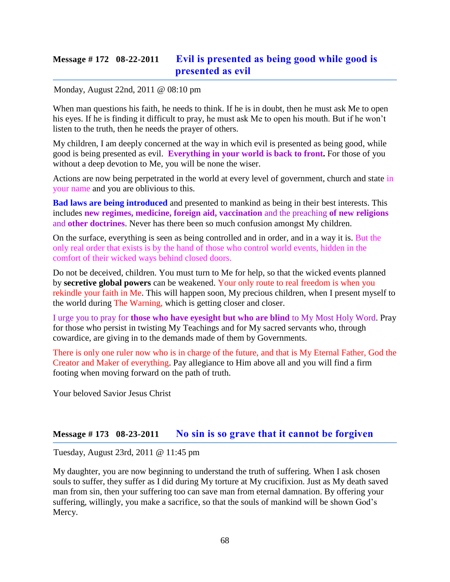# **Message # 172 08-22-2011 [Evil is presented as being good while good is](http://www.thewarningsecondcoming.com/evil-is-presented-as-being-good-while-good-is-presented-as-evil/)  [presented as evil](http://www.thewarningsecondcoming.com/evil-is-presented-as-being-good-while-good-is-presented-as-evil/)**

#### Monday, August 22nd, 2011 @ 08:10 pm

When man questions his faith, he needs to think. If he is in doubt, then he must ask Me to open his eyes. If he is finding it difficult to pray, he must ask Me to open his mouth. But if he won't listen to the truth, then he needs the prayer of others.

My children, I am deeply concerned at the way in which evil is presented as being good, while good is being presented as evil. **Everything in your world is back to front.** For those of you without a deep devotion to Me, you will be none the wiser.

Actions are now being perpetrated in the world at every level of government, church and state in your name and you are oblivious to this.

**Bad laws are being introduced** and presented to mankind as being in their best interests. This includes **new regimes, medicine, foreign aid, vaccination** and the preaching **of new religions** and **other doctrines**. Never has there been so much confusion amongst My children.

On the surface, everything is seen as being controlled and in order, and in a way it is. But the only real order that exists is by the hand of those who control world events, hidden in the comfort of their wicked ways behind closed doors.

Do not be deceived, children. You must turn to Me for help, so that the wicked events planned by **secretive global powers** can be weakened. Your only route to real freedom is when you rekindle your faith in Me. This will happen soon, My precious children, when I present myself to the world during The Warning, which is getting closer and closer.

I urge you to pray for **those who have eyesight but who are blind** to My Most Holy Word. Pray for those who persist in twisting My Teachings and for My sacred servants who, through cowardice, are giving in to the demands made of them by Governments.

There is only one ruler now who is in charge of the future, and that is My Eternal Father, God the Creator and Maker of everything. Pay allegiance to Him above all and you will find a firm footing when moving forward on the path of truth.

Your beloved Savior Jesus Christ

#### **Message # 173 08-23-2011 [No sin is so grave that it cannot be forgiven](http://www.thewarningsecondcoming.com/no-sin-is-so-grave-that-it-cannot-be-forgiven/)**

Tuesday, August 23rd, 2011 @ 11:45 pm

My daughter, you are now beginning to understand the truth of suffering. When I ask chosen souls to suffer, they suffer as I did during My torture at My crucifixion. Just as My death saved man from sin, then your suffering too can save man from eternal damnation. By offering your suffering, willingly, you make a sacrifice, so that the souls of mankind will be shown God's Mercy.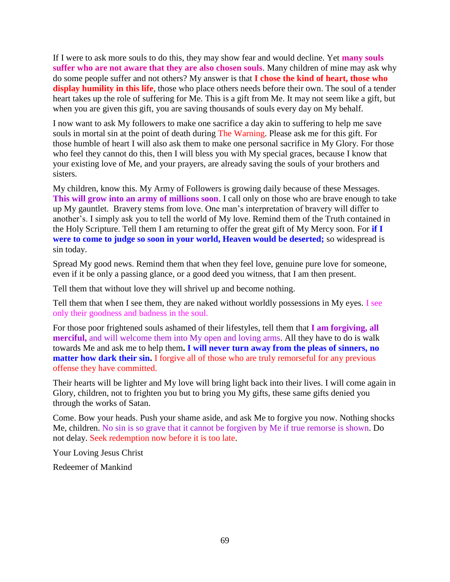If I were to ask more souls to do this, they may show fear and would decline. Yet **many souls suffer who are not aware that they are also chosen souls**. Many children of mine may ask why do some people suffer and not others? My answer is that **I chose the kind of heart, those who display humility in this life**, those who place others needs before their own. The soul of a tender heart takes up the role of suffering for Me. This is a gift from Me. It may not seem like a gift, but when you are given this gift, you are saving thousands of souls every day on My behalf.

I now want to ask My followers to make one sacrifice a day akin to suffering to help me save souls in mortal sin at the point of death during The Warning. Please ask me for this gift. For those humble of heart I will also ask them to make one personal sacrifice in My Glory. For those who feel they cannot do this, then I will bless you with My special graces, because I know that your existing love of Me, and your prayers, are already saving the souls of your brothers and sisters.

My children, know this. My Army of Followers is growing daily because of these Messages. **This will grow into an army of millions soon**. I call only on those who are brave enough to take up My gauntlet. Bravery stems from love. One man's interpretation of bravery will differ to another's. I simply ask you to tell the world of My love. Remind them of the Truth contained in the Holy Scripture. Tell them I am returning to offer the great gift of My Mercy soon. For **if I were to come to judge so soon in your world, Heaven would be deserted;** so widespread is sin today.

Spread My good news. Remind them that when they feel love, genuine pure love for someone, even if it be only a passing glance, or a good deed you witness, that I am then present.

Tell them that without love they will shrivel up and become nothing.

Tell them that when I see them, they are naked without worldly possessions in My eyes. I see only their goodness and badness in the soul.

For those poor frightened souls ashamed of their lifestyles, tell them that **I am forgiving, all merciful,** and will welcome them into My open and loving arms. All they have to do is walk towards Me and ask me to help them**. I will never turn away from the pleas of sinners, no matter how dark their sin.** I forgive all of those who are truly remorseful for any previous offense they have committed.

Their hearts will be lighter and My love will bring light back into their lives. I will come again in Glory, children, not to frighten you but to bring you My gifts, these same gifts denied you through the works of Satan.

Come. Bow your heads. Push your shame aside, and ask Me to forgive you now. Nothing shocks Me, children. No sin is so grave that it cannot be forgiven by Me if true remorse is shown. Do not delay. Seek redemption now before it is too late.

Your Loving Jesus Christ

Redeemer of Mankind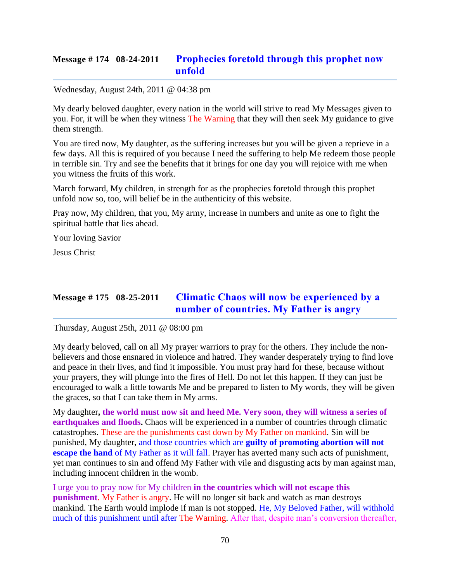### **Message # 174 08-24-2011 [Prophecies foretold through this prophet now](http://www.thewarningsecondcoming.com/prophecies-foretold-through-this-prophet-now-unfold/)  [unfold](http://www.thewarningsecondcoming.com/prophecies-foretold-through-this-prophet-now-unfold/)**

#### Wednesday, August 24th, 2011 @ 04:38 pm

My dearly beloved daughter, every nation in the world will strive to read My Messages given to you. For, it will be when they witness The Warning that they will then seek My guidance to give them strength.

You are tired now, My daughter, as the suffering increases but you will be given a reprieve in a few days. All this is required of you because I need the suffering to help Me redeem those people in terrible sin. Try and see the benefits that it brings for one day you will rejoice with me when you witness the fruits of this work.

March forward, My children, in strength for as the prophecies foretold through this prophet unfold now so, too, will belief be in the authenticity of this website.

Pray now, My children, that you, My army, increase in numbers and unite as one to fight the spiritual battle that lies ahead.

Your loving Savior

Jesus Christ

# **Message # 175 08-25-2011 [Climatic Chaos will now be experienced by a](http://www.thewarningsecondcoming.com/climatic-chaos-will-now-be-experienced-by-a-number-of-countries-my-father-is-angry/)  [number of countries. My Father is angry](http://www.thewarningsecondcoming.com/climatic-chaos-will-now-be-experienced-by-a-number-of-countries-my-father-is-angry/)**

Thursday, August 25th, 2011 @ 08:00 pm

My dearly beloved, call on all My prayer warriors to pray for the others. They include the nonbelievers and those ensnared in violence and hatred. They wander desperately trying to find love and peace in their lives, and find it impossible. You must pray hard for these, because without your prayers, they will plunge into the fires of Hell. Do not let this happen. If they can just be encouraged to walk a little towards Me and be prepared to listen to My words, they will be given the graces, so that I can take them in My arms.

My daughter**, the world must now sit and heed Me. Very soon, they will witness a series of earthquakes and floods.** Chaos will be experienced in a number of countries through climatic catastrophes. These are the punishments cast down by My Father on mankind. Sin will be punished, My daughter, and those countries which are **guilty of promoting abortion will not escape the hand** of My Father as it will fall. Prayer has averted many such acts of punishment, yet man continues to sin and offend My Father with vile and disgusting acts by man against man, including innocent children in the womb.

I urge you to pray now for My children **in the countries which will not escape this punishment**. My Father is angry. He will no longer sit back and watch as man destroys mankind. The Earth would implode if man is not stopped. He, My Beloved Father, will withhold much of this punishment until after The Warning. After that, despite man's conversion thereafter,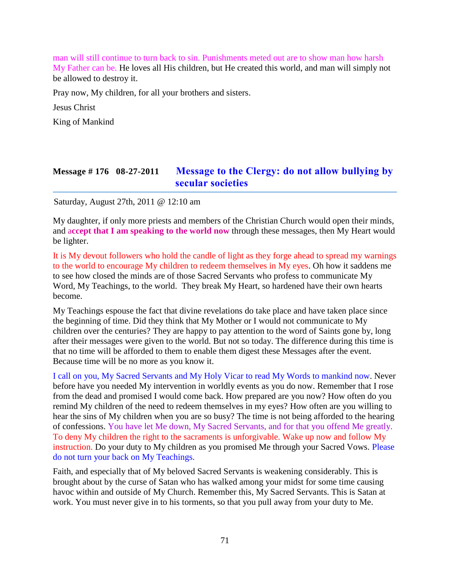man will still continue to turn back to sin. Punishments meted out are to show man how harsh My Father can be. He loves all His children, but He created this world, and man will simply not be allowed to destroy it.

Pray now, My children, for all your brothers and sisters.

Jesus Christ

King of Mankind

### **Message # 176 08-27-2011 Message to the Clergy: [do not allow bullying by](http://www.thewarningsecondcoming.com/message-to-the-clergy-do-not-allow-bullying-by-secular-societies/)  [secular societies](http://www.thewarningsecondcoming.com/message-to-the-clergy-do-not-allow-bullying-by-secular-societies/)**

Saturday, August 27th, 2011 @ 12:10 am

My daughter, if only more priests and members of the Christian Church would open their minds, and a**ccept that I am speaking to the world now** through these messages, then My Heart would be lighter.

It is My devout followers who hold the candle of light as they forge ahead to spread my warnings to the world to encourage My children to redeem themselves in My eyes. Oh how it saddens me to see how closed the minds are of those Sacred Servants who profess to communicate My Word, My Teachings, to the world. They break My Heart, so hardened have their own hearts become.

My Teachings espouse the fact that divine revelations do take place and have taken place since the beginning of time. Did they think that My Mother or I would not communicate to My children over the centuries? They are happy to pay attention to the word of Saints gone by, long after their messages were given to the world. But not so today. The difference during this time is that no time will be afforded to them to enable them digest these Messages after the event. Because time will be no more as you know it.

I call on you, My Sacred Servants and My Holy Vicar to read My Words to mankind now. Never before have you needed My intervention in worldly events as you do now. Remember that I rose from the dead and promised I would come back. How prepared are you now? How often do you remind My children of the need to redeem themselves in my eyes? How often are you willing to hear the sins of My children when you are so busy? The time is not being afforded to the hearing of confessions. You have let Me down, My Sacred Servants, and for that you offend Me greatly. To deny My children the right to the sacraments is unforgivable. Wake up now and follow My instruction. Do your duty to My children as you promised Me through your Sacred Vows. Please do not turn your back on My Teachings.

Faith, and especially that of My beloved Sacred Servants is weakening considerably. This is brought about by the curse of Satan who has walked among your midst for some time causing havoc within and outside of My Church. Remember this, My Sacred Servants. This is Satan at work. You must never give in to his torments, so that you pull away from your duty to Me.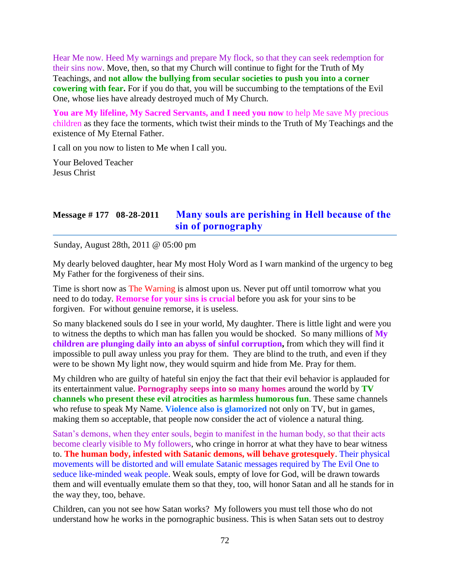Hear Me now. Heed My warnings and prepare My flock, so that they can seek redemption for their sins now. Move, then, so that my Church will continue to fight for the Truth of My Teachings, and **not allow the bullying from secular societies to push you into a corner cowering with fear.** For if you do that, you will be succumbing to the temptations of the Evil One, whose lies have already destroyed much of My Church.

**You are My lifeline, My Sacred Servants, and I need you now** to help Me save My precious children as they face the torments, which twist their minds to the Truth of My Teachings and the existence of My Eternal Father.

I call on you now to listen to Me when I call you.

Your Beloved Teacher Jesus Christ

# **Message # 177 08-28-2011 [Many souls are perishing in Hell because of the](http://www.thewarningsecondcoming.com/many-souls-are-perishing-in-hell-because-of-the-sin-of-pornography/)  [sin of pornography](http://www.thewarningsecondcoming.com/many-souls-are-perishing-in-hell-because-of-the-sin-of-pornography/)**

Sunday, August 28th, 2011 @ 05:00 pm

My dearly beloved daughter, hear My most Holy Word as I warn mankind of the urgency to beg My Father for the forgiveness of their sins.

Time is short now as The Warning is almost upon us. Never put off until tomorrow what you need to do today. **Remorse for your sins is crucial** before you ask for your sins to be forgiven. For without genuine remorse, it is useless.

So many blackened souls do I see in your world, My daughter. There is little light and were you to witness the depths to which man has fallen you would be shocked. So many millions of **My children are plunging daily into an abyss of sinful corruption,** from which they will find it impossible to pull away unless you pray for them. They are blind to the truth, and even if they were to be shown My light now, they would squirm and hide from Me. Pray for them.

My children who are guilty of hateful sin enjoy the fact that their evil behavior is applauded for its entertainment value. **Pornography seeps into so many homes** around the world by **TV channels who present these evil atrocities as harmless humorous fun**. These same channels who refuse to speak My Name. **Violence also is glamorized** not only on TV, but in games, making them so acceptable, that people now consider the act of violence a natural thing.

Satan's demons, when they enter souls, begin to manifest in the human body, so that their acts become clearly visible to My followers, who cringe in horror at what they have to bear witness to. **The human body, infested with Satanic demons, will behave grotesquely**. Their physical movements will be distorted and will emulate Satanic messages required by The Evil One to seduce like-minded weak people. Weak souls, empty of love for God, will be drawn towards them and will eventually emulate them so that they, too, will honor Satan and all he stands for in the way they, too, behave.

Children, can you not see how Satan works? My followers you must tell those who do not understand how he works in the pornographic business. This is when Satan sets out to destroy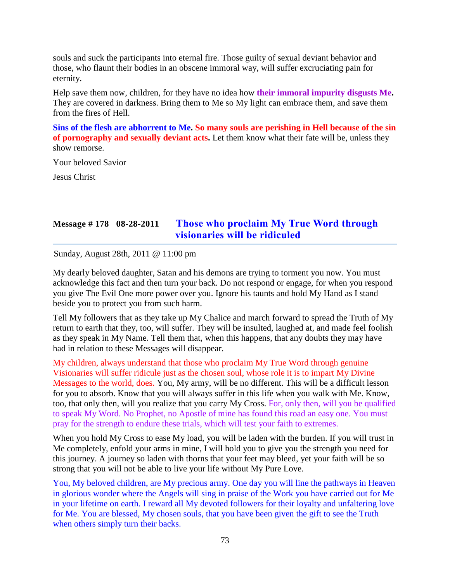souls and suck the participants into eternal fire. Those guilty of sexual deviant behavior and those, who flaunt their bodies in an obscene immoral way, will suffer excruciating pain for eternity.

Help save them now, children, for they have no idea how **their immoral impurity disgusts Me.**  They are covered in darkness. Bring them to Me so My light can embrace them, and save them from the fires of Hell.

**Sins of the flesh are abhorrent to Me. So many souls are perishing in Hell because of the sin of pornography and sexually deviant acts.** Let them know what their fate will be, unless they show remorse.

Your beloved Savior

Jesus Christ

# **Message # 178 08-28-2011 [Those who proclaim My True Word through](http://www.thewarningsecondcoming.com/those-who-proclaim-my-true-word-through-visionaries-will-be-ridiculed-3/)  [visionaries will be ridiculed](http://www.thewarningsecondcoming.com/those-who-proclaim-my-true-word-through-visionaries-will-be-ridiculed-3/)**

Sunday, August 28th, 2011 @ 11:00 pm

My dearly beloved daughter, Satan and his demons are trying to torment you now. You must acknowledge this fact and then turn your back. Do not respond or engage, for when you respond you give The Evil One more power over you. Ignore his taunts and hold My Hand as I stand beside you to protect you from such harm.

Tell My followers that as they take up My Chalice and march forward to spread the Truth of My return to earth that they, too, will suffer. They will be insulted, laughed at, and made feel foolish as they speak in My Name. Tell them that, when this happens, that any doubts they may have had in relation to these Messages will disappear.

My children, always understand that those who proclaim My True Word through genuine Visionaries will suffer ridicule just as the chosen soul, whose role it is to impart My Divine Messages to the world, does. You, My army, will be no different. This will be a difficult lesson for you to absorb. Know that you will always suffer in this life when you walk with Me. Know, too, that only then, will you realize that you carry My Cross. For, only then, will you be qualified to speak My Word. No Prophet, no Apostle of mine has found this road an easy one. You must pray for the strength to endure these trials, which will test your faith to extremes.

When you hold My Cross to ease My load, you will be laden with the burden. If you will trust in Me completely, enfold your arms in mine, I will hold you to give you the strength you need for this journey. A journey so laden with thorns that your feet may bleed, yet your faith will be so strong that you will not be able to live your life without My Pure Love.

You, My beloved children, are My precious army. One day you will line the pathways in Heaven in glorious wonder where the Angels will sing in praise of the Work you have carried out for Me in your lifetime on earth. I reward all My devoted followers for their loyalty and unfaltering love for Me. You are blessed, My chosen souls, that you have been given the gift to see the Truth when others simply turn their backs.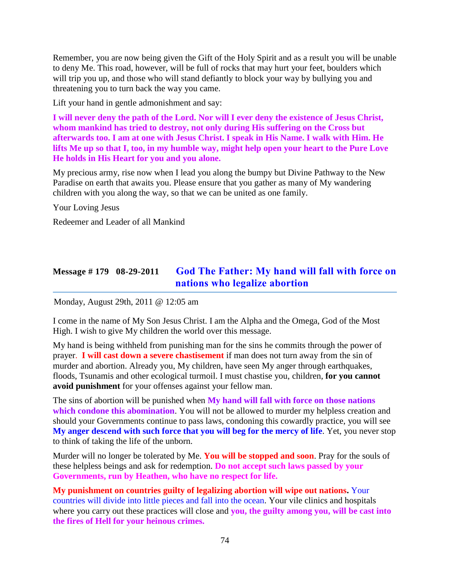Remember, you are now being given the Gift of the Holy Spirit and as a result you will be unable to deny Me. This road, however, will be full of rocks that may hurt your feet, boulders which will trip you up, and those who will stand defiantly to block your way by bullying you and threatening you to turn back the way you came.

Lift your hand in gentle admonishment and say:

**I will never deny the path of the Lord. Nor will I ever deny the existence of Jesus Christ, whom mankind has tried to destroy, not only during His suffering on the Cross but afterwards too. I am at one with Jesus Christ. I speak in His Name. I walk with Him. He lifts Me up so that I, too, in my humble way, might help open your heart to the Pure Love He holds in His Heart for you and you alone.** 

My precious army, rise now when I lead you along the bumpy but Divine Pathway to the New Paradise on earth that awaits you. Please ensure that you gather as many of My wandering children with you along the way, so that we can be united as one family.

Your Loving Jesus

Redeemer and Leader of all Mankind

# **Message # 179 08-29-2011 [God The Father: My hand will fall with force on](http://www.thewarningsecondcoming.com/god-the-father-my-hand-will-fall-with-force-on-nations-who-legalise-abortion/)  [nations who legalize abortion](http://www.thewarningsecondcoming.com/god-the-father-my-hand-will-fall-with-force-on-nations-who-legalise-abortion/)**

Monday, August 29th, 2011 @ 12:05 am

I come in the name of My Son Jesus Christ. I am the Alpha and the Omega, God of the Most High. I wish to give My children the world over this message.

My hand is being withheld from punishing man for the sins he commits through the power of prayer. **I will cast down a severe chastisement** if man does not turn away from the sin of murder and abortion. Already you, My children, have seen My anger through earthquakes, floods, Tsunamis and other ecological turmoil. I must chastise you, children, **for you cannot avoid punishment** for your offenses against your fellow man.

The sins of abortion will be punished when **My hand will fall with force on those nations which condone this abomination**. You will not be allowed to murder my helpless creation and should your Governments continue to pass laws, condoning this cowardly practice, you will see **My anger descend with such force that you will beg for the mercy of life**. Yet, you never stop to think of taking the life of the unborn.

Murder will no longer be tolerated by Me. **You will be stopped and soon**. Pray for the souls of these helpless beings and ask for redemption. **Do not accept such laws passed by your Governments, run by Heathen, who have no respect for life.**

**My punishment on countries guilty of legalizing abortion will wipe out nations.** Your countries will divide into little pieces and fall into the ocean. Your vile clinics and hospitals where you carry out these practices will close and **you, the guilty among you, will be cast into the fires of Hell for your heinous crimes.**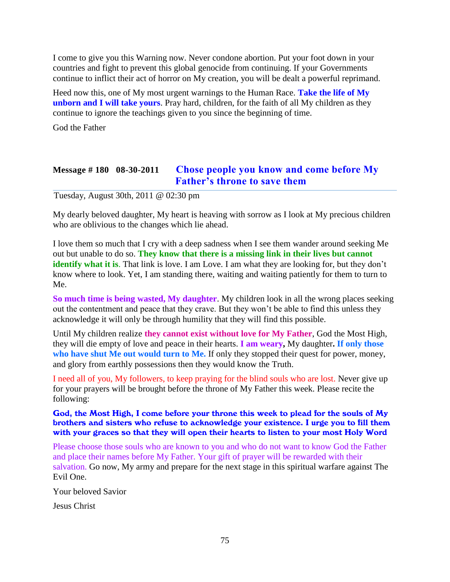I come to give you this Warning now. Never condone abortion. Put your foot down in your countries and fight to prevent this global genocide from continuing. If your Governments continue to inflict their act of horror on My creation, you will be dealt a powerful reprimand.

Heed now this, one of My most urgent warnings to the Human Race. **Take the life of My unborn and I will take yours**. Pray hard, children, for the faith of all My children as they continue to ignore the teachings given to you since the beginning of time.

God the Father

# **Message # 180 08-30-2011 [Chose people you know and come before My](http://www.thewarningsecondcoming.com/chose-people-you-know-and-come-before-my-fathers-throne-to-save-them/)  [Father's throne to save them](http://www.thewarningsecondcoming.com/chose-people-you-know-and-come-before-my-fathers-throne-to-save-them/)**

Tuesday, August 30th, 2011 @ 02:30 pm

My dearly beloved daughter, My heart is heaving with sorrow as I look at My precious children who are oblivious to the changes which lie ahead.

I love them so much that I cry with a deep sadness when I see them wander around seeking Me out but unable to do so. **They know that there is a missing link in their lives but cannot identify what it is**. That link is love. I am Love. I am what they are looking for, but they don't know where to look. Yet, I am standing there, waiting and waiting patiently for them to turn to Me.

**So much time is being wasted, My daughter**. My children look in all the wrong places seeking out the contentment and peace that they crave. But they won't be able to find this unless they acknowledge it will only be through humility that they will find this possible.

Until My children realize **they cannot exist without love for My Father**, God the Most High, they will die empty of love and peace in their hearts. **I am weary,** My daughter**. If only those who have shut Me out would turn to Me.** If only they stopped their quest for power, money, and glory from earthly possessions then they would know the Truth.

I need all of you, My followers, to keep praying for the blind souls who are lost. Never give up for your prayers will be brought before the throne of My Father this week. Please recite the following:

God, the Most High, I come before your throne this week to plead for the souls of My brothers and sisters who refuse to acknowledge your existence. I urge you to fill them with your graces so that they will open their hearts to listen to your most Holy Word

Please choose those souls who are known to you and who do not want to know God the Father and place their names before My Father. Your gift of prayer will be rewarded with their salvation. Go now, My army and prepare for the next stage in this spiritual warfare against The Evil One.

Your beloved Savior

Jesus Christ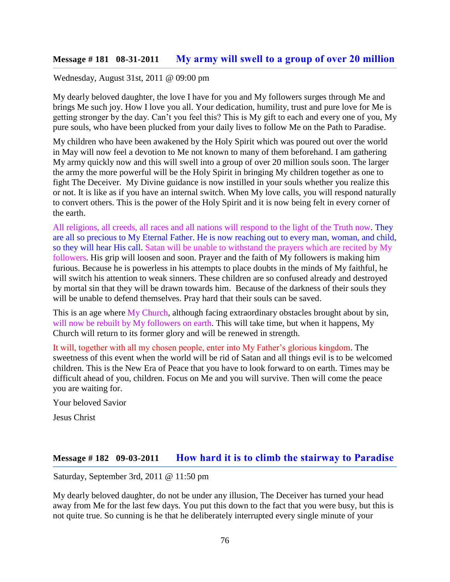### **Message # 181 08-31-2011 [My army will swell to a group of over 20 million](http://www.thewarningsecondcoming.com/my-army-will-swell-to-a-group-of-over-20-million/)**

#### Wednesday, August 31st, 2011 @ 09:00 pm

My dearly beloved daughter, the love I have for you and My followers surges through Me and brings Me such joy. How I love you all. Your dedication, humility, trust and pure love for Me is getting stronger by the day. Can't you feel this? This is My gift to each and every one of you, My pure souls, who have been plucked from your daily lives to follow Me on the Path to Paradise.

My children who have been awakened by the Holy Spirit which was poured out over the world in May will now feel a devotion to Me not known to many of them beforehand. I am gathering My army quickly now and this will swell into a group of over 20 million souls soon. The larger the army the more powerful will be the Holy Spirit in bringing My children together as one to fight The Deceiver. My Divine guidance is now instilled in your souls whether you realize this or not. It is like as if you have an internal switch. When My love calls, you will respond naturally to convert others. This is the power of the Holy Spirit and it is now being felt in every corner of the earth.

All religions, all creeds, all races and all nations will respond to the light of the Truth now. They are all so precious to My Eternal Father. He is now reaching out to every man, woman, and child, so they will hear His call. Satan will be unable to withstand the prayers which are recited by My followers. His grip will loosen and soon. Prayer and the faith of My followers is making him furious. Because he is powerless in his attempts to place doubts in the minds of My faithful, he will switch his attention to weak sinners. These children are so confused already and destroyed by mortal sin that they will be drawn towards him. Because of the darkness of their souls they will be unable to defend themselves. Pray hard that their souls can be saved.

This is an age where My Church, although facing extraordinary obstacles brought about by sin, will now be rebuilt by My followers on earth. This will take time, but when it happens, My Church will return to its former glory and will be renewed in strength.

It will, together with all my chosen people, enter into My Father's glorious kingdom. The sweetness of this event when the world will be rid of Satan and all things evil is to be welcomed children. This is the New Era of Peace that you have to look forward to on earth. Times may be difficult ahead of you, children. Focus on Me and you will survive. Then will come the peace you are waiting for.

Your beloved Savior

Jesus Christ

### **Message # 182 09-03-2011 [How hard it is to climb the stairway to Paradise](http://www.thewarningsecondcoming.com/how-hard-it-is-to-climb-the-stairway-to-paradise/)**

Saturday, September 3rd, 2011 @ 11:50 pm

My dearly beloved daughter, do not be under any illusion, The Deceiver has turned your head away from Me for the last few days. You put this down to the fact that you were busy, but this is not quite true. So cunning is he that he deliberately interrupted every single minute of your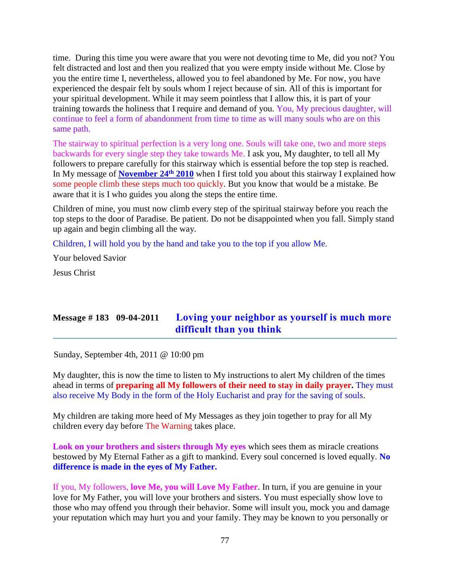time. During this time you were aware that you were not devoting time to Me, did you not? You felt distracted and lost and then you realized that you were empty inside without Me. Close by you the entire time I, nevertheless, allowed you to feel abandoned by Me. For now, you have experienced the despair felt by souls whom I reject because of sin. All of this is important for your spiritual development. While it may seem pointless that I allow this, it is part of your training towards the holiness that I require and demand of you. You, My precious daughter, will continue to feel a form of abandonment from time to time as will many souls who are on this same path.

The stairway to spiritual perfection is a very long one. Souls will take one, two and more steps backwards for every single step they take towards Me. I ask you, My daughter, to tell all My followers to prepare carefully for this stairway which is essential before the top step is reached. In My message of **[November 24](http://www.thewarningsecondcoming.com/stairway-to-spiritual-perfection/)th 2010** when I first told you about this stairway I explained how some people climb these steps much too quickly. But you know that would be a mistake. Be aware that it is I who guides you along the steps the entire time.

Children of mine, you must now climb every step of the spiritual stairway before you reach the top steps to the door of Paradise. Be patient. Do not be disappointed when you fall. Simply stand up again and begin climbing all the way.

Children, I will hold you by the hand and take you to the top if you allow Me.

Your beloved Savior

Jesus Christ

# **Message # 183 09-04-2011 [Loving your neighbor as yourself is much more](http://www.thewarningsecondcoming.com/loving-your-neighbour-as-yourself-is-much-more-difficult-than-you-think/)  [difficult than you think](http://www.thewarningsecondcoming.com/loving-your-neighbour-as-yourself-is-much-more-difficult-than-you-think/)**

Sunday, September 4th, 2011 @ 10:00 pm

My daughter, this is now the time to listen to My instructions to alert My children of the times ahead in terms of **preparing all My followers of their need to stay in daily prayer.** They must also receive My Body in the form of the Holy Eucharist and pray for the saving of souls.

My children are taking more heed of My Messages as they join together to pray for all My children every day before The Warning takes place.

**Look on your brothers and sisters through My eyes** which sees them as miracle creations bestowed by My Eternal Father as a gift to mankind. Every soul concerned is loved equally. **No difference is made in the eyes of My Father.**

If you, My followers, **love Me, you will Love My Father**. In turn, if you are genuine in your love for My Father, you will love your brothers and sisters. You must especially show love to those who may offend you through their behavior. Some will insult you, mock you and damage your reputation which may hurt you and your family. They may be known to you personally or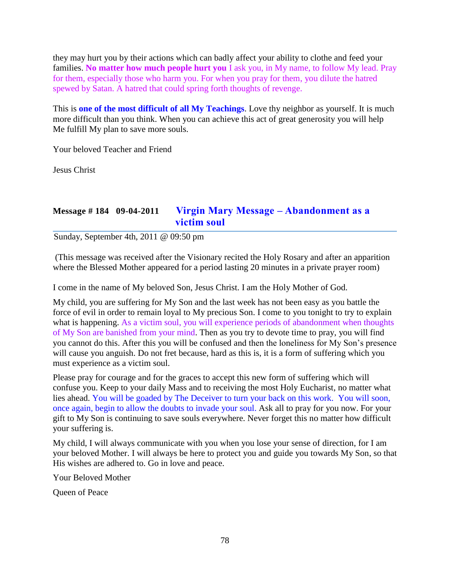they may hurt you by their actions which can badly affect your ability to clothe and feed your families. **No matter how much people hurt you** I ask you, in My name, to follow My lead. Pray for them, especially those who harm you. For when you pray for them, you dilute the hatred spewed by Satan. A hatred that could spring forth thoughts of revenge.

This is **one of the most difficult of all My Teachings**. Love thy neighbor as yourself. It is much more difficult than you think. When you can achieve this act of great generosity you will help Me fulfill My plan to save more souls.

Your beloved Teacher and Friend

Jesus Christ

# **Message # 184 09-04-2011 [Virgin Mary Message –](http://www.thewarningsecondcoming.com/virgin-mary-message-abandonment-as-a-victim-soul/) Abandonment as a [victim soul](http://www.thewarningsecondcoming.com/virgin-mary-message-abandonment-as-a-victim-soul/)**

Sunday, September 4th, 2011 @ 09:50 pm

(This message was received after the Visionary recited the Holy Rosary and after an apparition where the Blessed Mother appeared for a period lasting 20 minutes in a private prayer room)

I come in the name of My beloved Son, Jesus Christ. I am the Holy Mother of God.

My child, you are suffering for My Son and the last week has not been easy as you battle the force of evil in order to remain loyal to My precious Son. I come to you tonight to try to explain what is happening. As a victim soul, you will experience periods of abandonment when thoughts of My Son are banished from your mind. Then as you try to devote time to pray, you will find you cannot do this. After this you will be confused and then the loneliness for My Son's presence will cause you anguish. Do not fret because, hard as this is, it is a form of suffering which you must experience as a victim soul.

Please pray for courage and for the graces to accept this new form of suffering which will confuse you. Keep to your daily Mass and to receiving the most Holy Eucharist, no matter what lies ahead. You will be goaded by The Deceiver to turn your back on this work. You will soon, once again, begin to allow the doubts to invade your soul. Ask all to pray for you now. For your gift to My Son is continuing to save souls everywhere. Never forget this no matter how difficult your suffering is.

My child, I will always communicate with you when you lose your sense of direction, for I am your beloved Mother. I will always be here to protect you and guide you towards My Son, so that His wishes are adhered to. Go in love and peace.

Your Beloved Mother

Queen of Peace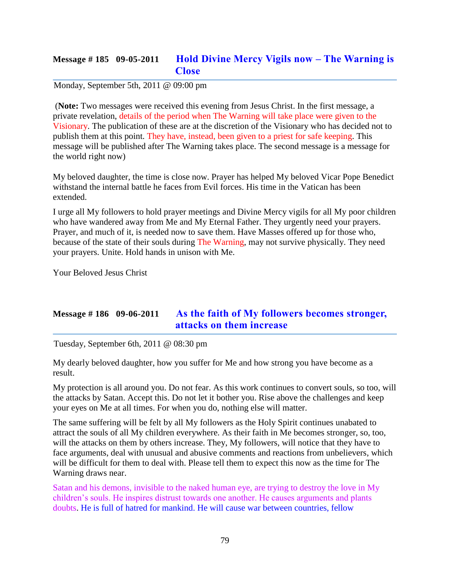### **Message # 185 09-05-2011 [Hold Divine Mercy Vigils now –](http://www.thewarningsecondcoming.com/hold-divine-mercy-vigils-now-the-warning-is-close/) The Warning is [Close](http://www.thewarningsecondcoming.com/hold-divine-mercy-vigils-now-the-warning-is-close/)**

### Monday, September 5th, 2011 @ 09:00 pm

(**Note:** Two messages were received this evening from Jesus Christ. In the first message, a private revelation, details of the period when The Warning will take place were given to the Visionary. The publication of these are at the discretion of the Visionary who has decided not to publish them at this point. They have, instead, been given to a priest for safe keeping. This message will be published after The Warning takes place. The second message is a message for the world right now)

My beloved daughter, the time is close now. Prayer has helped My beloved Vicar Pope Benedict withstand the internal battle he faces from Evil forces. His time in the Vatican has been extended.

I urge all My followers to hold prayer meetings and Divine Mercy vigils for all My poor children who have wandered away from Me and My Eternal Father. They urgently need your prayers. Prayer, and much of it, is needed now to save them. Have Masses offered up for those who, because of the state of their souls during The Warning, may not survive physically. They need your prayers. Unite. Hold hands in unison with Me.

Your Beloved Jesus Christ

# **Message # 186 09-06-2011 [As the faith of My followers becomes stronger,](http://www.thewarningsecondcoming.com/as-the-faith-of-my-followers-becomes-stronger-attacks-on-them-increase/)  [attacks on them increase](http://www.thewarningsecondcoming.com/as-the-faith-of-my-followers-becomes-stronger-attacks-on-them-increase/)**

Tuesday, September 6th, 2011 @ 08:30 pm

My dearly beloved daughter, how you suffer for Me and how strong you have become as a result.

My protection is all around you. Do not fear. As this work continues to convert souls, so too, will the attacks by Satan. Accept this. Do not let it bother you. Rise above the challenges and keep your eyes on Me at all times. For when you do, nothing else will matter.

The same suffering will be felt by all My followers as the Holy Spirit continues unabated to attract the souls of all My children everywhere. As their faith in Me becomes stronger, so, too, will the attacks on them by others increase. They, My followers, will notice that they have to face arguments, deal with unusual and abusive comments and reactions from unbelievers, which will be difficult for them to deal with. Please tell them to expect this now as the time for The Warning draws near.

Satan and his demons, invisible to the naked human eye, are trying to destroy the love in My children's souls. He inspires distrust towards one another. He causes arguments and plants doubts. He is full of hatred for mankind. He will cause war between countries, fellow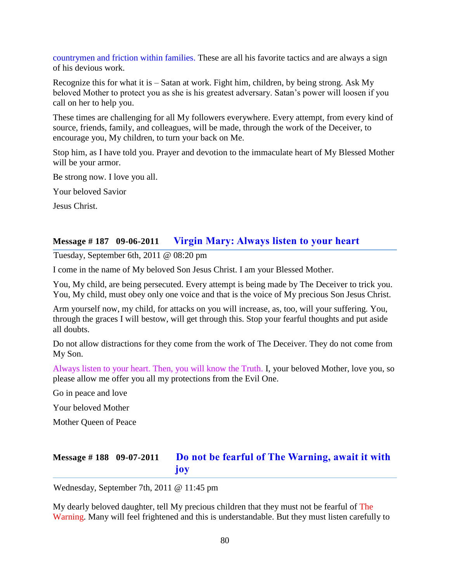countrymen and friction within families. These are all his favorite tactics and are always a sign of his devious work.

Recognize this for what it is – Satan at work. Fight him, children, by being strong. Ask My beloved Mother to protect you as she is his greatest adversary. Satan's power will loosen if you call on her to help you.

These times are challenging for all My followers everywhere. Every attempt, from every kind of source, friends, family, and colleagues, will be made, through the work of the Deceiver, to encourage you, My children, to turn your back on Me.

Stop him, as I have told you. Prayer and devotion to the immaculate heart of My Blessed Mother will be your armor.

Be strong now. I love you all.

Your beloved Savior

Jesus Christ.

### **Message # 187 09-06-2011 [Virgin Mary: Always listen to your heart](http://www.thewarningsecondcoming.com/virgin-mary-always-listen-to-your-heart/)**

Tuesday, September 6th, 2011 @ 08:20 pm

I come in the name of My beloved Son Jesus Christ. I am your Blessed Mother.

You, My child, are being persecuted. Every attempt is being made by The Deceiver to trick you. You, My child, must obey only one voice and that is the voice of My precious Son Jesus Christ.

Arm yourself now, my child, for attacks on you will increase, as, too, will your suffering. You, through the graces I will bestow, will get through this. Stop your fearful thoughts and put aside all doubts.

Do not allow distractions for they come from the work of The Deceiver. They do not come from My Son.

Always listen to your heart. Then, you will know the Truth. I, your beloved Mother, love you, so please allow me offer you all my protections from the Evil One.

Go in peace and love

Your beloved Mother

Mother Queen of Peace

# **Message # 188 09-07-2011 [Do not be fearful of The Warning, await it with](http://www.thewarningsecondcoming.com/do-not-be-fearful-of-the-warning-await-it-with-joy/)  [joy](http://www.thewarningsecondcoming.com/do-not-be-fearful-of-the-warning-await-it-with-joy/)**

Wednesday, September 7th, 2011 @ 11:45 pm

My dearly beloved daughter, tell My precious children that they must not be fearful of The Warning. Many will feel frightened and this is understandable. But they must listen carefully to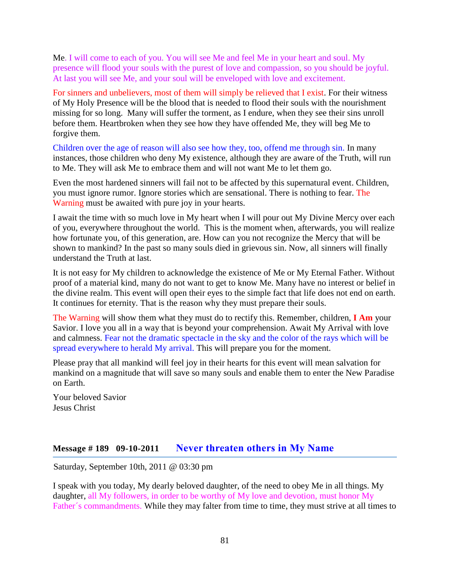Me. I will come to each of you. You will see Me and feel Me in your heart and soul. My presence will flood your souls with the purest of love and compassion, so you should be joyful. At last you will see Me, and your soul will be enveloped with love and excitement.

For sinners and unbelievers, most of them will simply be relieved that I exist. For their witness of My Holy Presence will be the blood that is needed to flood their souls with the nourishment missing for so long. Many will suffer the torment, as I endure, when they see their sins unroll before them. Heartbroken when they see how they have offended Me, they will beg Me to forgive them.

Children over the age of reason will also see how they, too, offend me through sin. In many instances, those children who deny My existence, although they are aware of the Truth, will run to Me. They will ask Me to embrace them and will not want Me to let them go.

Even the most hardened sinners will fail not to be affected by this supernatural event. Children, you must ignore rumor. Ignore stories which are sensational. There is nothing to fear. The Warning must be awaited with pure joy in your hearts.

I await the time with so much love in My heart when I will pour out My Divine Mercy over each of you, everywhere throughout the world. This is the moment when, afterwards, you will realize how fortunate you, of this generation, are. How can you not recognize the Mercy that will be shown to mankind? In the past so many souls died in grievous sin. Now, all sinners will finally understand the Truth at last.

It is not easy for My children to acknowledge the existence of Me or My Eternal Father. Without proof of a material kind, many do not want to get to know Me. Many have no interest or belief in the divine realm. This event will open their eyes to the simple fact that life does not end on earth. It continues for eternity. That is the reason why they must prepare their souls.

The Warning will show them what they must do to rectify this. Remember, children, **I Am** your Savior. I love you all in a way that is beyond your comprehension. Await My Arrival with love and calmness. Fear not the dramatic spectacle in the sky and the color of the rays which will be spread everywhere to herald My arrival. This will prepare you for the moment.

Please pray that all mankind will feel joy in their hearts for this event will mean salvation for mankind on a magnitude that will save so many souls and enable them to enter the New Paradise on Earth.

Your beloved Savior Jesus Christ

# **Message # 189 09-10-2011 [Never threaten others in My Name](http://www.thewarningsecondcoming.com/never-threaten-others-in-my-name/)**

Saturday, September 10th, 2011 @ 03:30 pm

I speak with you today, My dearly beloved daughter, of the need to obey Me in all things. My daughter, all My followers, in order to be worthy of My love and devotion, must honor My Father´s commandments. While they may falter from time to time, they must strive at all times to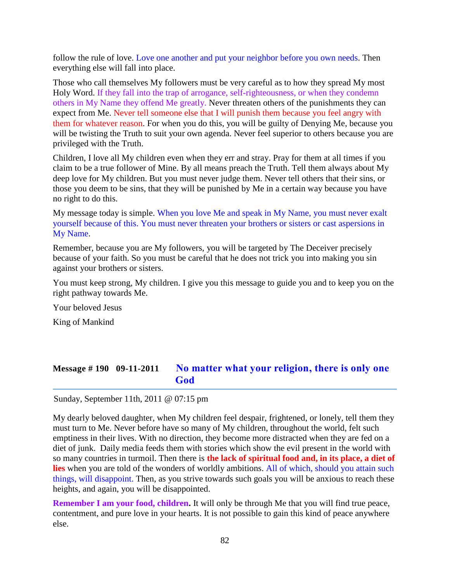follow the rule of love. Love one another and put your neighbor before you own needs. Then everything else will fall into place.

Those who call themselves My followers must be very careful as to how they spread My most Holy Word. If they fall into the trap of arrogance, self-righteousness, or when they condemn others in My Name they offend Me greatly. Never threaten others of the punishments they can expect from Me. Never tell someone else that I will punish them because you feel angry with them for whatever reason. For when you do this, you will be guilty of Denying Me, because you will be twisting the Truth to suit your own agenda. Never feel superior to others because you are privileged with the Truth.

Children, I love all My children even when they err and stray. Pray for them at all times if you claim to be a true follower of Mine. By all means preach the Truth. Tell them always about My deep love for My children. But you must never judge them. Never tell others that their sins, or those you deem to be sins, that they will be punished by Me in a certain way because you have no right to do this.

My message today is simple. When you love Me and speak in My Name, you must never exalt yourself because of this. You must never threaten your brothers or sisters or cast aspersions in My Name.

Remember, because you are My followers, you will be targeted by The Deceiver precisely because of your faith. So you must be careful that he does not trick you into making you sin against your brothers or sisters.

You must keep strong, My children. I give you this message to guide you and to keep you on the right pathway towards Me.

Your beloved Jesus

King of Mankind

### **Message # 190 09-11-2011 [No matter what your religion,](http://www.thewarningsecondcoming.com/no-matter-what-your-religion-there-is-only-one-god/) there is only one [God](http://www.thewarningsecondcoming.com/no-matter-what-your-religion-there-is-only-one-god/)**

Sunday, September 11th, 2011 @ 07:15 pm

My dearly beloved daughter, when My children feel despair, frightened, or lonely, tell them they must turn to Me. Never before have so many of My children, throughout the world, felt such emptiness in their lives. With no direction, they become more distracted when they are fed on a diet of junk. Daily media feeds them with stories which show the evil present in the world with so many countries in turmoil. Then there is **the lack of spiritual food and, in its place, a diet of lies** when you are told of the wonders of worldly ambitions. All of which, should you attain such things, will disappoint. Then, as you strive towards such goals you will be anxious to reach these heights, and again, you will be disappointed.

**Remember I am your food, children.** It will only be through Me that you will find true peace, contentment, and pure love in your hearts. It is not possible to gain this kind of peace anywhere else.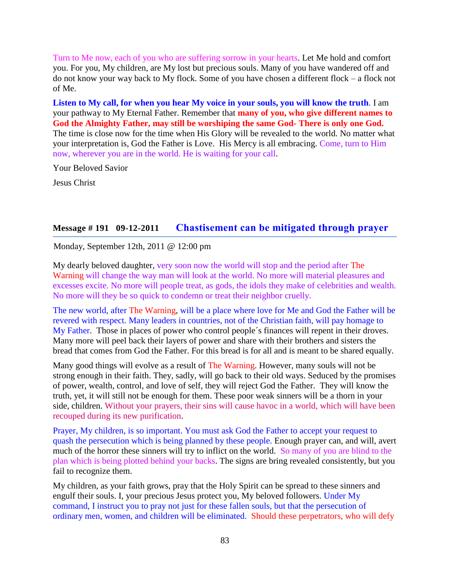Turn to Me now, each of you who are suffering sorrow in your hearts. Let Me hold and comfort you. For you, My children, are My lost but precious souls. Many of you have wandered off and do not know your way back to My flock. Some of you have chosen a different flock – a flock not of Me.

**Listen to My call, for when you hear My voice in your souls, you will know the truth**. I am your pathway to My Eternal Father. Remember that **many of you, who give different names to God the Almighty Father, may still be worshiping the same God- There is only one God.**  The time is close now for the time when His Glory will be revealed to the world. No matter what your interpretation is, God the Father is Love. His Mercy is all embracing. Come, turn to Him now, wherever you are in the world. He is waiting for your call.

Your Beloved Savior

Jesus Christ

### **Message # 191 09-12-2011 [Chastisement can be mitigated through prayer](http://www.thewarningsecondcoming.com/chastisement-can-be-mitigated-through-prayer/)**

Monday, September 12th, 2011 @ 12:00 pm

My dearly beloved daughter, very soon now the world will stop and the period after The Warning will change the way man will look at the world. No more will material pleasures and excesses excite. No more will people treat, as gods, the idols they make of celebrities and wealth. No more will they be so quick to condemn or treat their neighbor cruelly.

The new world, after The Warning, will be a place where love for Me and God the Father will be revered with respect. Many leaders in countries, not of the Christian faith, will pay homage to My Father. Those in places of power who control people´s finances will repent in their droves. Many more will peel back their layers of power and share with their brothers and sisters the bread that comes from God the Father. For this bread is for all and is meant to be shared equally.

Many good things will evolve as a result of The Warning. However, many souls will not be strong enough in their faith. They, sadly, will go back to their old ways. Seduced by the promises of power, wealth, control, and love of self, they will reject God the Father. They will know the truth, yet, it will still not be enough for them. These poor weak sinners will be a thorn in your side, children. Without your prayers, their sins will cause havoc in a world, which will have been recouped during its new purification.

Prayer, My children, is so important. You must ask God the Father to accept your request to quash the persecution which is being planned by these people. Enough prayer can, and will, avert much of the horror these sinners will try to inflict on the world. So many of you are blind to the plan which is being plotted behind your backs. The signs are bring revealed consistently, but you fail to recognize them.

My children, as your faith grows, pray that the Holy Spirit can be spread to these sinners and engulf their souls. I, your precious Jesus protect you, My beloved followers. Under My command, I instruct you to pray not just for these fallen souls, but that the persecution of ordinary men, women, and children will be eliminated. Should these perpetrators, who will defy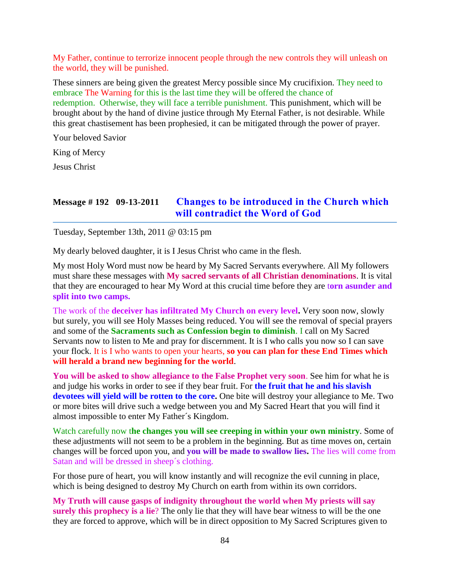My Father, continue to terrorize innocent people through the new controls they will unleash on the world, they will be punished.

These sinners are being given the greatest Mercy possible since My crucifixion. They need to embrace The Warning for this is the last time they will be offered the chance of redemption. Otherwise, they will face a terrible punishment. This punishment, which will be brought about by the hand of divine justice through My Eternal Father, is not desirable. While this great chastisement has been prophesied, it can be mitigated through the power of prayer.

Your beloved Savior

King of Mercy

Jesus Christ

### **Message # 192 09-13-2011 [Changes to be introduced in the Church which](http://www.thewarningsecondcoming.com/changes-to-be-introduced-in-the-church-which-will-contradict-the-word-of-god/)  [will contradict the Word of God](http://www.thewarningsecondcoming.com/changes-to-be-introduced-in-the-church-which-will-contradict-the-word-of-god/)**

Tuesday, September 13th, 2011 @ 03:15 pm

My dearly beloved daughter, it is I Jesus Christ who came in the flesh.

My most Holy Word must now be heard by My Sacred Servants everywhere. All My followers must share these messages with **My sacred servants of all Christian denominations**. It is vital that they are encouraged to hear My Word at this crucial time before they are t**orn asunder and split into two camps.**

The work of the **deceiver has infiltrated My Church on every level.** Very soon now, slowly but surely, you will see Holy Masses being reduced. You will see the removal of special prayers and some of the **Sacraments such as Confession begin to diminish**. I call on My Sacred Servants now to listen to Me and pray for discernment. It is I who calls you now so I can save your flock. It is I who wants to open your hearts, **so you can plan for these End Times which will herald a brand new beginning for the world**.

**You will be asked to show allegiance to the False Prophet very soon**. See him for what he is and judge his works in order to see if they bear fruit. For **the fruit that he and his slavish devotees will yield will be rotten to the core.** One bite will destroy your allegiance to Me. Two or more bites will drive such a wedge between you and My Sacred Heart that you will find it almost impossible to enter My Father´s Kingdom.

Watch carefully now t**he changes you will see creeping in within your own ministry**. Some of these adjustments will not seem to be a problem in the beginning. But as time moves on, certain changes will be forced upon you, and **you will be made to swallow lies.** The lies will come from Satan and will be dressed in sheep´s clothing.

For those pure of heart, you will know instantly and will recognize the evil cunning in place, which is being designed to destroy My Church on earth from within its own corridors.

**My Truth will cause gasps of indignity throughout the world when My priests will say surely this prophecy is a lie**? The only lie that they will have bear witness to will be the one they are forced to approve, which will be in direct opposition to My Sacred Scriptures given to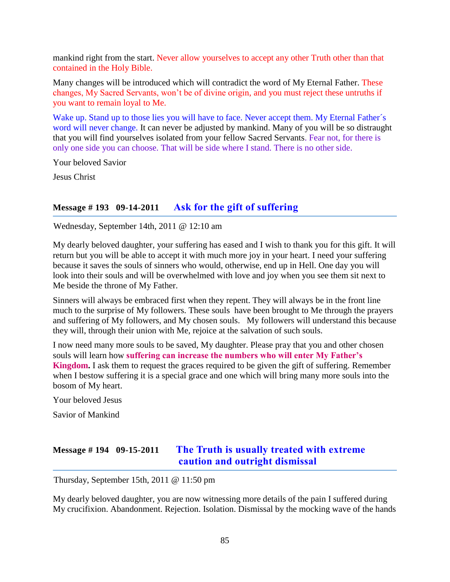mankind right from the start. Never allow yourselves to accept any other Truth other than that contained in the Holy Bible.

Many changes will be introduced which will contradict the word of My Eternal Father. These changes, My Sacred Servants, won't be of divine origin, and you must reject these untruths if you want to remain loyal to Me.

Wake up. Stand up to those lies you will have to face. Never accept them. My Eternal Father's word will never change. It can never be adjusted by mankind. Many of you will be so distraught that you will find yourselves isolated from your fellow Sacred Servants. Fear not, for there is only one side you can choose. That will be side where I stand. There is no other side.

Your beloved Savior

Jesus Christ

# **Message # 193 09-14-2011 [Ask for the gift of suffering](http://www.thewarningsecondcoming.com/ask-for-the-gift-of-suffering/)**

Wednesday, September 14th, 2011 @ 12:10 am

My dearly beloved daughter, your suffering has eased and I wish to thank you for this gift. It will return but you will be able to accept it with much more joy in your heart. I need your suffering because it saves the souls of sinners who would, otherwise, end up in Hell. One day you will look into their souls and will be overwhelmed with love and joy when you see them sit next to Me beside the throne of My Father.

Sinners will always be embraced first when they repent. They will always be in the front line much to the surprise of My followers. These souls have been brought to Me through the prayers and suffering of My followers, and My chosen souls. My followers will understand this because they will, through their union with Me, rejoice at the salvation of such souls.

I now need many more souls to be saved, My daughter. Please pray that you and other chosen souls will learn how **suffering can increase the numbers who will enter My Father's Kingdom.** I ask them to request the graces required to be given the gift of suffering. Remember when I bestow suffering it is a special grace and one which will bring many more souls into the bosom of My heart.

Your beloved Jesus

Savior of Mankind

# **Message # 194 09-15-2011 [The Truth is usually treated with extreme](http://www.thewarningsecondcoming.com/the-truth-is-usually-treated-with-extreme-caution-and-outright-dismissal/)  [caution and outright dismissal](http://www.thewarningsecondcoming.com/the-truth-is-usually-treated-with-extreme-caution-and-outright-dismissal/)**

Thursday, September 15th, 2011 @ 11:50 pm

My dearly beloved daughter, you are now witnessing more details of the pain I suffered during My crucifixion. Abandonment. Rejection. Isolation. Dismissal by the mocking wave of the hands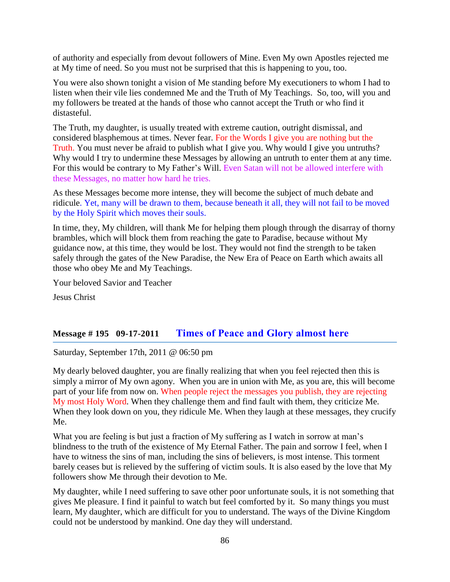of authority and especially from devout followers of Mine. Even My own Apostles rejected me at My time of need. So you must not be surprised that this is happening to you, too.

You were also shown tonight a vision of Me standing before My executioners to whom I had to listen when their vile lies condemned Me and the Truth of My Teachings. So, too, will you and my followers be treated at the hands of those who cannot accept the Truth or who find it distasteful.

The Truth, my daughter, is usually treated with extreme caution, outright dismissal, and considered blasphemous at times. Never fear. For the Words I give you are nothing but the Truth. You must never be afraid to publish what I give you. Why would I give you untruths? Why would I try to undermine these Messages by allowing an untruth to enter them at any time. For this would be contrary to My Father's Will. Even Satan will not be allowed interfere with these Messages, no matter how hard he tries.

As these Messages become more intense, they will become the subject of much debate and ridicule. Yet, many will be drawn to them, because beneath it all, they will not fail to be moved by the Holy Spirit which moves their souls.

In time, they, My children, will thank Me for helping them plough through the disarray of thorny brambles, which will block them from reaching the gate to Paradise, because without My guidance now, at this time, they would be lost. They would not find the strength to be taken safely through the gates of the New Paradise, the New Era of Peace on Earth which awaits all those who obey Me and My Teachings.

Your beloved Savior and Teacher

Jesus Christ

### **Message # 195 09-17-2011 [Times of Peace and Glory almost here](http://www.thewarningsecondcoming.com/times-of-peace-and-glory-almost-here/)**

Saturday, September 17th, 2011 @ 06:50 pm

My dearly beloved daughter, you are finally realizing that when you feel rejected then this is simply a mirror of My own agony. When you are in union with Me, as you are, this will become part of your life from now on. When people reject the messages you publish, they are rejecting My most Holy Word. When they challenge them and find fault with them, they criticize Me. When they look down on you, they ridicule Me. When they laugh at these messages, they crucify Me.

What you are feeling is but just a fraction of My suffering as I watch in sorrow at man's blindness to the truth of the existence of My Eternal Father. The pain and sorrow I feel, when I have to witness the sins of man, including the sins of believers, is most intense. This torment barely ceases but is relieved by the suffering of victim souls. It is also eased by the love that My followers show Me through their devotion to Me.

My daughter, while I need suffering to save other poor unfortunate souls, it is not something that gives Me pleasure. I find it painful to watch but feel comforted by it. So many things you must learn, My daughter, which are difficult for you to understand. The ways of the Divine Kingdom could not be understood by mankind. One day they will understand.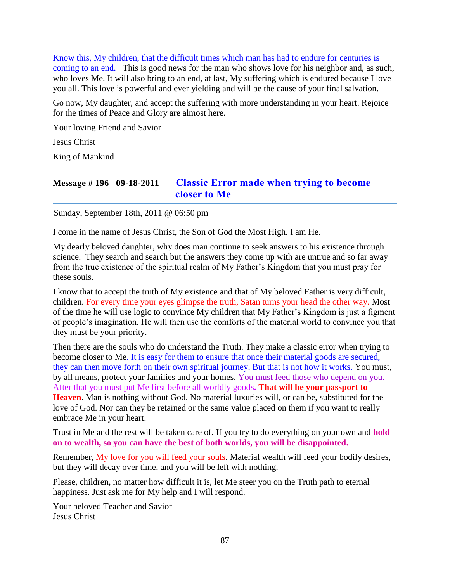Know this, My children, that the difficult times which man has had to endure for centuries is coming to an end. This is good news for the man who shows love for his neighbor and, as such, who loves Me. It will also bring to an end, at last, My suffering which is endured because I love you all. This love is powerful and ever yielding and will be the cause of your final salvation.

Go now, My daughter, and accept the suffering with more understanding in your heart. Rejoice for the times of Peace and Glory are almost here.

Your loving Friend and Savior

Jesus Christ

King of Mankind

# **Message # 196 09-18-2011 [Classic Error made when trying to become](http://www.thewarningsecondcoming.com/classic-error-made-when-trying-to-become-closer-to-me/)  [closer to Me](http://www.thewarningsecondcoming.com/classic-error-made-when-trying-to-become-closer-to-me/)**

Sunday, September 18th, 2011 @ 06:50 pm

I come in the name of Jesus Christ, the Son of God the Most High. I am He.

My dearly beloved daughter, why does man continue to seek answers to his existence through science. They search and search but the answers they come up with are untrue and so far away from the true existence of the spiritual realm of My Father's Kingdom that you must pray for these souls.

I know that to accept the truth of My existence and that of My beloved Father is very difficult, children. For every time your eyes glimpse the truth, Satan turns your head the other way. Most of the time he will use logic to convince My children that My Father's Kingdom is just a figment of people's imagination. He will then use the comforts of the material world to convince you that they must be your priority.

Then there are the souls who do understand the Truth. They make a classic error when trying to become closer to Me. It is easy for them to ensure that once their material goods are secured, they can then move forth on their own spiritual journey. But that is not how it works. You must, by all means, protect your families and your homes. You must feed those who depend on you. After that you must put Me first before all worldly goods**. That will be your passport to Heaven**. Man is nothing without God. No material luxuries will, or can be, substituted for the love of God. Nor can they be retained or the same value placed on them if you want to really embrace Me in your heart.

Trust in Me and the rest will be taken care of. If you try to do everything on your own and **hold on to wealth, so you can have the best of both worlds, you will be disappointed.**

Remember, My love for you will feed your souls. Material wealth will feed your bodily desires, but they will decay over time, and you will be left with nothing.

Please, children, no matter how difficult it is, let Me steer you on the Truth path to eternal happiness. Just ask me for My help and I will respond.

Your beloved Teacher and Savior Jesus Christ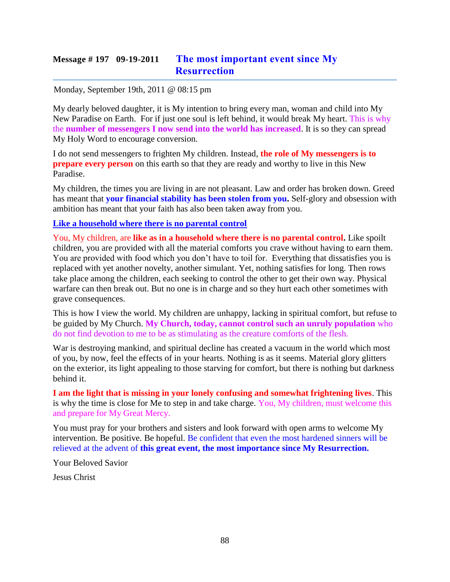# **Message # 197 09-19-2011 [The most important event since My](http://www.thewarningsecondcoming.com/the-most-important-event-since-my-resurrection/)  [Resurrection](http://www.thewarningsecondcoming.com/the-most-important-event-since-my-resurrection/)**

#### Monday, September 19th, 2011 @ 08:15 pm

My dearly beloved daughter, it is My intention to bring every man, woman and child into My New Paradise on Earth. For if just one soul is left behind, it would break My heart. This is why the **number of messengers I now send into the world has increased**. It is so they can spread My Holy Word to encourage conversion.

I do not send messengers to frighten My children. Instead, **the role of My messengers is to prepare every person** on this earth so that they are ready and worthy to live in this New Paradise.

My children, the times you are living in are not pleasant. Law and order has broken down. Greed has meant that **your financial stability has been stolen from you.** Self-glory and obsession with ambition has meant that your faith has also been taken away from you.

#### **Like a household where there is no parental control**

You, My children, are **like as in a household where there is no parental control.** Like spoilt children, you are provided with all the material comforts you crave without having to earn them. You are provided with food which you don't have to toil for. Everything that dissatisfies you is replaced with yet another novelty, another simulant. Yet, nothing satisfies for long. Then rows take place among the children, each seeking to control the other to get their own way. Physical warfare can then break out. But no one is in charge and so they hurt each other sometimes with grave consequences.

This is how I view the world. My children are unhappy, lacking in spiritual comfort, but refuse to be guided by My Church. **My Church, today, cannot control such an unruly population** who do not find devotion to me to be as stimulating as the creature comforts of the flesh.

War is destroying mankind, and spiritual decline has created a vacuum in the world which most of you, by now, feel the effects of in your hearts. Nothing is as it seems. Material glory glitters on the exterior, its light appealing to those starving for comfort, but there is nothing but darkness behind it.

**I am the light that is missing in your lonely confusing and somewhat frightening lives**. This is why the time is close for Me to step in and take charge. You, My children, must welcome this and prepare for My Great Mercy.

You must pray for your brothers and sisters and look forward with open arms to welcome My intervention. Be positive. Be hopeful. Be confident that even the most hardened sinners will be relieved at the advent of **this great event, the most importance since My Resurrection.** 

Your Beloved Savior

Jesus Christ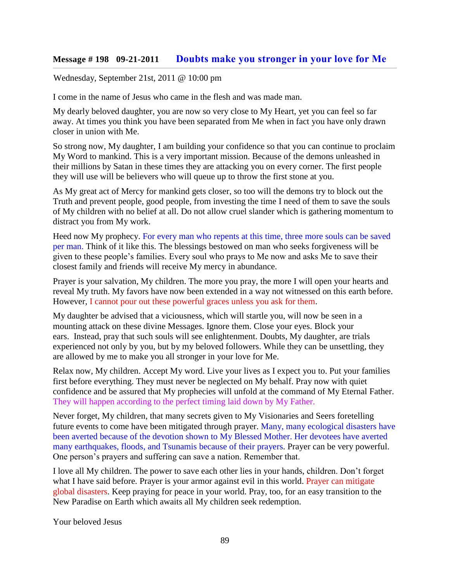### **Message # 198 09-21-2011 [Doubts make you stronger in your love for Me](http://www.thewarningsecondcoming.com/doubts-make-you-stronger-in-your-love-for-me/)**

Wednesday, September 21st, 2011 @ 10:00 pm

I come in the name of Jesus who came in the flesh and was made man.

My dearly beloved daughter, you are now so very close to My Heart, yet you can feel so far away. At times you think you have been separated from Me when in fact you have only drawn closer in union with Me.

So strong now, My daughter, I am building your confidence so that you can continue to proclaim My Word to mankind. This is a very important mission. Because of the demons unleashed in their millions by Satan in these times they are attacking you on every corner. The first people they will use will be believers who will queue up to throw the first stone at you.

As My great act of Mercy for mankind gets closer, so too will the demons try to block out the Truth and prevent people, good people, from investing the time I need of them to save the souls of My children with no belief at all. Do not allow cruel slander which is gathering momentum to distract you from My work.

Heed now My prophecy. For every man who repents at this time, three more souls can be saved per man. Think of it like this. The blessings bestowed on man who seeks forgiveness will be given to these people's families. Every soul who prays to Me now and asks Me to save their closest family and friends will receive My mercy in abundance.

Prayer is your salvation, My children. The more you pray, the more I will open your hearts and reveal My truth. My favors have now been extended in a way not witnessed on this earth before. However, I cannot pour out these powerful graces unless you ask for them.

My daughter be advised that a viciousness, which will startle you, will now be seen in a mounting attack on these divine Messages. Ignore them. Close your eyes. Block your ears. Instead, pray that such souls will see enlightenment. Doubts, My daughter, are trials experienced not only by you, but by my beloved followers. While they can be unsettling, they are allowed by me to make you all stronger in your love for Me.

Relax now, My children. Accept My word. Live your lives as I expect you to. Put your families first before everything. They must never be neglected on My behalf. Pray now with quiet confidence and be assured that My prophecies will unfold at the command of My Eternal Father. They will happen according to the perfect timing laid down by My Father.

Never forget, My children, that many secrets given to My Visionaries and Seers foretelling future events to come have been mitigated through prayer. Many, many ecological disasters have been averted because of the devotion shown to My Blessed Mother. Her devotees have averted many earthquakes, floods, and Tsunamis because of their prayers. Prayer can be very powerful. One person's prayers and suffering can save a nation. Remember that.

I love all My children. The power to save each other lies in your hands, children. Don't forget what I have said before. Prayer is your armor against evil in this world. Prayer can mitigate global disasters. Keep praying for peace in your world. Pray, too, for an easy transition to the New Paradise on Earth which awaits all My children seek redemption.

Your beloved Jesus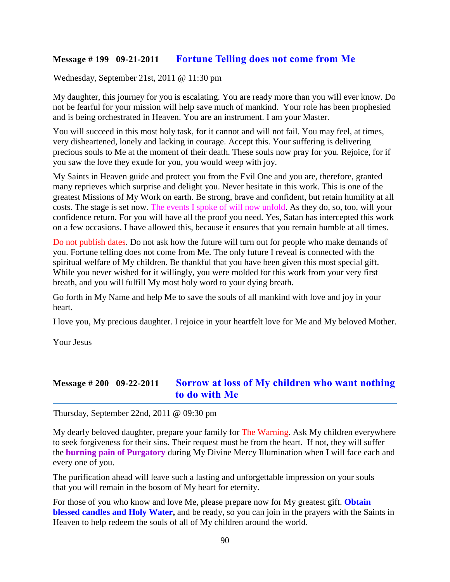### **Message # 199 09-21-2011 [Fortune Telling does not come from Me](http://www.thewarningsecondcoming.com/fortune-telling-does-not-come-from-me/)**

Wednesday, September 21st, 2011 @ 11:30 pm

My daughter, this journey for you is escalating. You are ready more than you will ever know. Do not be fearful for your mission will help save much of mankind. Your role has been prophesied and is being orchestrated in Heaven. You are an instrument. I am your Master.

You will succeed in this most holy task, for it cannot and will not fail. You may feel, at times, very disheartened, lonely and lacking in courage. Accept this. Your suffering is delivering precious souls to Me at the moment of their death. These souls now pray for you. Rejoice, for if you saw the love they exude for you, you would weep with joy.

My Saints in Heaven guide and protect you from the Evil One and you are, therefore, granted many reprieves which surprise and delight you. Never hesitate in this work. This is one of the greatest Missions of My Work on earth. Be strong, brave and confident, but retain humility at all costs. The stage is set now. The events I spoke of will now unfold. As they do, so, too, will your confidence return. For you will have all the proof you need. Yes, Satan has intercepted this work on a few occasions. I have allowed this, because it ensures that you remain humble at all times.

Do not publish dates. Do not ask how the future will turn out for people who make demands of you. Fortune telling does not come from Me. The only future I reveal is connected with the spiritual welfare of My children. Be thankful that you have been given this most special gift. While you never wished for it willingly, you were molded for this work from your very first breath, and you will fulfill My most holy word to your dying breath.

Go forth in My Name and help Me to save the souls of all mankind with love and joy in your heart.

I love you, My precious daughter. I rejoice in your heartfelt love for Me and My beloved Mother.

Your Jesus

### **Message # 200 09-22-2011 [Sorrow at loss of My children who want nothing](http://www.thewarningsecondcoming.com/sorrow-at-loss-of-my-children-who-want-nothing-to-do-with-me/)  [to do with Me](http://www.thewarningsecondcoming.com/sorrow-at-loss-of-my-children-who-want-nothing-to-do-with-me/)**

Thursday, September 22nd, 2011 @ 09:30 pm

My dearly beloved daughter, prepare your family for The Warning. Ask My children everywhere to seek forgiveness for their sins. Their request must be from the heart. If not, they will suffer the **burning pain of Purgatory** during My Divine Mercy Illumination when I will face each and every one of you.

The purification ahead will leave such a lasting and unforgettable impression on your souls that you will remain in the bosom of My heart for eternity.

For those of you who know and love Me, please prepare now for My greatest gift. **Obtain blessed candles and Holy Water,** and be ready, so you can join in the prayers with the Saints in Heaven to help redeem the souls of all of My children around the world.